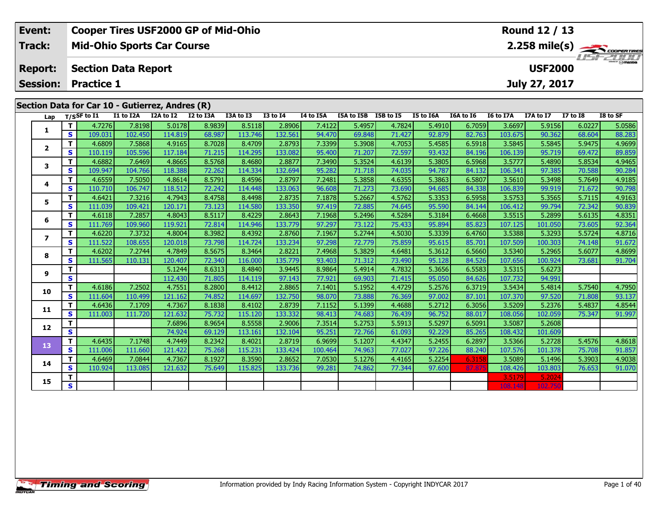| Event:                                          | <b>Cooper Tires USF2000 GP of Mid-Ohio</b> | Round 12 / 13                             |  |  |  |  |  |  |  |
|-------------------------------------------------|--------------------------------------------|-------------------------------------------|--|--|--|--|--|--|--|
| Track:                                          | <b>Mid-Ohio Sports Car Course</b>          |                                           |  |  |  |  |  |  |  |
| <b>Report:</b>                                  | Section Data Report                        | <i><b>LISF 2000</b></i><br><b>USF2000</b> |  |  |  |  |  |  |  |
|                                                 | <b>Session: Practice 1</b>                 | July 27, 2017                             |  |  |  |  |  |  |  |
|                                                 |                                            |                                           |  |  |  |  |  |  |  |
| Section Data for Car 10 - Gutierrez, Andres (R) |                                            |                                           |  |  |  |  |  |  |  |

| Lap            |                         | $T/S$ SF to I1    | I1 to I2A         | I2A to I2         | I2 to I3A        | I3A to I3         | <b>I3 to I4</b>   | I4 to I5A        | I5A to I5B       | I5B to I5        | I5 to I6A        | I6A to I6        | I6 to I7A         | I7A to I7         | $I7$ to $I8$     | I8 to SF         |
|----------------|-------------------------|-------------------|-------------------|-------------------|------------------|-------------------|-------------------|------------------|------------------|------------------|------------------|------------------|-------------------|-------------------|------------------|------------------|
|                | T.                      | 4.7276            | 7.8198            | 5.0178            | 8.9839           | 8.5118            | 2.8906            | 7.4122           | 5.4957           | 4.7824           | 5.4910           | 6.7059           | 3.6697            | 5.9156            | 6.0227           | 5.0586           |
| 1              | S                       | 109.031           | 102.450           | 114.819           | 68.987           | 113.746           | 132.561           | 94.470           | 69.848           | 71.427           | 92.879           | 82.763           | 103.675           | 90.362            | 68.604           | 88.283           |
| $\overline{2}$ | T.                      | 4.6809            | 7.5868            | 4.9165            | 8.7028           | 8.4709            | 2.8793            | 7.3399           | 5.3908           | 4.7053           | 5.4585           | 6.5918           | 3.5845            | 5.5845            | 5.9475           | 4.9699           |
|                | S                       | 110.119           | 105.596           | 117.184           | 71.215           | 114.295           | 133.082           | 95.400           | 71.207           | 72.597           | 93.432           | 84.196           | 106.139           | 95.719            | 69.472           | 89.859           |
| 3              | T.                      | 4.6882            | 7.6469            | 4.8665            | 8.5768           | 8.4680            | 2.8877            | 7.3490           | 5.3524           | 4.6139           | 5.3805           | 6.5968           | 3.5777            | 5.4890            | 5.8534           | 4.9465           |
|                | S                       | 109.947           | 104.766           | 118.388           | 72.262           | 114.334           | 132.694           | 95.282           | 71.718           | 74.035           | 94.787           | 84.132           | 106.341           | 97.385            | 70.588           | 90.284           |
| 4              | т                       | 4.6559            | 7.5050            | 4.8614            | 8.5791           | 8.4596            | 2.8797            | 7.2481           | 5.3858           | 4.6355           | 5.3863           | 6.5807           | 3.5610            | 5.3498            | 5.7649           | 4.9185           |
|                | S.                      | 110.710           | 106.747           | 118.512           | 72.242           | 114.448           | 133.063           | 96.608           | 71.273           | 73.690           | 94.685           | 84.338           | 106.839           | 99.919            | 71.672           | 90.798           |
| 5              | T.                      | 4.6421            | 7.3216            | 4.7943            | 8.4758           | 8.4498            | 2.8735            | 7.1878           | 5.2667           | 4.5762           | 5.3353           | 6.5958           | 3.5753            | 5.3565            | 5.7115           | 4.9163           |
|                | S.                      | 111.039           | 109.421           | 120.171           | 73.123           | 114.580           | 133.350           | 97.419           | 72.885           | 74.645           | 95.590           | 84.144           | 106.412           | 99.794            | 72.342           | 90.839           |
| 6              | T.                      | 4.6118            | 7.2857            | 4.8043            | 8.5117           | 8.4229            | 2.8643            | 7.1968           | 5.2496           | 4.5284           | 5.3184           | 6.4668           | 3.5515            | 5.2899            | 5.6135           | 4.8351           |
|                | S                       | 111.769           | 109.960           | 119.921           | 72.814           | 114.946           | 133.779           | 97.297           | 73.122           | 75.433           | 95.894           | 85.823           | 107.125           | 101.050           | 73.605           | 92.364           |
| $\overline{ }$ | T.                      | 4.6220            | 7.3732            | 4.8004            | 8.3982           | 8.4392            | 2.8760            | 7.1967           | 5.2744           | 4.5030           | 5.3339           | 6.4760           | 3.5388            | 5.3293            | 5.5724           | 4.8716           |
|                | S                       | 111.522           | 108.655           | 120.018           | 73.798           | 114.724           | 133.234           | 97.298           | 72.779           | 75.859           | 95.615           | 85.701           | 107.509           | 100.303           | 74.148           | 91.672           |
| 8              | T.                      | 4.6202            | 7.2744            | 4.7849            | 8.5675           | 8.3464            | 2.8221            | 7.4968           | 5.3829           | 4.6481           | 5.3612           | 6.5660           | 3.5340            | 5.2965            | 5.6077           | 4.8699           |
|                | S                       | 111.565           | 110.131           | 120.407           | 72.340           | 116.000           | 135.779           | 93.403           | 71.312           | 73.490           | 95.128           | 84.526           | 107.656           | 100.924           | 73.681           | 91.704           |
| 9              | T.                      |                   |                   | 5.1244            | 8.6313           | 8.4840            | 3.9445            | 8.9864           | 5.4914           | 4.7832           | 5.3656           | 6.5583           | 3.5315            | 5.6273            |                  |                  |
|                | S                       |                   |                   | 112.430           | 71.805           | 114.119           | 97.143            | 77.921           | 69.903           | 71.415           | 95.050           | 84.626           | 107.732           | 94.991            |                  |                  |
| 10             | T.                      | 4.6186            | 7.2502            | 4.7551            | 8.2800           | 8.4412            | 2.8865            | 7.1401           | 5.1952           | 4.4729           | 5.2576           | 6.3719           | 3.5434            | 5.4814            | 5.7540           | 4.7950           |
|                | S                       | 111.604           | 110.499           | 121.162           | 74.852           | 114.697           | 132.750           | 98.070           | 73.888           | 76.369           | 97.002           | 87.101           | 107.370           | 97.520            | 71.808           | 93.137           |
| 11             | т<br>S                  | 4.6436<br>111.003 | 7.1709<br>111.720 | 4.7367<br>121.632 | 8.1838<br>75.732 | 8.4102<br>115.120 | 2.8739<br>133.332 | 7.1152<br>98.413 | 5.1399<br>74.683 | 4.4688<br>76.439 | 5.2712<br>96.752 | 6.3056<br>88.017 | 3.5209<br>108.056 | 5.2376<br>102.059 | 5.4837<br>75.347 | 4.8544<br>91.997 |
|                | т                       |                   |                   | 7.6896            | 8.9654           | 8.5558            | 2.9006            | 7.3514           | 5.2753           | 5.5913           | 5.5297           | 6.5091           | 3.5087            | 5.2608            |                  |                  |
| 12             | $\overline{\mathbf{s}}$ |                   |                   | 74.924            | 69.129           | 113.161           | 132.104           | 95.251           | 72.766           | 61.093           | 92.229           | 85.265           | 108.432           | 101.609           |                  |                  |
|                | T.                      | 4.6435            | 7.1748            | 4.7449            | 8.2342           | 8.4021            | 2.8719            | 6.9699           | 5.1207           | 4.4347           | 5.2455           | 6.2897           | 3.5366            | 5.2728            | 5.4576           | 4.8618           |
| 13             | S.                      | 111.006           | 111.660           | 121.422           | 75.268           | 115.231           | 133.424           | 100.464          | 74.963           | 77.027           | 97.226           | 88.240           | 107.576           | 101.378           | 75.708           | 91.857           |
|                | T.                      | 4.6469            | 7.0844            | 4.7367            | 8.1927           | 8.3590            | 2.8652            | 7.0530           | 5.1276           | 4.4165           | 5.2254           | 6.3158           | 3.5089            | 5.1496            | 5.3903           | 4.9038           |
| 14             | S                       | 110.924           | 113.085           | 121.632           | 75.649           | 115.825           | 133.736           | 99.281           | 74.862           | 77.344           | 97.600           | 87.875           | 108.426           | 103.803           | 76.653           | 91.070           |
|                | т                       |                   |                   |                   |                  |                   |                   |                  |                  |                  |                  |                  | 3.5179            | 5.2024            |                  |                  |
| 15             | $\overline{\mathbf{s}}$ |                   |                   |                   |                  |                   |                   |                  |                  |                  |                  |                  | 108.148           | 102.750           |                  |                  |
|                |                         |                   |                   |                   |                  |                   |                   |                  |                  |                  |                  |                  |                   |                   |                  |                  |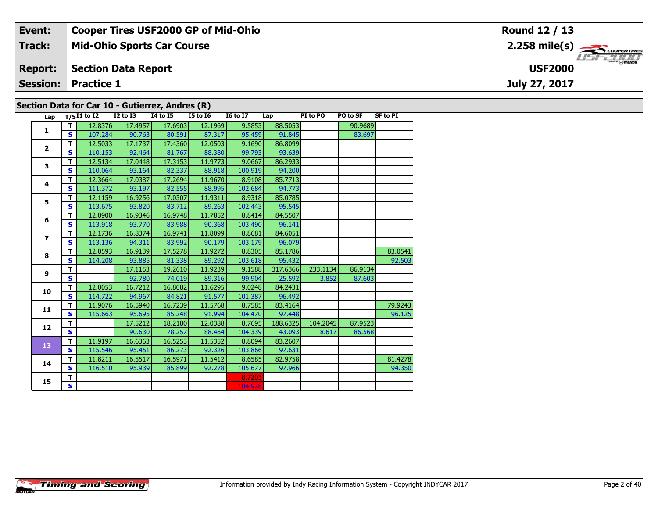| Event:                                          | <b>Cooper Tires USF2000 GP of Mid-Ohio</b> | Round 12 / 13                                         |  |  |  |  |  |  |  |
|-------------------------------------------------|--------------------------------------------|-------------------------------------------------------|--|--|--|--|--|--|--|
| Track:                                          | <b>Mid-Ohio Sports Car Course</b>          | $2.258$ mile(s) $\overbrace{\hspace{2cm}}$ coorgained |  |  |  |  |  |  |  |
| <b>Report:</b>                                  | <b>Section Data Report</b>                 | $\frac{2H}{\odot}$ mazoa<br><b>USF2000</b>            |  |  |  |  |  |  |  |
|                                                 | <b>Session: Practice 1</b>                 | July 27, 2017                                         |  |  |  |  |  |  |  |
| Section Data for Car 10 - Gutierrez, Andres (R) |                                            |                                                       |  |  |  |  |  |  |  |

| Lap               |              | $T/SI1$ to I2 I2 to I3 |         | 14 to 15 | I5 to 16 | $16 \text{ to } 17$ Lap |          | PI to PO | <b>PO to SF</b> | <b>SF to PI</b> |
|-------------------|--------------|------------------------|---------|----------|----------|-------------------------|----------|----------|-----------------|-----------------|
| 1                 | T I          | 12.8376                | 17.4957 | 17.6903  | 12.1969  | 9.5853                  | 88.5053  |          | 90.9689         |                 |
|                   | S.           | 107.284                | 90.763  | 80.591   | 87.317   | 95.459                  | 91.845   |          | 83.697          |                 |
| $\mathbf{2}$      | T.           | 12.5033                | 17.1737 | 17.4360  | 12.0503  | 9.1690                  | 86.8099  |          |                 |                 |
|                   | S            | 110.153                | 92.464  | 81.767   | 88.380   | 99.793                  | 93.639   |          |                 |                 |
| 3                 | T            | 12.5134                | 17.0448 | 17.3153  | 11.9773  | 9.0667                  | 86.2933  |          |                 |                 |
|                   | $\mathbf{s}$ | 110.064                | 93.164  | 82.337   | 88.918   | 100.919                 | 94.200   |          |                 |                 |
| 4                 | T.           | 12.3664                | 17.0387 | 17.2694  | 11.9670  | 8.9108                  | 85.7713  |          |                 |                 |
|                   | S.           | 111.372                | 93.197  | 82.555   | 88.995   | 102.684                 | 94.773   |          |                 |                 |
| 5                 | т            | 12.1159                | 16.9256 | 17.0307  | 11.9311  | 8.9318                  | 85.0785  |          |                 |                 |
|                   | S.           | 113.675                | 93.820  | 83.712   | 89.263   | 102.443                 | 95.545   |          |                 |                 |
| 6                 | $\mathbf{T}$ | 12.0900                | 16.9346 | 16.9748  | 11.7852  | 8.8414                  | 84.5507  |          |                 |                 |
|                   | <b>S</b>     | 113.918                | 93.770  | 83.988   | 90.368   | 103.490                 | 96.141   |          |                 |                 |
| $\overline{ }$    | T            | 12.1736                | 16.8374 | 16.9741  | 11.8099  | 8.8681                  | 84.6051  |          |                 |                 |
|                   | $\mathbf{s}$ | 113.136                | 94.311  | 83.992   | 90.179   | 103.179                 | 96.079   |          |                 |                 |
| 8                 | T.           | 12.0593                | 16.9139 | 17.5278  | 11.9272  | 8.8305                  | 85.1786  |          |                 | 83.0541         |
|                   | S            | 114.208                | 93.885  | 81.338   | 89.292   | 103.618                 | 95.432   |          |                 | 92.503          |
| 9                 | T.           |                        | 17.1153 | 19.2610  | 11.9239  | 9.1588                  | 317.6366 | 233.1134 | 86.9134         |                 |
|                   | <b>S</b>     |                        | 92.780  | 74.019   | 89.316   | 99.904                  | 25.592   | 3.852    | 87.603          |                 |
| 10                | T            | 12.0053                | 16.7212 | 16.8082  | 11.6295  | 9.0248                  | 84.2431  |          |                 |                 |
|                   | $\mathbf{s}$ | 114.722                | 94.967  | 84.821   | 91.577   | 101.387                 | 96.492   |          |                 |                 |
| 11                | T            | 11.9076                | 16.5940 | 16.7239  | 11.5768  | 8.7585                  | 83.4164  |          |                 | 79.9243         |
|                   | <b>S</b>     | 115.663                | 95.695  | 85.248   | 91.994   | 104.470                 | 97.448   |          |                 | 96.125          |
| $12 \overline{ }$ | T.           |                        | 17.5212 | 18.2180  | 12.0388  | 8.7695                  | 188.6325 | 104.2045 | 87.9523         |                 |
|                   | S            |                        | 90.630  | 78.257   | 88.464   | 104.339                 | 43.093   | 8.617    | 86.568          |                 |
| 13                | T.           | 11.9197                | 16.6363 | 16.5253  | 11.5352  | 8.8094                  | 83.2607  |          |                 |                 |
|                   | S            | 115.546                | 95.451  | 86.273   | 92.326   | 103.866                 | 97.631   |          |                 |                 |
| 14                | T            | 11.8211                | 16.5517 | 16.5971  | 11.5412  | 8.6585                  | 82.9758  |          |                 | 81.4278         |
|                   | $\mathbf{s}$ | 116.510                | 95.939  | 85.899   | 92.278   | 105.677                 | 97.966   |          |                 | 94.350          |
| 15                | T.           |                        |         |          |          | 8.7203                  |          |          |                 |                 |
|                   | S            |                        |         |          |          | 104.928                 |          |          |                 |                 |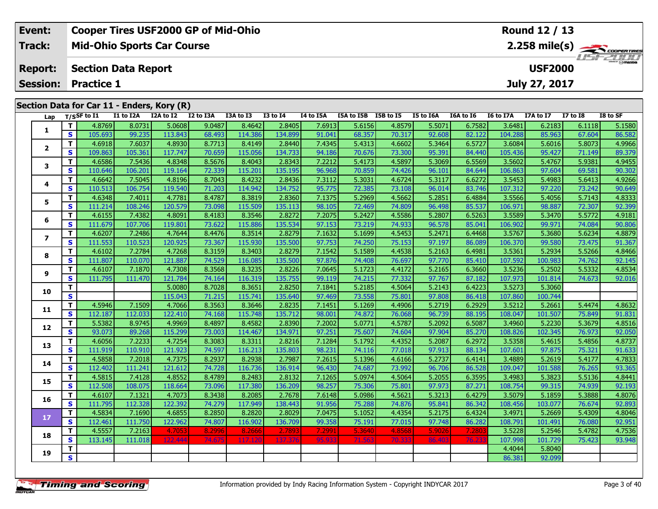| Event:                                     | <b>Cooper Tires USF2000 GP of Mid-Ohio</b> | Round 12 / 13                             |  |  |  |  |  |  |  |  |
|--------------------------------------------|--------------------------------------------|-------------------------------------------|--|--|--|--|--|--|--|--|
| Track:                                     | <b>Mid-Ohio Sports Car Course</b>          |                                           |  |  |  |  |  |  |  |  |
| <b>Report:</b>                             | <b>Section Data Report</b>                 | $\frac{2\pi}{2}$ omazoa<br><b>USF2000</b> |  |  |  |  |  |  |  |  |
|                                            | <b>Session: Practice 1</b>                 | July 27, 2017                             |  |  |  |  |  |  |  |  |
| Section Data for Car 11 - Enders, Kory (R) |                                            |                                           |  |  |  |  |  |  |  |  |

| Lap                      |                         | T/SSF to I1 | I1 to I2A | I2A to I2 I2 to I3A |        | I3A to I3 | <b>I3 to 14</b> | I4 to I5A | I5A to I5B I5B to I5 |        | <b>I5 to I6A</b> | I6A to I6 | I6 to I7A | I7A to I7 | <b>I7 to I8</b> | I8 to SF |
|--------------------------|-------------------------|-------------|-----------|---------------------|--------|-----------|-----------------|-----------|----------------------|--------|------------------|-----------|-----------|-----------|-----------------|----------|
| 1                        | T.                      | 4.8769      | 8.0731    | 5.0608              | 9.0487 | 8.4642    | 2.8405          | 7.6913    | 5.6156               | 4.8579 | 5.5071           | 6.7582    | 3.6481    | 6.2183    | 6.1118          | 5.1580   |
|                          | S                       | 105.693     | 99.235    | 113.843             | 68.493 | 114.386   | 134.899         | 91.041    | 68.357               | 70.317 | 92.608           | 82.122    | 104.288   | 85.963    | 67.604          | 86.582   |
| $\mathbf{2}$             | T.                      | 4.6918      | 7.6037    | 4.8930              | 8.7713 | 8.4149    | 2.8440          | 7.4345    | 5.4313               | 4.6602 | 5.3464           | 6.5727    | 3.6084    | 5.6016    | 5.8073          | 4.9966   |
|                          | $\mathbf{s}$            | 109.863     | 105.361   | 117.747             | 70.659 | 115.056   | 134.733         | 94.186    | 70.676               | 73.300 | 95.391           | 84.440    | 105.436   | 95.427    | 71.149          | 89.379   |
| 3                        | Τ.                      | 4.6586      | 7.5436    | 4.8348              | 8.5676 | 8.4043    | 2.8343          | 7.2212    | 5.4173               | 4.5897 | 5.3069           | 6.5569    | 3.5602    | 5.4767    | 5.9381          | 4.9455   |
|                          | S                       | 110.646     | 106.201   | 119.164             | 72.339 | 115.201   | 135.195         | 96.968    | 70.859               | 74.426 | 96.101           | 84.644    | 106.863   | 97.604    | 69.581          | 90.302   |
| 4                        | T                       | 4.6642      | 7.5045    | 4.8196              | 8.7043 | 8.4232    | 2.8436          | 7.3112    | 5.3031               | 4.6724 | 5.3117           | 6.6272    | 3.5453    | 5.4983    | 5.6413          | 4.9266   |
|                          | $\mathbf{s}$            | 110.513     | 106.754   | 119.540             | 71.203 | 114.942   | 134.752         | 95.775    | 72.385               | 73.108 | 96.014           | 83.746    | 107.312   | 97.220    | 73.242          | 90.649   |
| 5                        | T.                      | 4.6348      | 7.4011    | 4.7781              | 8.4787 | 8.3819    | 2.8360          | 7.1375    | 5.2969               | 4.5662 | 5.2851           | 6.4884    | 3.5566    | 5.4056    | 5.7143          | 4.8333   |
|                          | S                       | 111.214     | 108.246   | 120.579             | 73.098 | 115.509   | 135.113         | 98.105    | 72.469               | 74.809 | 96.498           | 85.537    | 106.971   | 98.887    | 72.307          | 92.399   |
| 6                        | T.                      | 4.6155      | 7.4382    | 4.8091              | 8.4183 | 8.3546    | 2.8272          | 7.2075    | 5.2427               | 4.5586 | 5.2807           | 6.5263    | 3.5589    | 5.3470    | 5.5772          | 4.9181   |
|                          | $\mathbf{s}$            | 111.679     | 107.706   | 119.801             | 73.622 | 115.886   | 135.534         | 97.153    | 73.219               | 74.933 | 96.578           | 85.041    | 106.902   | 99.971    | 74.084          | 90.806   |
| $\overline{\phantom{a}}$ | T.                      | 4.6207      | 7.2486    | 4.7644              | 8.4476 | 8.3514    | 2.8279          | 7.1632    | 5.1699               | 4.5453 | 5.2471           | 6.4468    | 3.5767    | 5.3680    | 5.6234          | 4.8879   |
|                          | S                       | 111.553     | 110.523   | 120.925             | 73.367 | 115.930   | 135.500         | 97.753    | 74.250               | 75.153 | 97.197           | 86.089    | 106.370   | 99.580    | 73.475          | 91.367   |
| 8                        | $\mathbf{T}$            | 4.6102      | 7.2784    | 4.7268              | 8.3159 | 8.3403    | 2.8279          | 7.1542    | 5.1589               | 4.4538 | 5.2163           | 6.4981    | 3.5361    | 5.2934    | 5.5266          | 4.8466   |
|                          | S                       | 111.807     | 110.070   | 121.887             | 74.529 | 116.085   | 135.500         | 97.876    | 74.408               | 76.697 | 97.770           | 85.410    | 107.592   | 100.983   | 74.762          | 92.145   |
| 9                        | T                       | 4.6107      | 7.1870    | 4.7308              | 8.3568 | 8.3235    | 2.8226          | 7.0645    | 5.1723               | 4.4172 | 5.2165           | 6.3660    | 3.5236    | 5.2502    | 5.5332          | 4.8534   |
|                          | S                       | 111.795     | 111.470   | 121.784             | 74.164 | 116.319   | 135.755         | 99.119    | 74.215               | 77.332 | 97.767           | 87.182    | 107.973   | 101.814   | 74.673          | 92.016   |
| 10                       | T.                      |             |           | 5.0080              | 8.7028 | 8.3651    | 2.8250          | 7.1841    | 5.2185               | 4.5064 | 5.2143           | 6.4223    | 3.5273    | 5.3060    |                 |          |
|                          | <b>S</b>                |             |           | 115.043             | 71.215 | 115.741   | 135.640         | 97.469    | 73.558               | 75.801 | 97.808           | 86.418    | 107.860   | 100.744   |                 |          |
| 11                       | T.                      | 4.5946      | 7.1509    | 4.7066              | 8.3563 | 8.3646    | 2.8235          | 7.1451    | 5.1269               | 4.4906 | 5.2719           | 6.2929    | 3.5212    | 5.2661    | 5.4474          | 4.8632   |
|                          | S                       | 112.187     | 112.033   | 122.410             | 74.168 | 115.748   | 135.712         | 98.001    | 74.872               | 76.068 | 96.739           | 88.195    | 108.047   | 101.507   | 75.849          | 91.831   |
| 12                       | T.                      | 5.5382      | 8.9745    | 4.9969              | 8.4897 | 8.4582    | 2.8390          | 7.2002    | 5.0771               | 4.5787 | 5.2092           | 6.5087    | 3.4960    | 5.2230    | 5.3679          | 4.8516   |
|                          | S                       | 93.073      | 89.268    | 115.299             | 73.003 | 114.467   | 134.971         | 97.251    | 75.607               | 74.604 | 97.904           | 85.270    | 108.826   | 102.345   | 76.973          | 92.050   |
| 13                       | T.                      | 4.6056      | 7.2233    | 4.7254              | 8.3083 | 8.3311    | 2.8216          | 7.1284    | 5.1792               | 4.4352 | 5.2087           | 6.2972    | 3.5358    | 5.4615    | 5.4856          | 4.8737   |
|                          | $\mathbf{s}$            | 111.919     | 110.910   | 121.923             | 74.597 | 116.213   | 135.803         | 98.231    | 74.116               | 77.018 | 97.913           | 88.134    | 107.601   | 97.875    | 75.321          | 91.633   |
| 14                       | T.                      | 4.5858      | 7.2018    | 4.7375              | 8.2937 | 8.2938    | 2.7987          | 7.2615    | 5.1396               | 4.6166 | 5.2737           | 6.4141    | 3.4889    | 5.2619    | 5.4177          | 4.7833   |
|                          | S                       | 112.402     | 111.241   | 121.612             | 74.728 | 116.736   | 136.914         | 96.430    | 74.687               | 73.992 | 96.706           | 86.528    | 109.047   | 101.588   | 76.265          | 93.365   |
| 15                       | T.                      | 4.5815      | 7.4128    | 4.8552              | 8.4789 | 8.2483    | 2.8132          | 7.1265    | 5.0974               | 4.5064 | 5.2055           | 6.3595    | 3.4983    | 5.3823    | 5.5136          | 4.8441   |
|                          | $\mathbf{s}$            | 112.508     | 108.075   | 118.664             | 73.096 | 117.380   | 136.209         | 98.257    | 75.306               | 75.801 | 97.973           | 87.271    | 108.754   | 99.315    | 74.939          | 92.193   |
| 16                       | T.                      | 4.6107      | 7.1321    | 4.7073              | 8.3438 | 8.2085    | 2.7678          | 7.6148    | 5.0986               | 4.5621 | 5.3213           | 6.4279    | 3.5079    | 5.1859    | 5.3888          | 4.8076   |
|                          | S                       | 111.795     | 112.328   | 122.392             | 74.279 | 117.949   | 138.443         | 91.956    | 75.288               | 74.876 | 95.841           | 86.342    | 108.456   | 103.077   | 76.674          | 92.893   |
| 17                       | $\mathbf{T}$            | 4.5834      | 7.1690    | 4.6855              | 8.2850 | 8.2820    | 2.8029          | 7.0475    | 5.1052               | 4.4354 | 5.2175           | 6.4324    | 3.4971    | 5.2669    | 5.4309          | 4.8046   |
|                          | S.                      | 112.461     | 111.750   | 122.962             | 74.807 | 116.902   | 136.709         | 99.358    | 75.191               | 77.015 | 97.748           | 86.282    | 108.791   | 101.491   | 76.080          | 92.951   |
| 18                       | T.                      | 4.5557      | 7.2163    | 4.7053              | 8.2996 | 8.2666    | 2.7893          | 7.2991    | 5.3640               | 4.8568 | 5.9026           | 7.2803    | 3.5228    | 5.2546    | 5.4782          | 4.7536   |
|                          | $\mathbf{s}$            | 113.145     | 111.018   | 122.444             | 74.675 | 117.120   | 137.376         | 95.933    | 71.563               | 70.333 | 86.403           | 76.23     | 107.998   | 101.729   | 75.423          | 93.948   |
| 19                       | Τ.                      |             |           |                     |        |           |                 |           |                      |        |                  |           | 4.4044    | 5.8040    |                 |          |
|                          | $\overline{\mathbf{s}}$ |             |           |                     |        |           |                 |           |                      |        |                  |           | 86.381    | 92.099    |                 |          |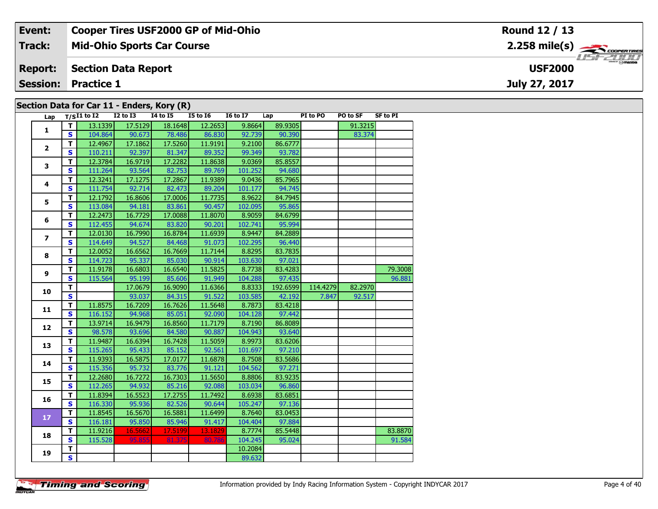| Event:                                     | <b>Cooper Tires USF2000 GP of Mid-Ohio</b> | Round 12 / 13                 |  |  |  |  |  |  |  |  |
|--------------------------------------------|--------------------------------------------|-------------------------------|--|--|--|--|--|--|--|--|
| <b>Track:</b>                              | <b>Mid-Ohio Sports Car Course</b>          | $2.258$ mile(s) $\rightarrow$ |  |  |  |  |  |  |  |  |
| <b>Report:</b>                             | Section Data Report                        | <b>USF2000</b>                |  |  |  |  |  |  |  |  |
|                                            | <b>Session: Practice 1</b>                 | July 27, 2017                 |  |  |  |  |  |  |  |  |
| Section Data for Car 11 - Enders, Kory (R) |                                            |                               |  |  |  |  |  |  |  |  |

| Lap                     |                         | $T/SI1$ to I2 | $\overline{12}$ to $\overline{13}$ | I4 to I5 | I5 to I6 | <b>I6 to I7</b> | Lap      | PI to PO | PO to SF | <b>SF to PI</b> |
|-------------------------|-------------------------|---------------|------------------------------------|----------|----------|-----------------|----------|----------|----------|-----------------|
|                         | T I                     | 13.1339       | 17.5129                            | 18.1648  | 12.2653  | 9.8664          | 89.9305  |          | 91.3215  |                 |
| 1                       | S                       | 104.864       | 90.673                             | 78.486   | 86.830   | 92.739          | 90.390   |          | 83.374   |                 |
|                         | $\mathbf T$             | 12.4967       | 17.1862                            | 17.5260  | 11.9191  | 9.2100          | 86.6777  |          |          |                 |
| $\overline{2}$          | $\mathbf{s}$            | 110.211       | 92.397                             | 81.347   | 89.352   | 99.349          | 93.782   |          |          |                 |
|                         | $\overline{\mathsf{r}}$ | 12.3784       | 16.9719                            | 17.2282  | 11.8638  | 9.0369          | 85.8557  |          |          |                 |
| 3                       | $\mathbf{s}$            | 111.264       | 93.564                             | 82.753   | 89.769   | 101.252         | 94.680   |          |          |                 |
|                         | $\mathbf{T}$            | 12.3241       | 17.1275                            | 17.2867  | 11.9389  | 9.0436          | 85.7965  |          |          |                 |
| 4                       | $\mathbf{s}$            | 111.754       | 92.714                             | 82.473   | 89.204   | 101.177         | 94.745   |          |          |                 |
|                         | T                       | 12.1792       | 16.8606                            | 17.0006  | 11.7735  | 8.9622          | 84.7945  |          |          |                 |
| 5                       | S                       | 113.084       | 94.181                             | 83.861   | 90.457   | 102.095         | 95.865   |          |          |                 |
|                         | T                       | 12.2473       | 16.7729                            | 17.0088  | 11.8070  | 8.9059          | 84.6799  |          |          |                 |
| 6                       | $\mathbf{s}$            | 112.455       | 94.674                             | 83.820   | 90.201   | 102.741         | 95.994   |          |          |                 |
|                         | T.                      | 12.0130       | 16.7990                            | 16.8784  | 11.6939  | 8.9447          | 84.2889  |          |          |                 |
| $\overline{\mathbf{z}}$ | $\overline{\mathbf{s}}$ | 114.649       | 94.527                             | 84.468   | 91.073   | 102.295         | 96.440   |          |          |                 |
|                         | $\overline{\mathsf{r}}$ | 12.0052       | 16.6562                            | 16.7669  | 11.7144  | 8.8295          | 83.7835  |          |          |                 |
| 8                       | $\overline{\mathbf{s}}$ | 114.723       | 95.337                             | 85.030   | 90.914   | 103.630         | 97.021   |          |          |                 |
|                         | T                       | 11.9178       | 16.6803                            | 16.6540  | 11.5825  | 8.7738          | 83.4283  |          |          | 79.3008         |
| 9                       | S                       | 115.564       | 95.199                             | 85.606   | 91.949   | 104.288         | 97.435   |          |          | 96.881          |
|                         | $\mathbf T$             |               | 17.0679                            | 16.9090  | 11.6366  | 8.8333          | 192.6599 | 114.4279 | 82.2970  |                 |
| 10                      | $\mathbf{s}$            |               | 93.037                             | 84.315   | 91.522   | 103.585         | 42.192   | 7.847    | 92.517   |                 |
| 11                      | T                       | 11.8575       | 16.7209                            | 16.7626  | 11.5648  | 8.7873          | 83.4218  |          |          |                 |
|                         | S.                      | 116.152       | 94.968                             | 85.051   | 92.090   | 104.128         | 97.442   |          |          |                 |
| 12                      | T.                      | 13.9714       | 16.9479                            | 16.8560  | 11.7179  | 8.7190          | 86.8089  |          |          |                 |
|                         | $\overline{\mathbf{s}}$ | 98.578        | 93.696                             | 84.580   | 90.887   | 104.943         | 93.640   |          |          |                 |
| 13                      | $\mathbf T$             | 11.9487       | 16.6394                            | 16.7428  | 11.5059  | 8.9973          | 83.6206  |          |          |                 |
|                         | $\overline{\mathbf{s}}$ | 115.265       | 95.433                             | 85.152   | 92.561   | 101.697         | 97.210   |          |          |                 |
| 14                      | T.                      | 11.9393       | 16.5875                            | 17.0177  | 11.6878  | 8.7508          | 83.5686  |          |          |                 |
|                         | $\overline{\mathbf{s}}$ | 115.356       | 95.732                             | 83.776   | 91.121   | 104.562         | 97.271   |          |          |                 |
| 15                      | $\mathbf T$             | 12.2680       | 16.7272                            | 16.7303  | 11.5650  | 8.8806          | 83.9235  |          |          |                 |
|                         | $\overline{\mathbf{s}}$ | 112.265       | 94.932                             | 85.216   | 92.088   | 103.034         | 96.860   |          |          |                 |
| 16                      | $\mathbf T$             | 11.8394       | 16.5523                            | 17.2755  | 11.7492  | 8.6938          | 83.6851  |          |          |                 |
|                         | S.                      | 116.330       | 95.936                             | 82.526   | 90.644   | 105.247         | 97.136   |          |          |                 |
| 17                      | $\overline{\mathsf{r}}$ | 11.8545       | 16.5670                            | 16.5881  | 11.6499  | 8.7640          | 83.0453  |          |          |                 |
|                         | S                       | 116.181       | 95.850                             | 85.946   | 91.417   | 104.404         | 97.884   |          |          |                 |
| 18                      | T                       | 11.9216       | 16.5662                            | 17.5199  | 13.1829  | 8.7774          | 85.5448  |          |          | 83.8870         |
|                         | S                       | 115.528       | 95.855                             | 81.375   | 80.786   | 104.245         | 95.024   |          |          | 91.584          |
| 19                      | $\overline{\mathbf{T}}$ |               |                                    |          |          | 10.2084         |          |          |          |                 |
|                         | S                       |               |                                    |          |          | 89.632          |          |          |          |                 |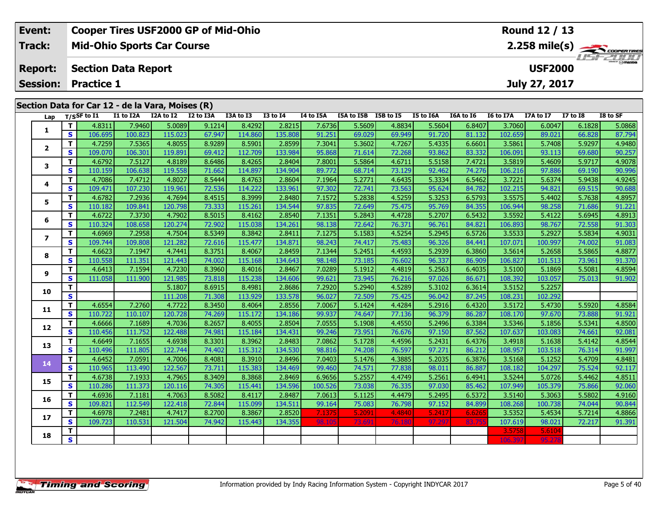| Event:         | <b>Cooper Tires USF2000 GP of Mid-Ohio</b>       | <b>Round 12 / 13</b>                      |
|----------------|--------------------------------------------------|-------------------------------------------|
| <b>Track:</b>  | <b>Mid-Ohio Sports Car Course</b>                | $2.258$ mile(s) $\rightarrow$ COOPERTIRES |
| <b>Report:</b> | <b>Section Data Report</b>                       | <b>USF2000</b>                            |
|                | <b>Session: Practice 1</b>                       | July 27, 2017                             |
|                | Section Data for Car 12 - de la Vara, Moises (R) |                                           |

| Lap                      |                         | $T/S$ SF to $I1$  | I1 to I2A         | -- <i>--</i> 1 - - -<br>I2A to I2 | --<br>$\mathbf{v}$<br>I2 to I3A | I3A to I3         | <b>I3 to I4</b>   | I4 to I5A        | I5A to I5B I5B to I5 |                  | I5 to I6A        | I6A to I6        | I6 to I7A         | I7A to I7         | <b>I7 to I8</b>  | I8 to SF         |
|--------------------------|-------------------------|-------------------|-------------------|-----------------------------------|---------------------------------|-------------------|-------------------|------------------|----------------------|------------------|------------------|------------------|-------------------|-------------------|------------------|------------------|
|                          | T.                      | 4.8311            | 7.9460            | 5.0089                            | 9.1214                          | 8.4292            | 2.8215            | 7.6736           | 5.5609               | 4.8834           | 5.5604           | 6.8407           | 3.7060            | 6.0047            | 6.1828           | 5.0868           |
| 1                        | S                       | 106.695           | 100.823           | 115.023                           | 67.947                          | 114.860           | 135.808           | 91.251           | 69.029               | 69.949           | 91.720           | 81.132           | 102.659           | 89.021            | 66.828           | 87.794           |
|                          | T.                      | 4.7259            | 7.5365            | 4.8055                            | 8.9289                          | 8.5901            | 2.8599            | 7.3041           | 5.3602               | 4.7267           | 5.4335           | 6.6601           | 3.5861            | 5.7408            | 5.9297           | 4.9480           |
| $\mathbf{2}$             | $\mathbf{s}$            | 109.070           | 106.301           | 119.891                           | 69.412                          | 112.709           | 133.984           | 95.868           | 71.614               | 72.268           | 93.862           | 83.332           | 106.091           | 93.113            | 69.680           | 90.257           |
| 3                        | T.                      | 4.6792            | 7.5127            | 4.8189                            | 8.6486                          | 8.4265            | 2.8404            | 7.8001           | 5.5864               | 4.6711           | 5.5158           | 7.4721           | 3.5819            | 5.4609            | 5.9717           | 4.9078           |
|                          | $\mathbf{s}$            | 110.159           | 106.638           | 119.558                           | 71.662                          | 114.897           | 134.904           | 89.772           | 68.714               | 73.129           | 92.462           | 74.276           | 106.216           | 97.886            | 69.190           | 90.996           |
| 4                        | T.                      | 4.7086            | 7.4712            | 4.8027                            | 8.5444                          | 8.4763            | 2.8604            | 7.1964           | 5.2771               | 4.6435           | 5.3334           | 6.5462           | 3.7221            | 5.6374            | 5.9438           | 4.9245           |
|                          | S                       | 109.471           | 107.230           | 119.961                           | 72.536                          | 114.222           | 133.961           | 97.302           | 72.741               | 73.563           | 95.624           | 84.782           | 102.215           | 94.821            | 69.515           | 90.688           |
| 5.                       | T.                      | 4.6782            | 7.2936            | 4.7694                            | 8.4515                          | 8.3999            | 2.8480            | 7.1572           | 5.2838               | 4.5259           | 5.3253           | 6.5793           | 3.5575            | 5.4402            | 5.7638           | 4.8957           |
|                          | S                       | 110.182           | 109.841           | 120.798                           | 73.333                          | 115.261           | 134.544           | 97.835           | 72.649               | 75.475           | 95.769           | 84.355           | 106.944           | 98.258            | 71.686           | 91.221           |
| 6                        | T.                      | 4.6722            | 7.3730            | 4.7902                            | 8.5015                          | 8.4162            | 2.8540            | 7.1351           | 5.2843               | 4.4728           | 5.2707           | 6.5432           | 3.5592            | 5.4122            | 5.6945           | 4.8913           |
|                          | S                       | 110.324           | 108.658           | 120.274                           | 72.902                          | 115.038           | 134.261           | 98.138           | 72.642               | 76.371           | 96.761           | 84.821           | 106.893           | 98.767            | 72.558           | 91.303           |
| $\overline{\phantom{a}}$ | T.                      | 4.6969            | 7.2958            | 4.7504                            | 8.5349                          | 8.3842            | 2.8411            | 7.1275           | 5.1583               | 4.5254           | 5.2945           | 6.5726           | 3.5533            | 5.2927            | 5.5834           | 4.9031           |
|                          | S                       | 109.744           | 109.808           | 121.282                           | 72.616                          | 115.477           | 134.871           | 98.243           | 74.417               | 75.483           | 96.326           | 84.441           | 107.071           | 100.997           | 74.002           | 91.083           |
| 8                        | T.                      | 4.6623            | 7.1947            | 4.7441                            | 8.3751                          | 8.4067            | 2.8459            | 7.1344           | 5.2451               | 4.4593           | 5.2939           | 6.3860           | 3.5614            | 5.2658            | 5.5865           | 4.8877           |
|                          | S                       | 110.558           | 111.351           | 121.443                           | 74.002                          | 115.168           | 134.643           | 98.148           | 73.185               | 76.602           | 96.337           | 86.909           | 106.827           | 101.513           | 73.961           | 91.370           |
| 9                        | $\mathbf{T}$            | 4.6413            | 7.1594            | 4.7230                            | 8.3960                          | 8.4016            | 2.8467            | 7.0289           | 5.1912               | 4.4819           | 5.2563           | 6.4035           | 3.5100            | 5.1869            | 5.5081           | 4.8594           |
|                          | $\mathbf{s}$            | 111.058           | 111.900           | 121.985                           | 73.818                          | 115.238           | 134.606           | 99.621           | 73.945               | 76.216           | 97.026           | 86.671           | 108.392           | 103.057           | 75.013           | 91.902           |
| 10                       | T                       |                   |                   | 5.1807                            | 8.6915                          | 8.4981            | 2.8686            | 7.2920           | 5.2940               | 4.5289           | 5.3102           | 6.3614           | 3.5152            | 5.2257            |                  |                  |
|                          | $\mathbf{s}$            |                   |                   | 111.208                           | 71.308                          | 113.929           | 133.578           | 96.027           | 72.509               | 75.425           | 96.042           | 87.245           | 108.231           | 102.292           |                  |                  |
| 11                       | T                       | 4.6554            | 7.2760            | 4.7722                            | 8.3450                          | 8.4064            | 2.8556            | 7.0067           | 5.1424               | 4.4284           | 5.2916           | 6.4320           | 3.5172            | 5.4730            | 5.5920           | 4.8584           |
|                          | $\mathbf{s}$            | 110.722           | 110.107           | 120.728                           | 74.269                          | 115.172           | 134.186           | 99.937           | 74.647               | 77.136           | 96.379           | 86.287           | 108.170           | 97.670            | 73.888           | 91.921           |
| 12                       | T                       | 4.6666            | 7.1689            | 4.7036                            | 8.2657                          | 8.4055            | 2.8504            | 7.0555           | 5.1908               | 4.4550           | 5.2496           | 6.3384           | 3.5346            | 5.1856            | 5.5341           | 4.8500           |
|                          | $\mathbf{s}$            | 110.456           | 111.752           | 122.488                           | 74.981                          | 115.184           | 134.431           | 99.246           | 73.951               | 76.676           | 97.150           | 87.562           | 107.637           | 103.083           | 74.661           | 92.081           |
| 13                       | $\mathbf{T}$            | 4.6649            | 7.1655            | 4.6938                            | 8.3301                          | 8.3962            | 2.8483            | 7.0862           | 5.1728               | 4.4596           | 5.2431           | 6.4376           | 3.4918            | 5.1638            | 5.4142           | 4.8544           |
|                          | S                       | 110.496           | 111.805           | 122.744                           | 74.402                          | 115.312           | 134.530           | 98.816           | 74.208               | 76.597           | 97.271           | 86.212           | 108.957           | 103.518           | 76.314           | 91.997           |
| 14                       | $\mathbf T$<br>S        | 4.6452<br>110.965 | 7.0591<br>113.490 | 4.7006<br>122.567                 | 8.4081<br>73.711                | 8.3910<br>115.383 | 2.8496<br>134.469 | 7.0403<br>99.460 | 5.1476<br>74.571     | 4.3885<br>77.838 | 5.2035<br>98.011 | 6.3876<br>86.887 | 3.5168<br>108.182 | 5.1252<br>104.297 | 5.4709<br>75.524 | 4.8481<br>92.117 |
|                          | T                       | 4.6738            | 7.1933            | 4.7965                            | 8.3409                          | 8.3868            | 2.8469            | 6.9656           | 5.2557               | 4.4749           | 5.2561           | 6.4941           | 3.5244            | 5.0726            | 5.4462           | 4.8511           |
| 15                       | $\mathbf{s}$            | 110.286           | 111.373           | 120.116                           | 74.305                          | 115.441           | 134.596           | 100.526          | 73.038               | 76.335           | 97.030           | 85.462           | 107.949           | 105.379           | 75.866           | 92.060           |
|                          | T.                      | 4.6936            | 7.1181            | 4.7063                            | 8.5082                          | 8.4117            | 2.8487            | 7.0613           | 5.1125               | 4.4479           | 5.2495           | 6.5372           | 3.5140            | 5.3063            | 5.5802           | 4.9160           |
| 16                       | $\mathbf{s}$            | 109.821           | 112.549           | 122.418                           | 72.844                          | 115.099           | 134.511           | 99.164           | 75.083               | 76.798           | 97.152           | 84.899           | 108.268           | 100.738           | 74.044           | 90.844           |
|                          | $\mathbf{T}$            | 4.6978            | 7.2481            | 4.7417                            | 8.2700                          | 8.3867            | 2.8520            | 7.1375           | 5.2091               | 4.4840           | 5.2417           | 6.6265           | 3.5352            | 5.4534            | 5.7214           | 4.8866           |
| 17                       | $\mathbf{s}$            | 109.723           | 110.531           | 121.504                           | 74.942                          | 115.443           | 134.355           | 98.10            | 73.69                | 76.180           | 97.297           | 83.75            | 107.619           | 98.021            | 72.217           | 91.391           |
|                          | T                       |                   |                   |                                   |                                 |                   |                   |                  |                      |                  |                  |                  | 3.5758            | 5.6104            |                  |                  |
| 18                       | $\overline{\mathbf{s}}$ |                   |                   |                                   |                                 |                   |                   |                  |                      |                  |                  |                  | 106.397           | 95.27             |                  |                  |
|                          |                         |                   |                   |                                   |                                 |                   |                   |                  |                      |                  |                  |                  |                   |                   |                  |                  |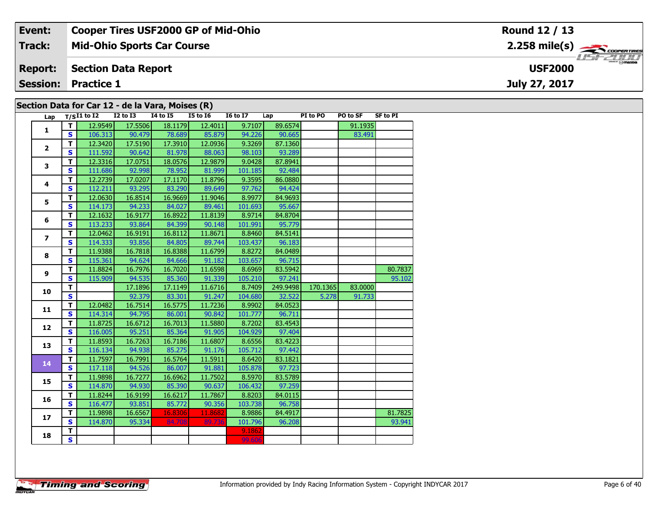| Event:                                           | <b>Cooper Tires USF2000 GP of Mid-Ohio</b> | Round 12 / 13           |  |  |  |  |  |  |  |
|--------------------------------------------------|--------------------------------------------|-------------------------|--|--|--|--|--|--|--|
| Track:                                           | <b>Mid-Ohio Sports Car Course</b>          | $2.258 \text{ mile(s)}$ |  |  |  |  |  |  |  |
| <b>Report:</b>                                   | Section Data Report                        | <b>USF2000</b>          |  |  |  |  |  |  |  |
|                                                  | <b>Session: Practice 1</b>                 | July 27, 2017           |  |  |  |  |  |  |  |
| Section Data for Car 12 - de la Vara, Moises (R) |                                            |                         |  |  |  |  |  |  |  |

|                                                                                          |                         |                 |                 |                 | $\sim$ $\sim$   |                 |          |          |          |                 |
|------------------------------------------------------------------------------------------|-------------------------|-----------------|-----------------|-----------------|-----------------|-----------------|----------|----------|----------|-----------------|
| Lap                                                                                      |                         | $T/SI1$ to $I2$ | <b>I2 to I3</b> | <b>I4 to I5</b> | <b>I5 to 16</b> | <b>16 to 17</b> | Lap      | PI to PO | PO to SF | <b>SF to PI</b> |
|                                                                                          | T                       | 12.9549         | 17.5506         | 18.1179         | 12.4011         | 9.7107          | 89.6574  |          | 91.1935  |                 |
|                                                                                          | S.                      | 106.313         | 90.479          | 78.689          | 85.879          | 94.226          | 90.665   |          | 83.491   |                 |
| 1<br>$\overline{\mathbf{2}}$<br>3<br>4<br>5<br>6<br>$\overline{ }$<br>8<br>9<br>10<br>11 | $\mathbf T$             | 12.3420         | 17.5190         | 17.3910         | 12.0936         | 9.3269          | 87.1360  |          |          |                 |
|                                                                                          | <b>S</b>                | 111.592         | 90.642          | 81.978          | 88.063          | 98.103          | 93.289   |          |          |                 |
|                                                                                          | T                       | 12.3316         | 17.0751         | 18.0576         | 12.9879         | 9.0428          | 87.8941  |          |          |                 |
|                                                                                          | S                       | 111.686         | 92.998          | 78.952          | 81.999          | 101.185         | 92.484   |          |          |                 |
|                                                                                          | T                       | 12.2739         | 17.0207         | 17.1170         | 11.8796         | 9.3595          | 86.0880  |          |          |                 |
|                                                                                          | S                       | 112.211         | 93.295          | 83.290          | 89.649          | 97.762          | 94.424   |          |          |                 |
|                                                                                          | T                       | 12.0630         | 16.8514         | 16.9669         | 11.9046         | 8.9977          | 84.9693  |          |          |                 |
|                                                                                          | $\mathbf{s}$            | 114.173         | 94.233          | 84.027          | 89.461          | 101.693         | 95.667   |          |          |                 |
|                                                                                          | T                       | 12.1632         | 16.9177         | 16.8922         | 11.8139         | 8.9714          | 84.8704  |          |          |                 |
|                                                                                          | $\mathbf{s}$            | 113.233         | 93.864          | 84.399          | 90.148          | 101.991         | 95.779   |          |          |                 |
|                                                                                          | $\mathbf T$             | 12.0462         | 16.9191         | 16.8112         | 11.8671         | 8.8460          | 84.5141  |          |          |                 |
|                                                                                          | $\mathbf{s}$            | 114.333         | 93.856          | 84.805          | 89.744          | 103.437         | 96.183   |          |          |                 |
|                                                                                          | $\mathbf T$             | 11.9388         | 16.7818         | 16.8388         | 11.6799         | 8.8272          | 84.0489  |          |          |                 |
|                                                                                          | $\overline{\mathbf{s}}$ | 115.361         | 94.624          | 84.666          | 91.182          | 103.657         | 96.715   |          |          |                 |
|                                                                                          | $\mathbf T$             | 11.8824         | 16.7976         | 16.7020         | 11.6598         | 8.6969          | 83.5942  |          |          | 80.7837         |
|                                                                                          | $\mathbf{s}$            | 115.909         | 94.535          | 85.360          | 91.339          | 105.210         | 97.241   |          |          | 95.102          |
|                                                                                          | $\mathbf{T}$            |                 | 17.1896         | 17.1149         | 11.6716         | 8.7409          | 249.9498 | 170.1365 | 83.0000  |                 |
|                                                                                          | $\overline{\mathbf{s}}$ |                 | 92.379          | 83.301          | 91.247          | 104.680         | 32.522   | 5.278    | 91.733   |                 |
|                                                                                          | T.                      | 12.0482         | 16.7514         | 16.5775         | 11.7236         | 8.9902          | 84.0523  |          |          |                 |
|                                                                                          | $\overline{\mathbf{s}}$ | 114.314         | 94.795          | 86.001          | 90.842          | 101.777         | 96.711   |          |          |                 |
| 12                                                                                       | T                       | 11.8725         | 16.6712         | 16.7013         | 11.5880         | 8.7202          | 83.4543  |          |          |                 |
|                                                                                          | $\mathbf{s}$            | 116.005         | 95.251          | 85.364          | 91.905          | 104.929         | 97.404   |          |          |                 |
| 13                                                                                       | T.                      | 11.8593         | 16.7263         | 16.7186         | 11.6807         | 8.6556          | 83.4223  |          |          |                 |
|                                                                                          | $\overline{\mathbf{s}}$ | 116.134         | 94.938          | 85.275          | 91.176          | 105.712         | 97.442   |          |          |                 |
| 14                                                                                       | T.                      | 11.7597         | 16.7991         | 16.5764         | 11.5911         | 8.6420          | 83.1821  |          |          |                 |
|                                                                                          | $\overline{\mathbf{s}}$ | 117.118         | 94.526          | 86.007          | 91.881          | 105.878         | 97.723   |          |          |                 |
| 15                                                                                       | T.                      | 11.9898         | 16.7277         | 16.6962         | 11.7502         | 8.5970          | 83.5789  |          |          |                 |
|                                                                                          | S.                      | 114.870         | 94.930          | 85.390          | 90.637          | 106.432         | 97.259   |          |          |                 |
| 16                                                                                       | $\mathbf{T}$            | 11.8244         | 16.9199         | 16.6217         | 11.7867         | 8.8203          | 84.0115  |          |          |                 |
|                                                                                          | S                       | 116.477         | 93.851          | 85.772          | 90.356          | 103.738         | 96.758   |          |          |                 |
| 17                                                                                       | T.                      | 11.9898         | 16.6567         | 16.8306         | 11.8682         | 8.9886          | 84.4917  |          |          | 81.7825         |
|                                                                                          | S                       | 114.870         | 95.334          | 84.708          | 89.736          | 101.796         | 96.208   |          |          | 93.941          |
| 18                                                                                       | T.                      |                 |                 |                 |                 | 9.1862          |          |          |          |                 |
|                                                                                          | $\overline{\mathbf{s}}$ |                 |                 |                 |                 | 99.606          |          |          |          |                 |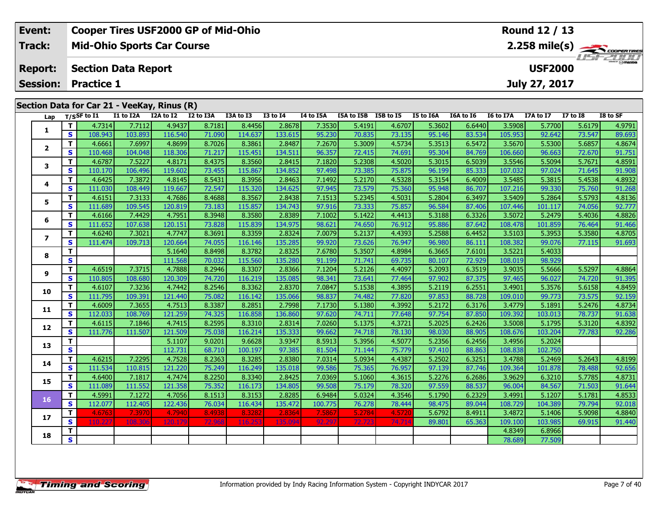| Event:          | <b>Cooper Tires USF2000 GP of Mid-Ohio</b>  | Round 12 / 13                                |
|-----------------|---------------------------------------------|----------------------------------------------|
| Track:          | <b>Mid-Ohio Sports Car Course</b>           | $2.258$ mile(s) $\frac{1}{2.258}$ coorenting |
| <b>Report:</b>  | Section Data Report                         | <b>HSFZOOD</b><br><b>USF2000</b>             |
| <b>Session:</b> | <b>Practice 1</b>                           | July 27, 2017                                |
|                 | Section Data for Car 21 - VeeKay, Rinus (R) |                                              |

| Lap            |              | $T/S$ SF to $I1$ | I1 to I2A | I2A to I2 | I2 to I3A | I3A to I3 | <b>I3 to I4</b> | I4 to I5A | I5A to I5B I5B to I5 |        | I5 to I6A | I6A to I6 | I6 to I7A | I7A to I7 | <b>I7 to I8</b> | I8 to SF |
|----------------|--------------|------------------|-----------|-----------|-----------|-----------|-----------------|-----------|----------------------|--------|-----------|-----------|-----------|-----------|-----------------|----------|
|                | T            | 4.7314           | 7.7112    | 4.9437    | 8.7181    | 8.4456    | 2.8678          | 7.3530    | 5.4191               | 4.6707 | 5.3602    | 6.6440    | 3.5908    | 5.7700    | 5.6179          | 4.9791   |
| 1              | S            | 108.943          | 103.893   | 116.540   | 71.090    | 114.637   | 133.615         | 95.230    | 70.835               | 73.135 | 95.146    | 83.534    | 105.953   | 92.642    | 73.547          | 89.693   |
|                | T            | 4.6661           | 7.6997    | 4.8699    | 8.7026    | 8.3861    | 2.8487          | 7.2670    | 5.3009               | 4.5734 | 5.3513    | 6.5472    | 3.5670    | 5.5300    | 5.6857          | 4.8674   |
| $\overline{2}$ | <b>S</b>     | 110.468          | 104.048   | 118.306   | 71.217    | 115.451   | 134.511         | 96.357    | 72.415               | 74.691 | 95.304    | 84.769    | 106.660   | 96.663    | 72.670          | 91.751   |
| 3              | T            | 4.6787           | 7.5227    | 4.8171    | 8.4375    | 8.3560    | 2.8415          | 7.1820    | 5.2308               | 4.5020 | 5.3015    | 6.5039    | 3.5546    | 5.5094    | 5.7671          | 4.8591   |
|                | <b>S</b>     | 110.170          | 106.496   | 119.602   | 73.455    | 115.867   | 134.852         | 97.498    | 73.385               | 75.875 | 96.199    | 85.333    | 107.032   | 97.024    | 71.645          | 91.908   |
|                | T            | 4.6425           | 7.3872    | 4.8145    | 8.5431    | 8.3956    | 2.8463          | 7.1492    | 5.2170               | 4.5328 | 5.3154    | 6.4009    | 3.5485    | 5.3815    | 5.4538          | 4.8932   |
| 4              | $\mathbf{s}$ | 111.030          | 108.449   | 119.667   | 72.547    | 115.320   | 134.625         | 97.945    | 73.579               | 75.360 | 95.948    | 86.707    | 107.216   | 99.330    | 75.760          | 91.268   |
| 5              | T            | 4.6151           | 7.3133    | 4.7686    | 8.4688    | 8.3567    | 2.8438          | 7.1513    | 5.2345               | 4.5031 | 5.2804    | 6.3497    | 3.5409    | 5.2864    | 5.5793          | 4.8136   |
|                | <b>S</b>     | 111.689          | 109.545   | 120.819   | 73.183    | 115.857   | 134.743         | 97.916    | 73.333               | 75.857 | 96.584    | 87.406    | 107.446   | 101.117   | 74.056          | 92.777   |
| 6              | $\mathbf{T}$ | 4.6166           | 7.4429    | 4.7951    | 8.3948    | 8.3580    | 2.8389          | 7.1002    | 5.1422               | 4.4413 | 5.3188    | 6.3326    | 3.5072    | 5.2479    | 5.4036          | 4.8826   |
|                | $\mathbf{s}$ | 111.652          | 107.638   | 120.151   | 73.828    | 115.839   | 134.975         | 98.621    | 74.650               | 76.912 | 95.886    | 87.642    | 108.478   | 101.859   | 76.464          | 91.466   |
| $\overline{ }$ | T            | 4.6240           | 7.3021    | 4.7747    | 8.3691    | 8.3359    | 2.8324          | 7.0079    | 5.2137               | 4.4393 | 5.2588    | 6.4452    | 3.5103    | 5.3953    | 5.3580          | 4.8705   |
|                | S            | 111.474          | 109.713   | 120.664   | 74.055    | 116.146   | 135.285         | 99.920    | 73.626               | 76.947 | 96.980    | 86.111    | 108.382   | 99.076    | 77.115          | 91.693   |
| 8              | $\mathbf T$  |                  |           | 5.1640    | 8.8498    | 8.3782    | 2.8325          | 7.6780    | 5.3507               | 4.8984 | 6.3665    | 7.6101    | 3.5221    | 5.4033    |                 |          |
|                | $\mathbf{s}$ |                  |           | 111.568   | 70.032    | 115.560   | 135.280         | 91.199    | 71.741               | 69.735 | 80.107    | 72.929    | 108.019   | 98.929    |                 |          |
| 9              | $\mathbf T$  | 4.6519           | 7.3715    | 4.7888    | 8.2946    | 8.3307    | 2.8366          | 7.1204    | 5.2126               | 4.4097 | 5.2093    | 6.3519    | 3.9035    | 5.5666    | 5.5297          | 4.8864   |
|                | $\mathbf{s}$ | 110.805          | 108.680   | 120.309   | 74.720    | 116.219   | 135.085         | 98.341    | 73.641               | 77.464 | 97.902    | 87.375    | 97.465    | 96.027    | 74.720          | 91.395   |
| 10             | $\mathbf{T}$ | 4.6107           | 7.3236    | 4.7442    | 8.2546    | 8.3362    | 2.8370          | 7.0847    | 5.1538               | 4.3895 | 5.2119    | 6.2551    | 3.4901    | 5.3576    | 5.6158          | 4.8459   |
|                | <b>S</b>     | 111.795          | 109.391   | 121.440   | 75.082    | 116.142   | 135.066         | 98.837    | 74.482               | 77.820 | 97.853    | 88.728    | 109.010   | 99.773    | 73.575          | 92.159   |
| 11             | $\mathbf T$  | 4.6009           | 7.3655    | 4.7513    | 8.3387    | 8.2851    | 2.7998          | 7.1730    | 5.1380               | 4.3992 | 5.2172    | 6.3176    | 3.4779    | 5.1891    | 5.2476          | 4.8734   |
|                | $\mathbf{s}$ | 112.033          | 108.769   | 121.259   | 74.325    | 116.858   | 136.860         | 97.620    | 74.711               | 77.648 | 97.754    | 87.850    | 109.392   | 103.013   | 78.737          | 91.638   |
| 12             | T            | 4.6115           | 7.1846    | 4.7415    | 8.2595    | 8.3310    | 2.8314          | 7.0260    | 5.1375               | 4.3721 | 5.2025    | 6.2426    | 3.5008    | 5.1795    | 5.3120          | 4.8392   |
|                | $\mathbf{s}$ | 111.776          | 111.507   | 121.509   | 75.038    | 116.214   | 135.333         | 99.662    | 74.718               | 78.130 | 98.030    | 88.905    | 108.676   | 103.204   | 77.783          | 92.286   |
| 13             | $\mathbf T$  |                  |           | 5.1107    | 9.0201    | 9.6628    | 3.9347          | 8.5913    | 5.3956               | 4.5077 | 5.2356    | 6.2456    | 3.4956    | 5.2024    |                 |          |
|                | $\mathbf{s}$ |                  |           | 112.731   | 68.710    | 100.197   | 97.385          | 81.504    | 71.144               | 75.779 | 97.410    | 88.863    | 108.838   | 102.750   |                 |          |
| 14             | T            | 4.6215           | 7.2295    | 4.7528    | 8.2363    | 8.3285    | 2.8380          | 7.0314    | 5.0934               | 4.4387 | 5.2502    | 6.3251    | 3.4788    | 5.2469    | 5.2643          | 4.8199   |
|                | S            | 111.534          | 110.815   | 121.220   | 75.249    | 116.249   | 135.018         | 99.586    | 75.365               | 76.957 | 97.139    | 87.746    | 109.364   | 101.878   | 78.488          | 92.656   |
| 15             | $\mathbf{T}$ | 4.6400           | 7.1817    | 4.7474    | 8.2250    | 8.3340    | 2.8425          | 7.0369    | 5.1060               | 4.3615 | 5.2276    | 6.2686    | 3.9629    | 6.3210    | 5.7785          | 4.8731   |
|                | $\mathbf{s}$ | 111.089          | 111.552   | 121.358   | 75.352    | 116.173   | 134.805         | 99.508    | 75.179               | 78.320 | 97.559    | 88.537    | 96.004    | 84.567    | 71.503          | 91.644   |
| 16             | T            | 4.5991           | 7.1272    | 4.7056    | 8.1513    | 8.3153    | 2.8285          | 6.9484    | 5.0324               | 4.3546 | 5.1790    | 6.2329    | 3.4991    | 5.1207    | 5.1781          | 4.8533   |
|                | S            | 112.077          | 112.405   | 122.436   | 76.034    | 116.434   | 135.472         | 100.775   | 76.278               | 78.444 | 98.475    | 89.044    | 108.729   | 104.389   | 79.794          | 92.018   |
| 17             | $\mathbf{T}$ | 4.6763           | 7.3970    | 4.7940    | 8.4938    | 8.3282    | 2.8364          | 7.5867    | 5.2784               | 4.5720 | 5.6792    | 8.4911    | 3.4872    | 5.1406    | 5.9098          | 4.8840   |
|                | $\mathbf{s}$ | 110.22           | 108,306   | 120.179   | 72.968    | 116.253   | 135.094         | 92.29     | 72.723               | 74.714 | 89.801    | 65.363    | 109.100   | 103.985   | 69.915          | 91.440   |
| 18             | T            |                  |           |           |           |           |                 |           |                      |        |           |           | 4.8349    | 6.8966    |                 |          |
|                | $\mathbf{s}$ |                  |           |           |           |           |                 |           |                      |        |           |           | 78.689    | 77.509    |                 |          |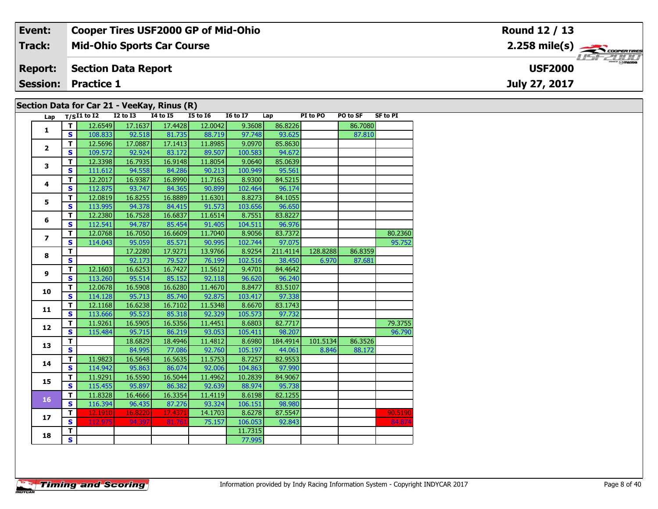| Event:          | <b>Cooper Tires USF2000 GP of Mid-Ohio</b>  | Round 12 / 13                                         |
|-----------------|---------------------------------------------|-------------------------------------------------------|
| <b>Track:</b>   | <b>Mid-Ohio Sports Car Course</b>           | $2.258$ mile(s) $\overbrace{\hspace{2cm}}$ coorgained |
| <b>Report:</b>  | <b>Section Data Report</b>                  | <b>LISF 2000</b><br><b>USF2000</b>                    |
| <b>Session:</b> | <b>Practice 1</b>                           | July 27, 2017                                         |
|                 | Section Data for Car 21 - VeeKay, Rinus (R) |                                                       |

| Lap            |                         | $T/SI1$ to I2 | <b>I2 to I3</b> | <b>I4 to I5</b> | <b>I5 to 16</b> | <b>I6 to I7</b> | Lap      | PI to PO | PO to SF | <b>SF to PI</b> |
|----------------|-------------------------|---------------|-----------------|-----------------|-----------------|-----------------|----------|----------|----------|-----------------|
|                | $\mathbf{T}$            | 12.6549       | 17.1637         | 17.4428         | 12.0042         | 9.3608          | 86.8226  |          | 86.7080  |                 |
| 1              | $\mathbf{s}$            | 108.833       | 92.518          | 81.735          | 88.719          | 97.748          | 93.625   |          | 87.810   |                 |
|                | $\overline{\mathsf{r}}$ | 12.5696       | 17.0887         | 17.1413         | 11.8985         | 9.0970          | 85.8630  |          |          |                 |
| $\overline{2}$ | $\mathbf{s}$            | 109.572       | 92.924          | 83.172          | 89.507          | 100.583         | 94.672   |          |          |                 |
|                | $\mathbf T$             | 12.3398       | 16.7935         | 16.9148         | 11.8054         | 9.0640          | 85.0639  |          |          |                 |
| 3              | $\overline{\mathbf{s}}$ | 111.612       | 94.558          | 84.286          | 90.213          | 100.949         | 95.561   |          |          |                 |
| 4              | $\mathbf T$             | 12.2017       | 16.9387         | 16.8990         | 11.7163         | 8.9300          | 84.5215  |          |          |                 |
|                | $\mathbf{s}$            | 112.875       | 93.747          | 84.365          | 90.899          | 102.464         | 96.174   |          |          |                 |
| 5              | $\mathbf T$             | 12.0819       | 16.8255         | 16.8889         | 11.6301         | 8.8273          | 84.1055  |          |          |                 |
|                | $\overline{\mathbf{s}}$ | 113.995       | 94.378          | 84.415          | 91.573          | 103.656         | 96.650   |          |          |                 |
| 6              | $\mathbf T$             | 12.2380       | 16.7528         | 16.6837         | 11.6514         | 8.7551          | 83.8227  |          |          |                 |
|                | $\mathbf{s}$            | 112.541       | 94.787          | 85.454          | 91.405          | 104.511         | 96.976   |          |          |                 |
| $\overline{ }$ | $\mathbf T$             | 12.0768       | 16.7050         | 16.6609         | 11.7040         | 8.9056          | 83.7372  |          |          | 80.2360         |
|                | $\overline{\mathbf{s}}$ | 114.043       | 95.059          | 85.571          | 90.995          | 102.744         | 97.075   |          |          | 95.752          |
| 8              | $\overline{\mathbf{T}}$ |               | 17.2280         | 17.9271         | 13.9766         | 8.9254          | 211.4114 | 128.8288 | 86.8359  |                 |
|                | $\overline{\mathbf{s}}$ |               | 92.173          | 79.527          | 76.199          | 102.516         | 38.450   | 6.970    | 87.681   |                 |
| 9              | T                       | 12.1603       | 16.6253         | 16.7427         | 11.5612         | 9.4701          | 84.4642  |          |          |                 |
|                | $\overline{\mathbf{s}}$ | 113.260       | 95.514          | 85.152          | 92.118          | 96.620          | 96.240   |          |          |                 |
| 10             | $\overline{\mathsf{r}}$ | 12.0678       | 16.5908         | 16.6280         | 11.4670         | 8.8477          | 83.5107  |          |          |                 |
|                | $\overline{\mathbf{s}}$ | 114.128       | 95.713          | 85.740          | 92.875          | 103.417         | 97.338   |          |          |                 |
| 11             | $\overline{\mathbf{T}}$ | 12.1168       | 16.6238         | 16.7102         | 11.5348         | 8.6670          | 83.1743  |          |          |                 |
|                | $\overline{\mathbf{s}}$ | 113.666       | 95.523          | 85.318          | 92.329          | 105.573         | 97.732   |          |          |                 |
| 12             | $\overline{\mathbf{T}}$ | 11.9261       | 16.5905         | 16.5356         | 11.4451         | 8.6803          | 82.7717  |          |          | 79.3755         |
|                | $\mathbf{s}$            | 115.484       | 95.715          | 86.219          | 93.053          | 105.411         | 98.207   |          |          | 96.790          |
| 13             | $\overline{\mathsf{T}}$ |               | 18.6829         | 18.4946         | 11.4812         | 8.6980          | 184.4914 | 101.5134 | 86.3526  |                 |
|                | $\overline{\mathbf{s}}$ |               | 84.995          | 77.086          | 92.760          | 105.197         | 44.061   | 8.846    | 88.172   |                 |
| 14             | $\mathbf{T}$            | 11.9823       | 16.5648         | 16.5635         | 11.5753         | 8.7257          | 82.9553  |          |          |                 |
|                | $\mathbf{s}$            | 114.942       | 95.863          | 86.074          | 92.006          | 104.863         | 97.990   |          |          |                 |
| 15             | $\overline{\mathsf{r}}$ | 11.9291       | 16.5590         | 16.5044         | 11.4962         | 10.2839         | 84.9067  |          |          |                 |
|                | $\overline{\mathbf{s}}$ | 115.455       | 95.897          | 86.382          | 92.639          | 88.974          | 95.738   |          |          |                 |
| 16             | $\overline{\mathbf{T}}$ | 11.8328       | 16.4666         | 16.3354         | 11.4119         | 8.6198          | 82.1255  |          |          |                 |
|                | $\overline{\mathbf{s}}$ | 116.394       | 96.435          | 87.276          | 93.324          | 106.151         | 98.980   |          |          |                 |
| 17             | $\mathbf{T}$            | 12.1910       | 16.8220         | 17.4371         | 14.1703         | 8.6278          | 87.5547  |          |          | 90.5190         |
|                | S.                      | 112.975       | 94.397          | 81.761          | 75.157          | 106.053         | 92.843   |          |          | 84.874          |
| 18             | T.                      |               |                 |                 |                 | 11.7315         |          |          |          |                 |
|                | $\mathbf{s}$            |               |                 |                 |                 | 77.995          |          |          |          |                 |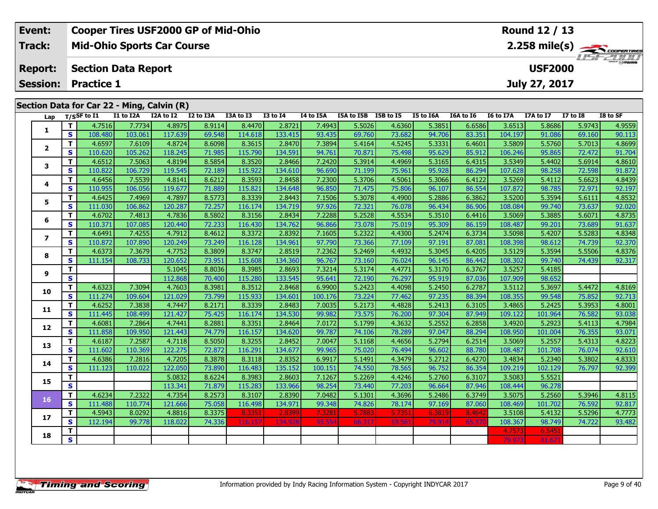| Event:         | <b>Cooper Tires USF2000 GP of Mid-Ohio</b> |                     |           |           |          | Round 12 / 13 |                      |           |           |           |                |          |          |
|----------------|--------------------------------------------|---------------------|-----------|-----------|----------|---------------|----------------------|-----------|-----------|-----------|----------------|----------|----------|
| Track:         | <b>Mid-Ohio Sports Car Course</b>          |                     |           |           |          |               |                      |           |           | USF2000   |                |          |          |
| <b>Report:</b> | <b>Section Data Report</b>                 |                     |           |           |          |               |                      |           |           |           | <b>USF2000</b> |          |          |
|                | <b>Session: Practice 1</b>                 |                     |           |           |          |               |                      |           |           |           | July 27, 2017  |          |          |
|                |                                            |                     |           |           |          |               |                      |           |           |           |                |          |          |
|                | Section Data for Car 22 - Ming, Calvin (R) |                     |           |           |          |               |                      |           |           |           |                |          |          |
|                | $1.22 \times 10^{-11}$                     | T1 to T2A T2A to T2 | 12 to 13A | T3A to T3 | T3 to T4 | T4 to T5A     | T5A to T5R T5R to T5 | T5 to T6A | TGA to TG | 16 to 17A | 17A to 17      | 17 to 18 | IS to SF |

| Lap            |                         | $T/S$ SF to $I1$ | I1 to I2A | I2A to I2 | I2 to I3A | I3A to I3 | <b>I3 to I4</b> | I4 to I5A | I5A to I5B I5B to I5 |        | I5 to I6A | I6A to I6 | I6 to I7A | I7A to I7 | <b>I7 to I8</b> | I8 to SF |
|----------------|-------------------------|------------------|-----------|-----------|-----------|-----------|-----------------|-----------|----------------------|--------|-----------|-----------|-----------|-----------|-----------------|----------|
| 1              | T.                      | 4.7516           | 7.7734    | 4.8975    | 8.9114    | 8.4470    | 2.8721          | 7.4943    | 5.5026               | 4.6360 | 5.3851    | 6.6586    | 3.6513    | 5.8686    | 5.9743          | 4.9559   |
|                | $\mathbf{s}$            | 108.480          | 103.061   | 117.639   | 69.548    | 114.618   | 133.415         | 93.435    | 69.760               | 73.682 | 94.706    | 83.351    | 104.197   | 91.086    | 69.160          | 90.113   |
| $\mathbf{2}$   | T.                      | 4.6597           | 7.6109    | 4.8724    | 8.6098    | 8.3615    | 2.8470          | 7.3894    | 5.4164               | 4.5245 | 5.3331    | 6.4601    | 3.5809    | 5.5760    | 5.7013          | 4.8699   |
|                | $\mathbf{s}$            | 110.620          | 105.262   | 118.245   | 71.985    | 115.790   | 134.591         | 94.761    | 70.871               | 75.498 | 95.629    | 85.912    | 106.246   | 95.865    | 72.472          | 91.704   |
| 3              | Т                       | 4.6512           | 7.5063    | 4.8194    | 8.5854    | 8.3520    | 2.8466          | 7.2420    | 5.3914               | 4.4969 | 5.3165    | 6.4315    | 3.5349    | 5.4402    | 5.6914          | 4.8610   |
|                | $\mathbf{s}$            | 110.822          | 106.729   | 119.545   | 72.189    | 115.922   | 134.610         | 96.690    | 71.199               | 75.961 | 95.928    | 86.294    | 107.628   | 98.258    | 72.598          | 91.872   |
| 4              | T.                      | 4.6456           | 7.5539    | 4.8141    | 8.6212    | 8.3593    | 2.8458          | 7.2300    | 5.3706               | 4.5061 | 5.3066    | 6.4122    | 3.5269    | 5.4112    | 5.6623          | 4.8439   |
|                | S                       | 110.955          | 106.056   | 119.677   | 71.889    | 115.821   | 134.648         | 96.850    | 71.475               | 75.806 | 96.107    | 86.554    | 107.872   | 98.785    | 72.971          | 92.197   |
| 5              | T.                      | 4.6425           | 7.4969    | 4.7897    | 8.5773    | 8.3339    | 2.8443          | 7.1506    | 5.3078               | 4.4900 | 5.2886    | 6.3862    | 3.5200    | 5.3594    | 5.6111          | 4.8532   |
|                | S                       | 111.030          | 106.862   | 120.287   | 72.257    | 116.174   | 134.719         | 97.926    | 72.321               | 76.078 | 96.434    | 86.906    | 108.084   | 99.740    | 73.637          | 92.020   |
| 6              | T.                      | 4.6702           | 7.4813    | 4.7836    | 8.5802    | 8.3156    | 2.8434          | 7.2288    | 5.2528               | 4.5534 | 5.3510    | 6.4416    | 3.5069    | 5.3885    | 5.6071          | 4.8735   |
|                | S                       | 110.371          | 107.085   | 120.440   | 72.233    | 116.430   | 134.762         | 96.866    | 73.078               | 75.019 | 95.309    | 86.159    | 108.487   | 99.201    | 73.689          | 91.637   |
| $\overline{ }$ | T.                      | 4.6491           | 7.4255    | 4.7912    | 8.4612    | 8.3372    | 2.8392          | 7.1605    | 5.2322               | 4.4300 | 5.2474    | 6.3734    | 3.5098    | 5.4207    | 5.5283          | 4.8348   |
|                | S                       | 110.872          | 107.890   | 120.249   | 73.249    | 116.128   | 134.961         | 97.790    | 73.366               | 77.109 | 97.191    | 87.081    | 108.398   | 98.612    | 74.739          | 92.370   |
| 8              | T.                      | 4.6373           | 7.3679    | 4.7752    | 8.3809    | 8.3747    | 2.8519          | 7.2362    | 5.2469               | 4.4932 | 5.3045    | 6.4205    | 3.5129    | 5.3594    | 5.5506          | 4.8376   |
|                | S                       | 111.154          | 108.733   | 120.652   | 73.951    | 115.608   | 134.360         | 96.767    | 73.160               | 76.024 | 96.145    | 86.442    | 108.302   | 99.740    | 74.439          | 92.317   |
| 9              | T.                      |                  |           | 5.1045    | 8.8036    | 8.3985    | 2.8693          | 7.3214    | 5.3174               | 4.4771 | 5.3170    | 6.3767    | 3.5257    | 5.4185    |                 |          |
|                | S                       |                  |           | 112.868   | 70.400    | 115.280   | 133.545         | 95.641    | 72.190               | 76.297 | 95.919    | 87.036    | 107.909   | 98.652    |                 |          |
| 10             | T.                      | 4.6323           | 7.3094    | 4.7603    | 8.3981    | 8.3512    | 2.8468          | 6.9900    | 5.2423               | 4.4098 | 5.2450    | 6.2787    | 3.5112    | 5.3697    | 5.4472          | 4.8169   |
|                | <b>S</b>                | 111.274          | 109.604   | 121.029   | 73.799    | 115.933   | 134.601         | 100.176   | 73.224               | 77.462 | 97.235    | 88.394    | 108.355   | 99.548    | 75.852          | 92.713   |
| 11             | Т                       | 4.6252           | 7.3838    | 4.7447    | 8.2171    | 8.3339    | 2.8483          | 7.0035    | 5.2173               | 4.4828 | 5.2413    | 6.3105    | 3.4865    | 5.2425    | 5.3953          | 4.8001   |
|                | S                       | 111.445          | 108.499   | 121.427   | 75.425    | 116.174   | 134.530         | 99.982    | 73.575               | 76.200 | 97.304    | 87.949    | 109.122   | 101.964   | 76.582          | 93.038   |
| 12             | T.                      | 4.6081           | 7.2864    | 4.7441    | 8.2881    | 8.3351    | 2.8464          | 7.0172    | 5.1799               | 4.3632 | 5.2552    | 6.2858    | 3.4920    | 5.2923    | 5.4113          | 4.7984   |
|                | S                       | 111.858          | 109.950   | 121.443   | 74.779    | 116.157   | 134.620         | 99.787    | 74.106               | 78.289 | 97.047    | 88.294    | 108.950   | 101.004   | 76.355          | 93.071   |
| 13             | T.                      | 4.6187           | 7.2587    | 4.7118    | 8.5050    | 8.3255    | 2.8452          | 7.0047    | 5.1168               | 4.4656 | 5.2794    | 6.2514    | 3.5069    | 5.2557    | 5.4313          | 4.8223   |
|                | S                       | 111.602          | 110.369   | 122.275   | 72.872    | 116.291   | 134.677         | 99.965    | 75.020               | 76.494 | 96.602    | 88.780    | 108.487   | 101.708   | 76.074          | 92.610   |
| 14             | T.                      | 4.6386           | 7.2816    | 4.7205    | 8.3878    | 8.3118    | 2.8352          | 6.9917    | 5.1491               | 4.3479 | 5.2712    | 6.4270    | 3.4834    | 5.2340    | 5.3802          | 4.8333   |
|                | S                       | 111.123          | 110.022   | 122.050   | 73.890    | 116.483   | 135.152         | 100.151   | 74.550               | 78.565 | 96.752    | 86.354    | 109.219   | 102.129   | 76.797          | 92.399   |
| 15             | T.                      |                  |           | 5.0832    | 8.6224    | 8.3983    | 2.8603          | 7.1267    | 5.2269               | 4.4246 | 5.2760    | 6.3107    | 3.5083    | 5.5521    |                 |          |
|                | S                       |                  |           | 113.341   | 71.879    | 115.283   | 133.966         | 98.254    | 73.440               | 77.203 | 96.664    | 87.946    | 108.444   | 96.278    |                 |          |
| 16             | T.                      | 4.6234           | 7.2322    | 4.7354    | 8.2573    | 8.3107    | 2.8390          | 7.0482    | 5.1301               | 4.3696 | 5.2486    | 6.3749    | 3.5075    | 5.2560    | 5.3946          | 4.8115   |
|                | S                       | 111.488          | 110.774   | 121.666   | 75.058    | 116.498   | 134.971         | 99.348    | 74.826               | 78.174 | 97.169    | 87.060    | 108.469   | 101.702   | 76.592          | 92.817   |
| 17             | T.                      | 4.5943           | 8.0292    | 4.8816    | 8.3375    | 8.3351    | 2.8399          | 7.3281    | 5.7883               | 5.7351 | 6.3819    | 8.4642    | 3.5108    | 5.4132    | 5.5296          | 4.7773   |
|                | S                       | 112.194          | 99.778    | 118.022   | 74.336    | 116.157   | 134.92          | 95.554    | 66.317               | 59.56  | 79.914    | 65.5      | 108.367   | 98.749    | 74.722          | 93.482   |
| 18             | т                       |                  |           |           |           |           |                 |           |                      |        |           |           | 4.7573    | 6.5451    |                 |          |
|                | $\overline{\mathbf{s}}$ |                  |           |           |           |           |                 |           |                      |        |           |           | 79.973    | 81.67     |                 |          |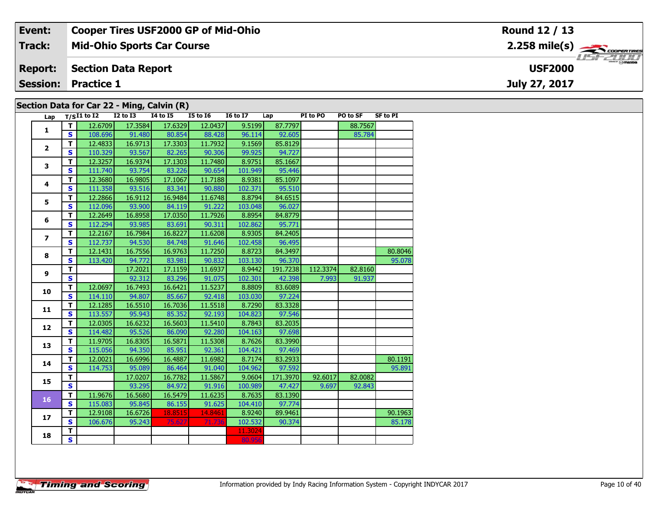| Event:         | <b>Cooper Tires USF2000 GP of Mid-Ohio</b> | Round 12 / 13                   |
|----------------|--------------------------------------------|---------------------------------|
| Track:         | <b>Mid-Ohio Sports Car Course</b>          | $2.258$ mile(s) $\rightarrow$   |
| <b>Report:</b> | <b>Section Data Report</b>                 | $\frac{1}{2}$<br><b>USF2000</b> |
| Session:       | <b>Practice 1</b>                          | July 27, 2017                   |
|                | Section Data for Car 22 - Ming, Calvin (R) |                                 |

| Lap                      |                         | $T/SI1$ to $\overline{I2}$ | $I2$ to $I3$ | <b>I4 to I5</b> | <b>I5 to 16</b> | <b>I6 to I7</b> | Lap      | PI to PO | PO to SF | <b>SF to PI</b> |
|--------------------------|-------------------------|----------------------------|--------------|-----------------|-----------------|-----------------|----------|----------|----------|-----------------|
| $\mathbf{1}$             | T.                      | 12.6709                    | 17.3584      | 17.6329         | 12.0437         | 9.5199          | 87.7797  |          | 88.7567  |                 |
|                          | S                       | 108.696                    | 91.480       | 80.854          | 88.428          | 96.114          | 92.605   |          | 85.784   |                 |
| $\overline{2}$           | T                       | 12.4833                    | 16.9713      | 17.3303         | 11.7932         | 9.1569          | 85.8129  |          |          |                 |
|                          | $\mathbf{s}$            | 110.329                    | 93.567       | 82.265          | 90.306          | 99.925          | 94.727   |          |          |                 |
| 3                        | T                       | 12.3257                    | 16.9374      | 17.1303         | 11.7480         | 8.9751          | 85.1667  |          |          |                 |
|                          | $\mathbf{s}$            | 111.740                    | 93.754       | 83.226          | 90.654          | 101.949         | 95.446   |          |          |                 |
| 4                        | T                       | 12.3680                    | 16.9805      | 17.1067         | 11.7188         | 8.9381          | 85.1097  |          |          |                 |
|                          | $\mathbf{s}$            | 111.358                    | 93.516       | 83.341          | 90.880          | 102.371         | 95.510   |          |          |                 |
| 5                        | $\mathbf T$             | 12.2866                    | 16.9112      | 16.9484         | 11.6748         | 8.8794          | 84.6515  |          |          |                 |
|                          | $\mathbf{s}$            | 112.096                    | 93.900       | 84.119          | 91.222          | 103.048         | 96.027   |          |          |                 |
| 6                        | $\mathbf T$             | 12.2649                    | 16.8958      | 17.0350         | 11.7926         | 8.8954          | 84.8779  |          |          |                 |
|                          | $\mathbf{s}$            | 112.294                    | 93.985       | 83.691          | 90.311          | 102.862         | 95.771   |          |          |                 |
| $\overline{\phantom{a}}$ | $\mathbf T$             | 12.2167                    | 16.7984      | 16.8227         | 11.6208         | 8.9305          | 84.2405  |          |          |                 |
|                          | $\mathbf{s}$            | 112.737                    | 94.530       | 84.748          | 91.646          | 102.458         | 96.495   |          |          |                 |
| 8                        | T                       | 12.1431                    | 16.7556      | 16.9763         | 11.7250         | 8.8723          | 84.3497  |          |          | 80.8046         |
|                          | $\mathbf{s}$            | 113.420                    | 94.772       | 83.981          | 90.832          | 103.130         | 96.370   |          |          | 95.078          |
| 9                        | T                       |                            | 17.2021      | 17.1159         | 11.6937         | 8.9442          | 191.7238 | 112.3374 | 82.8160  |                 |
|                          | $\mathbf{s}$            |                            | 92.312       | 83.296          | 91.075          | 102.301         | 42.398   | 7.993    | 91.937   |                 |
| 10                       | $\mathbf T$             | 12.0697                    | 16.7493      | 16.6421         | 11.5237         | 8.8809          | 83.6089  |          |          |                 |
|                          | $\mathbf{s}$            | 114.110                    | 94.807       | 85.667          | 92.418          | 103.030         | 97.224   |          |          |                 |
| 11                       | $\mathbf T$             | 12.1285                    | 16.5510      | 16.7036         | 11.5518         | 8.7290          | 83.3328  |          |          |                 |
|                          | $\mathbf{s}$            | 113.557                    | 95.943       | 85.352          | 92.193          | 104.823         | 97.546   |          |          |                 |
| 12                       | $\mathbf T$             | 12.0305                    | 16.6232      | 16.5603         | 11.5410         | 8.7843          | 83.2035  |          |          |                 |
|                          | $\mathbf{s}$            | 114.482                    | 95.526       | 86.090          | 92.280          | 104.163         | 97.698   |          |          |                 |
| 13                       | $\overline{\mathsf{r}}$ | 11.9705                    | 16.8305      | 16.5871         | 11.5308         | 8.7626          | 83.3990  |          |          |                 |
|                          | $\overline{\mathbf{s}}$ | 115.056                    | 94.350       | 85.951          | 92.361          | 104.421         | 97.469   |          |          |                 |
| 14                       | $\mathbf T$             | 12.0021                    | 16.6996      | 16.4887         | 11.6982         | 8.7174          | 83.2933  |          |          | 80.1191         |
|                          | $\mathbf{s}$            | 114.753                    | 95.089       | 86.464          | 91.040          | 104.962         | 97.592   |          |          | 95.891          |
| 15                       | $\mathbf T$             |                            | 17.0207      | 16.7782         | 11.5867         | 9.0604          | 171.3970 | 92.6017  | 82.0082  |                 |
|                          | $\overline{\mathbf{s}}$ |                            | 93.295       | 84.972          | 91.916          | 100.989         | 47.427   | 9.697    | 92.843   |                 |
| 16                       | $\mathbf T$             | 11.9676                    | 16.5680      | 16.5479         | 11.6235         | 8.7635          | 83.1390  |          |          |                 |
|                          | $\mathbf{s}$            | 115.083                    | 95.845       | 86.155          | 91.625          | 104.410         | 97.774   |          |          |                 |
| 17                       | T                       | 12.9108                    | 16.6726      | 18.8515         | 14.8461         | 8.9240          | 89.9461  |          |          | 90.1963         |
|                          | $\mathbf{s}$            | 106.676                    | 95.243       | 75.627          | 71.736          | 102.532         | 90.374   |          |          | 85.178          |
| 18                       | $\overline{\mathsf{T}}$ |                            |              |                 |                 | 11.3024         |          |          |          |                 |
|                          | $\overline{\mathbf{s}}$ |                            |              |                 |                 | 80.956          |          |          |          |                 |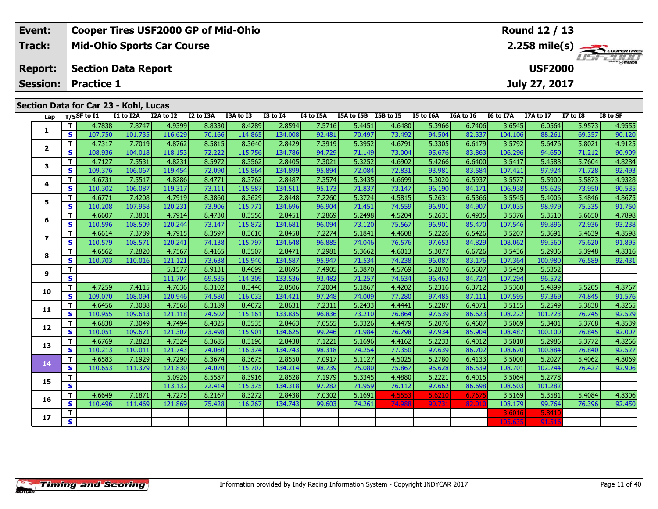| Event:         | <b>Cooper Tires USF2000 GP of Mid-Ohio</b> | Round 12 / 13                      |
|----------------|--------------------------------------------|------------------------------------|
| Track:         | <b>Mid-Ohio Sports Car Course</b>          |                                    |
| <b>Report:</b> | <b>Section Data Report</b>                 | <b>LISF 2000</b><br><b>USF2000</b> |
|                | <b>Session: Practice 1</b>                 | July 27, 2017                      |
|                | Section Data for Car 23 - Kohl, Lucas      |                                    |

| Lap                      |                         | T/SSF to I1 | I1 to I2A | I2A to I2 | I2 to I3A | I3A to I3 | <b>I3 to I4</b> | I4 to I5A | I5A to I5B I5B to I5 |        | I5 to I6A | I6A to I6 | I6 to I7A | I7A to I7 | <b>I7 to I8</b> | I8 to SF |
|--------------------------|-------------------------|-------------|-----------|-----------|-----------|-----------|-----------------|-----------|----------------------|--------|-----------|-----------|-----------|-----------|-----------------|----------|
|                          | T                       | 4.7838      | 7.8747    | 4.9399    | 8.8330    | 8.4289    | 2.8594          | 7.5716    | 5.4451               | 4.6480 | 5.3966    | 6.7406    | 3.6545    | 6.0564    | 5.9573          | 4.9555   |
| 1                        | S                       | 107.750     | 101.735   | 116.629   | 70.166    | 114.865   | 134.008         | 92.481    | 70.497               | 73.492 | 94.504    | 82.337    | 104.106   | 88.261    | 69.357          | 90.120   |
|                          | T.                      | 4.7317      | 7.7019    | 4.8762    | 8.5815    | 8.3640    | 2.8429          | 7.3919    | 5.3952               | 4.6791 | 5.3305    | 6.6179    | 3.5792    | 5.6476    | 5.8021          | 4.9125   |
| $\mathbf{2}$             | S                       | 108.936     | 104.018   | 118.153   | 72.222    | 115.756   | 134.786         | 94.729    | 71.149               | 73.004 | 95.676    | 83.863    | 106.296   | 94.650    | 71.212          | 90.909   |
| 3                        | T.                      | 4.7127      | 7.5531    | 4.8231    | 8.5972    | 8.3562    | 2.8405          | 7.3021    | 5.3252               | 4.6902 | 5.4266    | 6.6400    | 3.5417    | 5.4588    | 5.7604          | 4.8284   |
|                          | S                       | 109.376     | 106.067   | 119.454   | 72.090    | 115.864   | 134.899         | 95.894    | 72.084               | 72.831 | 93.981    | 83.584    | 107.421   | 97.924    | 71.728          | 92.493   |
| 4                        | T.                      | 4.6731      | 7.5517    | 4.8286    | 8.4771    | 8.3762    | 2.8487          | 7.3574    | 5.3435               | 4.6699 | 5.3020    | 6.5937    | 3.5577    | 5.5900    | 5.5873          | 4.9328   |
|                          | S                       | 110.302     | 106.087   | 119.317   | 73.111    | 115.587   | 134.511         | 95.173    | 71.837               | 73.147 | 96.190    | 84.171    | 106.938   | 95.625    | 73.950          | 90.535   |
| 5                        | T.                      | 4.6771      | 7.4208    | 4.7919    | 8.3860    | 8.3629    | 2.8448          | 7.2260    | 5.3724               | 4.5815 | 5.2631    | 6.5366    | 3.5545    | 5.4006    | 5.4846          | 4.8675   |
|                          | S                       | 110.208     | 107.958   | 120.231   | 73.906    | 115.771   | 134.696         | 96.904    | 71.451               | 74.559 | 96.901    | 84.907    | 107.035   | 98.979    | 75.335          | 91.750   |
| 6                        | T                       | 4.6607      | 7.3831    | 4.7914    | 8.4730    | 8.3556    | 2.8451          | 7.2869    | 5.2498               | 4.5204 | 5.2631    | 6.4935    | 3.5376    | 5.3510    | 5.6650          | 4.7898   |
|                          | S.                      | 110.596     | 108.509   | 120.244   | 73.147    | 115.872   | 134.681         | 96.094    | 73.120               | 75.567 | 96.901    | 85.470    | 107.546   | 99.896    | 72.936          | 93.238   |
| $\overline{\phantom{a}}$ | T.                      | 4.6614      | 7.3789    | 4.7915    | 8.3597    | 8.3610    | 2.8458          | 7.2274    | 5.1841               | 4.4608 | 5.2226    | 6.5426    | 3.5207    | 5.3691    | 5.4639          | 4.8598   |
|                          | S.                      | 110.579     | 108.571   | 120.241   | 74.138    | 115.797   | 134.648         | 96.885    | 74.046               | 76.576 | 97.653    | 84.829    | 108.062   | 99.560    | 75.620          | 91.895   |
| 8                        | T.                      | 4.6562      | 7.2820    | 4.7567    | 8.4165    | 8.3507    | 2.8471          | 7.2981    | 5.3662               | 4.6013 | 5.3077    | 6.6726    | 3.5436    | 5.2936    | 5.3948          | 4.8316   |
|                          | S                       | 110.703     | 110.016   | 121.121   | 73.638    | 115.940   | 134.587         | 95.947    | 71.534               | 74.238 | 96.087    | 83.176    | 107.364   | 100.980   | 76.589          | 92.431   |
| 9                        | T.                      |             |           | 5.1577    | 8.9131    | 8.4699    | 2.8695          | 7.4905    | 5.3870               | 4.5769 | 5.2870    | 6.5507    | 3.5459    | 5.5352    |                 |          |
|                          | $\overline{\mathbf{s}}$ |             |           | 111.704   | 69.535    | 114.309   | 133.536         | 93.482    | 71.257               | 74.634 | 96.463    | 84.724    | 107.294   | 96.572    |                 |          |
| 10                       | T.                      | 4.7259      | 7.4115    | 4.7636    | 8.3102    | 8.3440    | 2.8506          | 7.2004    | 5.1867               | 4.4202 | 5.2316    | 6.3712    | 3.5360    | 5.4899    | 5.5205          | 4.8767   |
|                          | S                       | 109.070     | 108.094   | 120.946   | 74.580    | 116.033   | 134.421         | 97.248    | 74.009               | 77.280 | 97.485    | 87.111    | 107.595   | 97.369    | 74.845          | 91.576   |
| 11                       | T                       | 4.6456      | 7.3088    | 4.7568    | 8.3189    | 8.4072    | 2.8631          | 7.2311    | 5.2433               | 4.4441 | 5.2287    | 6.4071    | 3.5155    | 5.2549    | 5.3838          | 4.8265   |
|                          | S                       | 110.955     | 109.613   | 121.118   | 74.502    | 115.161   | 133.835         | 96.836    | 73.210               | 76.864 | 97.539    | 86.623    | 108.222   | 101.723   | 76.745          | 92.529   |
| 12                       | T.                      | 4.6838      | 7.3049    | 4.7494    | 8.4325    | 8.3535    | 2.8463          | 7.0555    | 5.3326               | 4.4479 | 5.2076    | 6.4607    | 3.5069    | 5.3401    | 5.3768          | 4.8539   |
|                          | S                       | 110.051     | 109.671   | 121.307   | 73.498    | 115.901   | 134.625         | 99.246    | 71.984               | 76.798 | 97.934    | 85.904    | 108.487   | 100.100   | 76.845          | 92.007   |
| 13                       | T.                      | 4.6769      | 7.2823    | 4.7324    | 8.3685    | 8.3196    | 2.8438          | 7.1221    | 5.1696               | 4.4162 | 5.2233    | 6.4012    | 3.5010    | 5.2986    | 5.3772          | 4.8266   |
|                          | S.                      | 110.213     | 110.011   | 121.743   | 74.060    | 116.374   | 134.743         | 98.318    | 74.254               | 77.350 | 97.639    | 86.702    | 108.670   | 100.884   | 76.840          | 92.527   |
| 14                       | $\mathbf{T}$            | 4.6583      | 7.1929    | 4.7290    | 8.3674    | 8.3675    | 2.8550          | 7.0917    | 5.1127               | 4.5025 | 5.2780    | 6.4133    | 3.5000    | 5.2027    | 5.4062          | 4.8069   |
|                          | S                       | 110.653     | 111.379   | 121.830   | 74.070    | 115.707   | 134.214         | 98.739    | 75.080               | 75.867 | 96.628    | 86.539    | 108.701   | 102.744   | 76.427          | 92.906   |
| 15                       | T.                      |             |           | 5.0926    | 8.5587    | 8.3916    | 2.8528          | 7.1979    | 5.3345               | 4.4880 | 5.2221    | 6.4015    | 3.5064    | 5.2778    |                 |          |
|                          | S.                      |             |           | 113.132   | 72.414    | 115.375   | 134.318         | 97.282    | 71.959               | 76.112 | 97.662    | 86.698    | 108.503   | 101.282   |                 |          |
| 16                       | T                       | 4.6649      | 7.1871    | 4.7275    | 8.2167    | 8.3272    | 2.8438          | 7.0302    | 5.1691               | 4.5553 | 5.6210    | 6.7675    | 3.5169    | 5.3581    | 5.4084          | 4.8306   |
|                          | S                       | 110.496     | 111.469   | 121.869   | 75.428    | 116.267   | 134.743         | 99.603    | 74.261               | 74.98  | 90.731    | 82.01     | 108.179   | 99.764    | 76.396          | 92.450   |
| 17                       | $\mathbf T$             |             |           |           |           |           |                 |           |                      |        |           |           | 3.6016    | 5.8410    |                 |          |
|                          | $\overline{\mathsf{s}}$ |             |           |           |           |           |                 |           |                      |        |           |           | 105.635   | 91.516    |                 |          |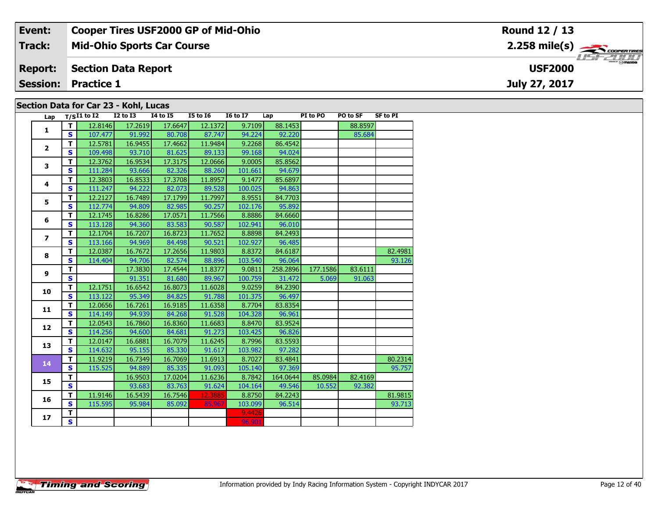| Event:         | <b>Cooper Tires USF2000 GP of Mid-Ohio</b> | Round 12 / 13                             |
|----------------|--------------------------------------------|-------------------------------------------|
| <b>Track:</b>  | <b>Mid-Ohio Sports Car Course</b>          | $2.258$ mile(s) $\rightarrow$ coderatines |
| <b>Report:</b> | <b>Section Data Report</b>                 | <i><b>LISF 2000</b></i><br><b>USF2000</b> |
|                | <b>Session: Practice 1</b>                 | July 27, 2017                             |
|                | Section Data for Car 23 - Kohl, Lucas      |                                           |

| Lap             |                         | $T/SI1$ to $I2$ | <b>I2 to I3</b> | <b>14 to 15</b> | <b>I5 to 16</b> | <b>16 to 17</b> | Lap      | PI to PO | PO to SF | <b>SF to PI</b> |
|-----------------|-------------------------|-----------------|-----------------|-----------------|-----------------|-----------------|----------|----------|----------|-----------------|
|                 | T.                      | 12.8146         | 17.2619         | 17.6647         | 12.1372         | 9.7109          | 88.1453  |          | 88.8597  |                 |
| 1               | $\mathbf{s}$            | 107.477         | 91.992          | 80.708          | 87.747          | 94.224          | 92.220   |          | 85.684   |                 |
|                 | T                       | 12.5781         | 16.9455         | 17.4662         | 11.9484         | 9.2268          | 86.4542  |          |          |                 |
| $\overline{2}$  | $\mathbf{s}$            | 109.498         | 93.710          | 81.625          | 89.133          | 99.168          | 94.024   |          |          |                 |
|                 | T                       | 12.3762         | 16.9534         | 17.3175         | 12.0666         | 9.0005          | 85.8562  |          |          |                 |
| 3               | $\mathbf{s}$            | 111.284         | 93.666          | 82.326          | 88.260          | 101.661         | 94.679   |          |          |                 |
|                 | T                       | 12.3803         | 16.8533         | 17.3708         | 11.8957         | 9.1477          | 85.6897  |          |          |                 |
| 4               | $\mathbf{s}$            | 111.247         | 94.222          | 82.073          | 89.528          | 100.025         | 94.863   |          |          |                 |
|                 | т                       | 12.2127         | 16.7489         | 17.1799         | 11.7997         | 8.9551          | 84.7703  |          |          |                 |
| 5               | S                       | 112.774         | 94.809          | 82.985          | 90.257          | 102.176         | 95.892   |          |          |                 |
|                 | T                       | 12.1745         | 16.8286         | 17.0571         | 11.7566         | 8.8886          | 84.6660  |          |          |                 |
| 6               | $\mathbf{s}$            | 113.128         | 94.360          | 83.583          | 90.587          | 102.941         | 96.010   |          |          |                 |
|                 | T.                      | 12.1704         | 16.7207         | 16.8723         | 11.7652         | 8.8898          | 84.2493  |          |          |                 |
| $\overline{ }$  | $\mathbf{s}$            | 113.166         | 94.969          | 84.498          | 90.521          | 102.927         | 96.485   |          |          |                 |
|                 | T                       | 12.0387         | 16.7672         | 17.2656         | 11.9803         | 8.8372          | 84.6187  |          |          | 82.4981         |
| 8               | $\mathbf{s}$            | 114.404         | 94.706          | 82.574          | 88.896          | 103.540         | 96.064   |          |          | 93.126          |
|                 | T.                      |                 | 17.3830         | 17.4544         | 11.8377         | 9.0811          | 258.2896 | 177.1586 | 83.6111  |                 |
| 9               | $\mathbf{s}$            |                 | 91.351          | 81.680          | 89.967          | 100.759         | 31.472   | 5.069    | 91.063   |                 |
| 10              | T.                      | 12.1751         | 16.6542         | 16.8073         | 11.6028         | 9.0259          | 84.2390  |          |          |                 |
|                 | $\mathbf{s}$            | 113.122         | 95.349          | 84.825          | 91.788          | 101.375         | 96.497   |          |          |                 |
| 11              | T                       | 12.0656         | 16.7261         | 16.9185         | 11.6358         | 8.7704          | 83.8354  |          |          |                 |
|                 | $\mathbf{s}$            | 114.149         | 94.939          | 84.268          | 91.528          | 104.328         | 96.961   |          |          |                 |
| 12              | $\mathbf T$             | 12.0543         | 16.7860         | 16.8360         | 11.6683         | 8.8470          | 83.9524  |          |          |                 |
|                 | $\mathbf{s}$            | 114.256         | 94.600          | 84.681          | 91.273          | 103.425         | 96.826   |          |          |                 |
| 13              | T                       | 12.0147         | 16.6881         | 16.7079         | 11.6245         | 8.7996          | 83.5593  |          |          |                 |
|                 | $\mathbf{s}$            | 114.632         | 95.155          | 85.330          | 91.617          | 103.982         | 97.282   |          |          |                 |
| 14              | T.                      | 11.9219         | 16.7349         | 16.7069         | 11.6913         | 8.7027          | 83.4841  |          |          | 80.2314         |
|                 | $\mathbf{s}$            | 115.525         | 94.889          | 85.335          | 91.093          | 105.140         | 97.369   |          |          | 95.757          |
| 15              | $\mathbf T$             |                 | 16.9503         | 17.0204         | 11.6236         | 8.7842          | 164.0644 | 85.0984  | 82.4169  |                 |
|                 | $\overline{\mathbf{s}}$ |                 | 93.683          | 83.763          | 91.624          | 104.164         | 49.546   | 10.552   | 92.382   |                 |
| 16              | T                       | 11.9146         | 16.5439         | 16.7546         | 12.3885         | 8.8750          | 84.2243  |          |          | 81.9815         |
|                 | $\mathbf{s}$            | 115.595         | 95.984          | 85.092          | 85.967          | 103.099         | 96.514   |          |          | 93.713          |
| 17 <sub>2</sub> | T                       |                 |                 |                 |                 | 9.4426          |          |          |          |                 |
|                 | $\overline{\mathbf{s}}$ |                 |                 |                 |                 | 96.901          |          |          |          |                 |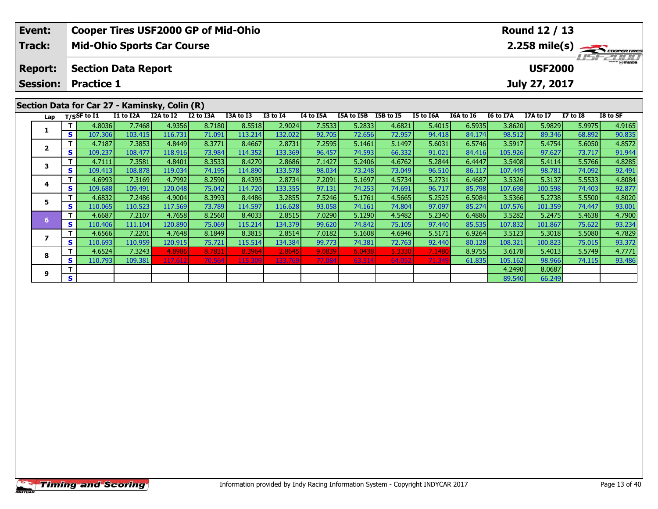| Event:                                        |    |                                   | <b>Cooper Tires USF2000 GP of Mid-Ohio</b> |           |           |           |                 |           |            |           |           |           |                                            | Round 12 / 13 |                 |          |  |  |
|-----------------------------------------------|----|-----------------------------------|--------------------------------------------|-----------|-----------|-----------|-----------------|-----------|------------|-----------|-----------|-----------|--------------------------------------------|---------------|-----------------|----------|--|--|
| <b>Track:</b>                                 |    | <b>Mid-Ohio Sports Car Course</b> |                                            |           |           |           |                 |           |            |           |           |           | $2.258$ mile(s) $\rightarrow$ Coorga Times |               |                 |          |  |  |
| <b>Report:</b>                                |    | <b>Section Data Report</b>        |                                            |           |           |           |                 |           |            |           |           |           | LISFELINI<br><b>USF2000</b>                |               |                 |          |  |  |
| <b>Session:</b>                               |    | <b>Practice 1</b>                 |                                            |           |           |           |                 |           |            |           |           |           |                                            | July 27, 2017 |                 |          |  |  |
| Section Data for Car 27 - Kaminsky, Colin (R) |    |                                   |                                            |           |           |           |                 |           |            |           |           |           |                                            |               |                 |          |  |  |
|                                               |    | Lap $T/S$ SF to $\overline{11}$   | I1 to I2A                                  | I2A to I2 | I2 to I3A | I3A to I3 | <b>I3 to I4</b> | I4 to I5A | I5A to I5B | I5B to I5 | I5 to I6A | I6A to I6 | <b>I6 to I7A</b>                           | I7A to I7     | <b>I7 to I8</b> | I8 to SF |  |  |
|                                               |    | 4.8036                            | 7.7468                                     | 4.9356    | 8.7180    | 8.5518    | 2.9024          | 7.5533    | 5.2833     | 4.6821    | 5.4015    | 6.5935    | 3.8620                                     | 5.9829        | 5.9975          | 4.9165   |  |  |
|                                               | S. | 107.306                           | 103.415                                    | 116.731   | 71.091    | 113.214   | 132.022         | 92.705    | 72.656     | 72.957    | 94.418    | 84.1741   | 98.512                                     | 89.346        | 68.8921         | 90.835   |  |  |

2 | T | 4.7187| 7.3853| 4.8449| 8.3771| 8.4667| 2.8731| 7.2595| 5.1461| 5.1497| 5.6031| 6.5746| 3.5917| 5.4754| 5.6050| 4.8572<br>| S | 109.237| 108.477| 118.916| 73.984| 114.352| 133.369| 96.457| 74.593| 66.332| 91.021| 84.4

3 T 4.7111 7.3581 4.8401 8.3533 8.4270 2.8686 7.1427 5.2406 4.6762 5.2844 6.4447 3.5408 5.4114 5.5766 4.8285<br>S S 109.413 108.878 119.034 74.195 114.890 133.578 98.034 73.248 73.049 96.510 86.117 107.449 98.781 74.092 92.49

**<sup>T</sup>** 4.6993 7.3169 4.7992 8.2590 8.4395 2.8734 7.2091 5.1697 4.5734 5.2731 6.4687 3.5326 5.3137 5.5533 4.8084 **<sup>S</sup>** 109.688 109.491 120.048 75.042 114.720 133.355 97.131 74.253 74.691 96.717 85.798 107.698 100.598 74.403 92.877

**<sup>T</sup>** 4.6832 7.2486 4.9004 8.3993 8.4486 3.2855 7.5246 5.1761 4.5665 5.2525 6.5084 3.5366 5.2738 5.5500 4.8020 **<sup>S</sup>** 110.065 110.523 117.569 73.789 114.597 116.628 93.058 74.161 74.804 97.097 85.274 107.576 101.359 74.447 93.001

**<sup>T</sup>** 4.6687 7.2107 4.7658 8.2560 8.4033 2.8515 7.0290 5.1290 4.5482 5.2340 6.4886 3.5282 5.2475 5.4638 4.7900 **<sup>S</sup>** 110.406 111.104 120.890 75.069 115.214 134.379 99.620 74.842 75.105 97.440 85.535 107.832 101.867 75.622 93.234

7 | T | 4.6566 | 7.2201 | 4.7648 | 8.1849 | 8.3815 | 2.8514 | 7.0182 | 5.1608 | 4.6946 | 5.5171 | 6.9264 | 3.5123 | 5.3018 | 5.5080 | 4.7829<br>7 | S | 110.693 | 110.959 | 120.915 | 75.721 | 115.514 | 134.384 | 99.773 | 74.38

8 T 4.6524 7.3243 4.8986 8.7831 8.3964 2.8645 9.0839 6.0438 5.3330 7.1480 8.9755 3.6178 5.4013 5.5749 4.7771<br>8 S 110.793 109.381 117.612 70.564 115.309 133.769 77.084 63.514 64.052 71.349 61.835 105.162 98.966 74.115 93.48

**<sup>T</sup>** 4.2490 8.0687 **<sup>S</sup>** 89.540 66.249

| <b>Timing and Scoring</b> |  |
|---------------------------|--|
|---------------------------|--|

**2**

**3**

**4**

**5**

**6**

**7**

**8**

**9**

91.944

92.491

92.87

93.372

93.486

66.249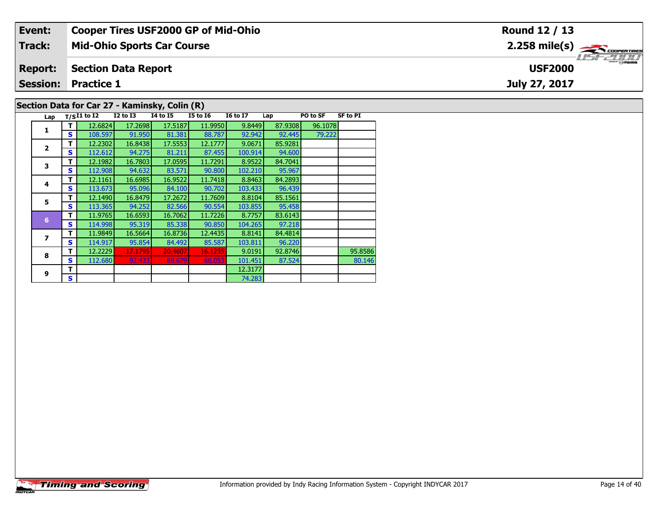| Event:                                        | <b>Cooper Tires USF2000 GP of Mid-Ohio</b> | Round 12 / 13                             |  |  |  |  |  |  |  |  |
|-----------------------------------------------|--------------------------------------------|-------------------------------------------|--|--|--|--|--|--|--|--|
| Track:                                        | <b>Mid-Ohio Sports Car Course</b>          | $2.258$ mile(s) $\rightarrow$ Coorentment |  |  |  |  |  |  |  |  |
| <b>Report:</b>                                | Section Data Report                        | <b>USF2000</b>                            |  |  |  |  |  |  |  |  |
|                                               | <b>Session: Practice 1</b>                 | July 27, 2017                             |  |  |  |  |  |  |  |  |
| Section Data for Car 27 - Kaminsky, Colin (R) |                                            |                                           |  |  |  |  |  |  |  |  |

94.600

95.967

96.439

95.458

96.220<br>92.8746

74.283

**Lap T/SI1 to I2 I2 to I3 I4 to I5 I5 to I6 I6 to I7 Lap PO to SF SF to PI** 

**T** 12.2229 17.1795 20.4607 16.1235 9.0191 92.8746 95.8586<br> **S** 112.680 92.433 69.679 66.053 101.451 87.524 80.146

**<sup>T</sup>** 12.6824 17.2698 17.5187 11.9950 9.8449 87.9308 96.1078 **<sup>S</sup>** 108.597 91.950 81.381 88.787 92.942 92.445 79.222

**<sup>T</sup>** 12.2302 16.8438 17.5553 12.1777 9.0671 85.9281 **<sup>S</sup>** 112.612 94.275 81.211 87.455 100.914 94.600

**<sup>T</sup>** 12.1982 16.7803 17.0595 11.7291 8.9522 84.7041 **<sup>S</sup>** 112.908 94.632 83.571 90.800 102.210 95.967

**<sup>T</sup>** 12.1161 16.6985 16.9522 11.7418 8.8463 84.2893 **<sup>S</sup>** 113.673 95.096 84.100 90.702 103.433 96.439

**<sup>T</sup>** 12.1490 16.8479 17.2672 11.7609 8.8104 85.1561 **<sup>S</sup>** 113.365 94.252 82.566 90.554 103.855 95.458

**<sup>T</sup>** 11.9765 16.6593 16.7062 11.7226 8.7757 83.6143 **<sup>S</sup>** 114.998 95.319 85.338 90.850 104.265 97.218

**<sup>T</sup>** 11.9849 16.5664 16.8736 12.4435 8.8141 84.4814 **<sup>S</sup>** 114.917 95.854 84.492 85.587 103.811 96.220

**<sup>T</sup>** 12.3177 **<sup>S</sup>** 74.283

# **Timing and Scoring**

**1**

**2**

**3**

**4**

**5**

**6**

**7**

**8**

**9**

80.146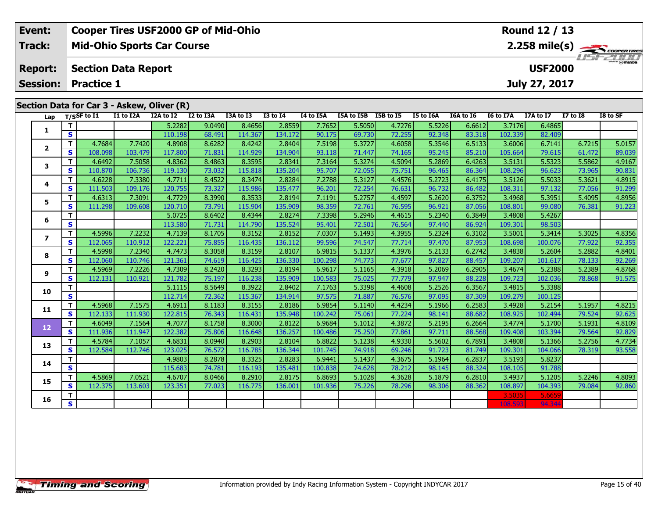| Event:         | <b>Cooper Tires USF2000 GP of Mid-Ohio</b> | Round 12 / 13         |
|----------------|--------------------------------------------|-----------------------|
| Track:         | <b>Mid-Ohio Sports Car Course</b>          |                       |
| <b>Report:</b> | Section Data Report                        | T/T<br><b>USF2000</b> |
|                | <b>Session: Practice 1</b>                 | July 27, 2017         |
|                |                                            |                       |
|                | Section Data for Car 3 - Askew, Oliver (R) |                       |

| Lap             |                         | $T/S$ SF to $\overline{11}$ | I1 to I2A | I2A to I2 | I2 to I3A | I3A to I3 | <b>I3 to I4</b> | I4 to I5A | I5A to I5B | I5B to I5 | I5 to I6A | I6A to I6 | I6 to I7A | I7A to I7 | <b>I7 to I8</b> | I8 to SF |
|-----------------|-------------------------|-----------------------------|-----------|-----------|-----------|-----------|-----------------|-----------|------------|-----------|-----------|-----------|-----------|-----------|-----------------|----------|
| 1               | т                       |                             |           | 5.2282    | 9.0490    | 8.4656    | 2.8559          | 7.7652    | 5.5050     | 4.7276    | 5.5226    | 6.6612    | 3.7176    | 6.4865    |                 |          |
|                 | $\mathbf{s}$            |                             |           | 110.198   | 68.491    | 114.367   | 134.172         | 90.175    | 69.730     | 72.255    | 92.348    | 83.318    | 102.339   | 82.409    |                 |          |
| $\overline{2}$  | т                       | 4.7684                      | 7.7420    | 4.8908    | 8.6282    | 8.4242    | 2.8404          | 7.5198    | 5.3727     | 4.6058    | 5.3546    | 6.5133    | 3.6006    | 6.7141    | 6.7215          | 5.0157   |
|                 | S                       | 108.098                     | 103.479   | 117.800   | 71.831    | 114.929   | 134.904         | 93.118    | 71.447     | 74.165    | 95.245    | 85.210    | 105.664   | 79.615    | 61.472          | 89.039   |
| 3               | T.                      | 4.6492                      | 7.5058    | 4.8362    | 8.4863    | 8.3595    | 2.8341          | 7.3164    | 5.3274     | 4.5094    | 5.2869    | 6.4263    | 3.5131    | 5.5323    | 5.5862          | 4.9167   |
|                 | S                       | 110.870                     | 106.736   | 119.130   | 73.032    | 115.818   | 135.204         | 95.707    | 72.055     | 75.751    | 96.465    | 86.364    | 108.296   | 96.623    | 73.965          | 90.831   |
| 4               | T.                      | 4.6228                      | 7.3380    | 4.7711    | 8.4522    | 8.3474    | 2.8284          | 7.2788    | 5.3127     | 4.4576    | 5.2723    | 6.4175    | 3.5126    | 5.5033    | 5.3621          | 4.8915   |
|                 | S.                      | 111.503                     | 109.176   | 120.755   | 73.327    | 115.986   | 135.477         | 96.201    | 72.254     | 76.631    | 96.732    | 86.482    | 108.311   | 97.132    | 77.056          | 91.299   |
| 5               | T.                      | 4.6313                      | 7.3091    | 4.7729    | 8.3990    | 8.3533    | 2.8194          | 7.1191    | 5.2757     | 4.4597    | 5.2620    | 6.3752    | 3.4968    | 5.3951    | 5.4095          | 4.8956   |
|                 | S                       | 111.298                     | 109.608   | 120.710   | 73.791    | 115.904   | 135.909         | 98.359    | 72.761     | 76.595    | 96.921    | 87.056    | 108.801   | 99.080    | 76.381          | 91.223   |
| 6               | T.                      |                             |           | 5.0725    | 8.6402    | 8.4344    | 2.8274          | 7.3398    | 5.2946     | 4.4615    | 5.2340    | 6.3849    | 3.4808    | 5.4267    |                 |          |
|                 | S                       |                             |           | 113.580   | 71.731    | 114.790   | 135.524         | 95.401    | 72.501     | 76.564    | 97.440    | 86.924    | 109.301   | 98.503    |                 |          |
| $\overline{ }$  | T.                      | 4.5996                      | 7.2232    | 4.7139    | 8.1705    | 8.3152    | 2.8152          | 7.0307    | 5.1493     | 4.3955    | 5.2324    | 6.3102    | 3.5001    | 5.3414    | 5.3025          | 4.8356   |
|                 | S.                      | 112.065                     | 110.912   | 122.221   | 75.855    | 116.435   | 136.112         | 99.596    | 74.547     | 77.714    | 97.470    | 87.953    | 108.698   | 100.076   | 77.922          | 92.355   |
| 8               | T.                      | 4.5998                      | 7.2340    | 4.7473    | 8.3058    | 8.3159    | 2.8107          | 6.9815    | 5.1337     | 4.3976    | 5.2133    | 6.2742    | 3.4838    | 5.2604    | 5.2882          | 4.8401   |
|                 | S.                      | 112.060                     | 110.746   | 121.361   | 74.619    | 116.425   | 136.330         | 100.298   | 74.773     | 77.677    | 97.827    | 88.457    | 109.207   | 101.617   | 78.133          | 92.269   |
| 9               | T.                      | 4.5969                      | 7.2226    | 4.7309    | 8.2420    | 8.3293    | 2.8194          | 6.9617    | 5.1165     | 4.3918    | 5.2069    | 6.2905    | 3.4674    | 5.2388    | 5.2389          | 4.8768   |
|                 | S.                      | 112.131                     | 110.921   | 121.782   | 75.197    | 116.238   | 135.909         | 100.583   | 75.025     | 77.779    | 97.947    | 88.228    | 109.723   | 102.036   | 78.868          | 91.575   |
| 10              | T.                      |                             |           | 5.1115    | 8.5649    | 8.3922    | 2.8402          | 7.1763    | 5.3398     | 4.4608    | 5.2526    | 6.3567    | 3.4815    | 5.3388    |                 |          |
|                 | S                       |                             |           | 112.714   | 72.362    | 115.367   | 134.914         | 97.575    | 71.887     | 76.576    | 97.095    | 87.309    | 109.279   | 100.125   |                 |          |
| 11              | T.                      | 4.5968                      | 7.1575    | 4.6911    | 8.1183    | 8.3155    | 2.8186          | 6.9854    | 5.1140     | 4.4234    | 5.1966    | 6.2583    | 3.4928    | 5.2154    | 5.1957          | 4.8215   |
|                 | S                       | 112.133                     | 111.930   | 122.815   | 76.343    | 116.431   | 135.948         | 100.242   | 75.061     | 77.224    | 98.141    | 88.682    | 108.925   | 102.494   | 79.524          | 92.625   |
| 12 <sub>2</sub> | T.                      | 4.6049                      | 7.1564    | 4.7077    | 8.1758    | 8.3000    | 2.8122          | 6.9684    | 5.1012     | 4.3872    | 5.2195    | 6.2664    | 3.4774    | 5.1700    | 5.1931          | 4.8109   |
|                 | S                       | 111.936                     | 111.947   | 122.382   | 75.806    | 116.648   | 136.257         | 100.486   | 75.250     | 77.861    | 97.711    | 88.568    | 109.408   | 103.394   | 79.564          | 92.829   |
| 13              | т                       | 4.5784                      | 7.1057    | 4.6831    | 8.0940    | 8.2903    | 2.8104          | 6.8822    | 5.1238     | 4.9330    | 5.5602    | 6.7891    | 3.4808    | 5.1366    | 5.2756          | 4.7734   |
|                 | $\mathbf{s}$            | 112.584                     | 112.746   | 123.025   | 76.572    | 116.785   | 136.344         | 101.745   | 74.918     | 69.246    | 91.723    | 81.749    | 109.301   | 104.066   | 78.319          | 93.558   |
| 14              | T                       |                             |           | 4.9803    | 8.2878    | 8.3325    | 2.8283          | 6.9441    | 5.1437     | 4.3675    | 5.1964    | 6.2837    | 3.5193    | 5.8237    |                 |          |
|                 | $\mathbf{s}$            |                             |           | 115.683   | 74.781    | 116.193   | 135.481         | 100.838   | 74.628     | 78.212    | 98.145    | 88.324    | 108.105   | 91.788    |                 |          |
| 15              | T.                      | 4.5869                      | 7.0521    | 4.6707    | 8.0466    | 8.2910    | 2.8175          | 6.8693    | 5.1028     | 4.3628    | 5.1879    | 6.2810    | 3.4937    | 5.1205    | 5.2246          | 4.8093   |
|                 | $\mathbf{s}$            | 112.375                     | 113.603   | 123.351   | 77.023    | 116.775   | 136.001         | 101.936   | 75.226     | 78.296    | 98.306    | 88.362    | 108.897   | 104.393   | 79.084          | 92.860   |
| 16              | Т                       |                             |           |           |           |           |                 |           |            |           |           |           | 3.5035    | 5.6659    |                 |          |
|                 | $\overline{\mathbf{s}}$ |                             |           |           |           |           |                 |           |            |           |           |           | 108.593   | 94.344    |                 |          |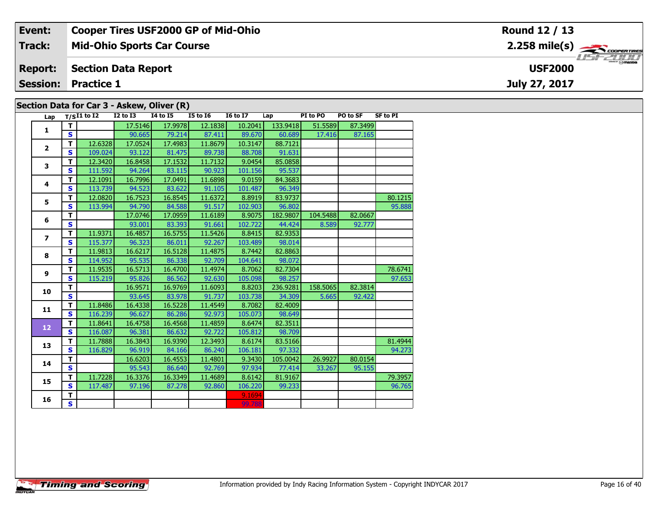#### Event: **Cooper Tires USF2000 GP of Mid-Ohio** Round 12 / 13  $2.258 \text{ mile(s)}$ **Track: Mid-Ohio Sports Car Course** USF 2000 **USF2000 Report: Section Data Report Session: Practice 1** July 27, 2017 Section Data for Car 3 - Askew, Oliver (R)

| Lap                     |              | $T/SI1$ to $\overline{I2}$ | <b>I2 to I3</b> | 14 to 15 | <b>I5 to 16</b> | <b>16 to 17</b> | Lap      | PI to PO | PO to SF | <b>SF to PI</b> |
|-------------------------|--------------|----------------------------|-----------------|----------|-----------------|-----------------|----------|----------|----------|-----------------|
| $\mathbf{1}$            | т            |                            | 17.5146         | 17.9978  | 12.1838         | 10.2041         | 133.9418 | 51.5589  | 87.3499  |                 |
|                         | S.           |                            | 90.665          | 79.214   | 87.411          | 89.670          | 60.689   | 17.416   | 87.165   |                 |
| $\overline{\mathbf{2}}$ | T            | 12.6328                    | 17.0524         | 17.4983  | 11.8679         | 10.3147         | 88.7121  |          |          |                 |
|                         | S.           | 109.024                    | 93.122          | 81.475   | 89.738          | 88.708          | 91.631   |          |          |                 |
| 3                       | т            | 12.3420                    | 16.8458         | 17.1532  | 11.7132         | 9.0454          | 85.0858  |          |          |                 |
|                         | S            | 111.592                    | 94.264          | 83.115   | 90.923          | 101.156         | 95.537   |          |          |                 |
| 4                       | T.           | 12.1091                    | 16.7996         | 17.0491  | 11.6898         | 9.0159          | 84.3683  |          |          |                 |
|                         | $\mathbf{s}$ | 113.739                    | 94.523          | 83.622   | 91.105          | 101.487         | 96.349   |          |          |                 |
| 5                       | т            | 12.0820                    | 16.7523         | 16.8545  | 11.6372         | 8.8919          | 83.9737  |          |          | 80.1215         |
|                         | S.           | 113.994                    | 94.790          | 84.588   | 91.517          | 102.903         | 96.802   |          |          | 95.888          |
| 6                       | T            |                            | 17.0746         | 17.0959  | 11.6189         | 8.9075          | 182.9807 | 104.5488 | 82.0667  |                 |
|                         | $\mathbf{s}$ |                            | 93.001          | 83.393   | 91.661          | 102.722         | 44.424   | 8.589    | 92.777   |                 |
| $\overline{ }$          | т            | 11.9371                    | 16.4857         | 16.5755  | 11.5426         | 8.8415          | 82.9353  |          |          |                 |
|                         | S            | 115.377                    | 96.323          | 86.011   | 92.267          | 103.489         | 98.014   |          |          |                 |
| 8                       | T            | 11.9813                    | 16.6217         | 16.5128  | 11.4875         | 8.7442          | 82.8863  |          |          |                 |
|                         | S            | 114.952                    | 95.535          | 86.338   | 92.709          | 104.641         | 98.072   |          |          |                 |
| 9                       | т            | 11.9535                    | 16.5713         | 16.4700  | 11.4974         | 8.7062          | 82.7304  |          |          | 78.6741         |
|                         | S            | 115.219                    | 95.826          | 86.562   | 92.630          | 105.098         | 98.257   |          |          | 97.653          |
| 10                      | T.           |                            | 16.9571         | 16.9769  | 11.6093         | 8.8203          | 236.9281 | 158.5065 | 82.3814  |                 |
|                         | S            |                            | 93.645          | 83.978   | 91.737          | 103.738         | 34.309   | 5.665    | 92.422   |                 |
| 11                      | T.           | 11.8486                    | 16.4338         | 16.5228  | 11.4549         | 8.7082          | 82.4009  |          |          |                 |
|                         | $\mathbf{s}$ | 116.239                    | 96.627          | 86.286   | 92.973          | 105.073         | 98.649   |          |          |                 |
| 12                      | T            | 11.8641                    | 16.4758         | 16.4568  | 11.4859         | 8.6474          | 82.3511  |          |          |                 |
|                         | $\mathbf{s}$ | 116.087                    | 96.381          | 86.632   | 92.722          | 105.812         | 98.709   |          |          |                 |
| 13                      | T            | 11.7888                    | 16.3843         | 16.9390  | 12.3493         | 8.6174          | 83.5166  |          |          | 81.4944         |
|                         | $\mathbf{s}$ | 116.829                    | 96.919          | 84.166   | 86.240          | 106.181         | 97.332   |          |          | 94.273          |
| 14                      | T.           |                            | 16.6203         | 16.4553  | 11.4801         | 9.3430          | 105.0042 | 26.9927  | 80.0154  |                 |
|                         | S            |                            | 95.543          | 86.640   | 92.769          | 97.934          | 77.414   | 33.267   | 95.155   |                 |
| 15                      | т            | 11.7228                    | 16.3376         | 16.3349  | 11.4689         | 8.6142          | 81.9167  |          |          | 79.3957         |
|                         | S            | 117.487                    | 97.196          | 87.278   | 92.860          | 106.220         | 99.233   |          |          | 96.765          |
| 16                      | T.           |                            |                 |          |                 | 9.1694          |          |          |          |                 |
|                         | S.           |                            |                 |          |                 | 99.788          |          |          |          |                 |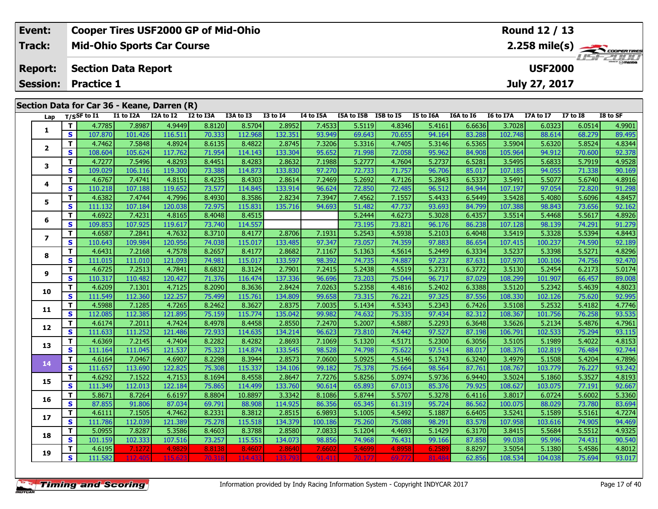| Event:         | <b>Cooper Tires USF2000 GP of Mid-Ohio</b>  | <b>Round 12 / 13</b>                                    |
|----------------|---------------------------------------------|---------------------------------------------------------|
| Track:         | <b>Mid-Ohio Sports Car Course</b>           | $2.258$ mile(s) $\overbrace{\hspace{2cm}}$ coorer TIRES |
| <b>Report:</b> | Section Data Report                         | <b>USF2000</b>                                          |
|                | <b>Session: Practice 1</b>                  | July 27, 2017                                           |
|                |                                             |                                                         |
|                | Section Data for Car 36 - Keane, Darren (R) |                                                         |

| Lap                     |              | $T/S$ SF to $I1$ | I1 to I2A | I2A to I2 | I2 to I3A | I3A to I3 | <b>I3 to I4</b> | I4 to I5A | I5A to I5B I5B to I5 |        | I5 to I6A | I6A to I6 | I6 to I7A | I7A to I7 | <b>I7 to I8</b> | I8 to SF |
|-------------------------|--------------|------------------|-----------|-----------|-----------|-----------|-----------------|-----------|----------------------|--------|-----------|-----------|-----------|-----------|-----------------|----------|
|                         | T            | 4.7785           | 7.8987    | 4.9449    | 8.8120    | 8.5704    | 2.8952          | 7.4533    | 5.5119               | 4.8346 | 5.4161    | 6.6636    | 3.7028    | 6.0323    | 6.0514          | 4.9901   |
| 1                       | S            | 107.870          | 101.426   | 116.511   | 70.333    | 112.968   | 132.351         | 93.949    | 69.643               | 70.655 | 94.164    | 83.288    | 102.748   | 88.614    | 68.279          | 89.495   |
|                         | т            | 4.7462           | 7.5848    | 4.8924    | 8.6135    | 8.4822    | 2.8745          | 7.3206    | 5.3316               | 4.7405 | 5.3146    | 6.5365    | 3.5904    | 5.6320    | 5.8524          | 4.8344   |
| $\mathbf{2}$            | S            | 108.604          | 105.624   | 117.762   | 71.954    | 114.143   | 133.304         | 95.652    | 71.998               | 72.058 | 95.962    | 84.908    | 105.964   | 94.912    | 70.600          | 92.378   |
|                         | т            | 4.7277           | 7.5496    | 4.8293    | 8.4451    | 8.4283    | 2.8632          | 7.1988    | 5.2777               | 4.7604 | 5.2737    | 6.5281    | 3.5495    | 5.6833    | 5.7919          | 4.9528   |
| 3                       | $\mathbf{s}$ | 109.029          | 106.116   | 119.300   | 73.388    | 114.873   | 133.830         | 97.270    | 72.733               | 71.757 | 96.706    | 85.017    | 107.185   | 94.055    | 71.338          | 90.169   |
|                         | T            | 4.6767           | 7.4741    | 4.8151    | 8.4235    | 8.4303    | 2.8614          | 7.2469    | 5.2692               | 4.7126 | 5.2843    | 6.5337    | 3.5491    | 5.5077    | 5.6740          | 4.8916   |
| 4                       | $\mathbf{s}$ | 110.218          | 107.188   | 119.652   | 73.577    | 114.845   | 133.914         | 96.624    | 72.850               | 72.485 | 96.512    | 84.944    | 107.197   | 97.054    | 72.820          | 91.298   |
| 5                       | T            | 4.6382           | 7.4744    | 4.7996    | 8.4930    | 8.3586    | 2.8234          | 7.3947    | 7.4562               | 7.1557 | 5.4433    | 6.5449    | 3.5428    | 5.4080    | 5.6096          | 4.8457   |
|                         | S            | 111.132          | 107.184   | 120.038   | 72.975    | 115.831   | 135.716         | 94.693    | 51.482               | 47.737 | 93.693    | 84.799    | 107.388   | 98.843    | 73.656          | 92.162   |
|                         | T            | 4.6922           | 7.4231    | 4.8165    | 8.4048    | 8.4515    |                 |           | 5.2444               | 4.6273 | 5.3028    | 6.4357    | 3.5514    | 5.4468    | 5.5617          | 4.8926   |
| 6                       | S            | 109.853          | 107.925   | 119.617   | 73.740    | 114.557   |                 |           | 73.195               | 73.821 | 96.176    | 86.238    | 107.128   | 98.139    | 74.291          | 91.279   |
| $\overline{\mathbf{z}}$ | т            | 4.6587           | 7.2841    | 4.7632    | 8.3710    | 8.4177    | 2.8706          | 7.1931    | 5.2543               | 4.5938 | 5.2103    | 6.4048    | 3.5419    | 5.3328    | 5.5394          | 4.8443   |
|                         | $\mathbf{s}$ | 110.643          | 109.984   | 120.956   | 74.038    | 115.017   | 133.485         | 97.347    | 73.057               | 74.359 | 97.883    | 86.654    | 107.415   | 100.237   | 74.590          | 92.189   |
|                         | т            | 4.6431           | 7.2168    | 4.7578    | 8.2657    | 8.4177    | 2.8682          | 7.1167    | 5.1363               | 4.5614 | 5.2449    | 6.3334    | 3.5237    | 5.3398    | 5.5271          | 4.8296   |
| 8                       | $\mathbf{s}$ | 111.015          | 111.010   | 121.093   | 74.981    | 115.017   | 133.597         | 98.392    | 74.735               | 74.887 | 97.237    | 87.631    | 107.970   | 100.106   | 74.756          | 92.470   |
| 9                       | T            | 4.6725           | 7.2513    | 4.7841    | 8.6832    | 8.3124    | 2.7901          | 7.2415    | 5.2438               | 4.5519 | 5.2731    | 6.3772    | 3.5130    | 5.2454    | 6.2173          | 5.0174   |
|                         | S            | 110.317          | 110.482   | 120.427   | 71.376    | 116.474   | 137.336         | 96.696    | 73.203               | 75.044 | 96.717    | 87.029    | 108.299   | 101.907   | 66.457          | 89.008   |
|                         | T            | 4.6209           | 7.1301    | 4.7125    | 8.2090    | 8.3636    | 2.8424          | 7.0263    | 5.2358               | 4.4816 | 5.2402    | 6.3388    | 3.5120    | 5.2342    | 5.4639          | 4.8023   |
| 10                      | S            | 111.549          | 112.360   | 122.257   | 75.499    | 115.761   | 134.809         | 99.658    | 73.315               | 76.221 | 97.325    | 87.556    | 108.330   | 102.126   | 75.620          | 92.995   |
| 11                      | T            | 4.5988           | 7.1285    | 4.7265    | 8.2462    | 8.3627    | 2.8375          | 7.0035    | 5.1434               | 4.5343 | 5.2343    | 6.7426    | 3.5108    | 5.2532    | 5.4182          | 4.7746   |
|                         | S            | 112.085          | 112.385   | 121.895   | 75.159    | 115.774   | 135.042         | 99.982    | 74.632               | 75.335 | 97.434    | 82.312    | 108.367   | 101.756   | 76.258          | 93.535   |
| 12                      | т            | 4.6174           | 7.2011    | 4.7424    | 8.4978    | 8.4458    | 2.8550          | 7.2470    | 5.2007               | 4.5887 | 5.2293    | 6.3648    | 3.5626    | 5.2134    | 5.4876          | 4.7961   |
|                         | $\mathbf{s}$ | 111.633          | 111.252   | 121.486   | 72.933    | 114.635   | 134.214         | 96.623    | 73.810               | 74.442 | 97.527    | 87.198    | 106.791   | 102.533   | 75.294          | 93.115   |
| 13                      | т            | 4.6369           | 7.2145    | 4.7404    | 8.2282    | 8.4282    | 2.8693          | 7.1069    | 5.1320               | 4.5171 | 5.2300    | 6.3056    | 3.5105    | 5.1989    | 5.4022          | 4.8153   |
|                         | $\mathbf{s}$ | 111.164          | 111.045   | 121.537   | 75.323    | 114.874   | 133.545         | 98.528    | 74.798               | 75.622 | 97.514    | 88.017    | 108.376   | 102.819   | 76.484          | 92.744   |
| 14                      | Т            | 4.6164           | 7.0467    | 4.6907    | 8.2298    | 8.3944    | 2.8573          | 7.0600    | 5.0925               | 4.5146 | 5.1743    | 6.3240    | 3.4979    | 5.1508    | 5.4204          | 4.7896   |
|                         | S            | 111.657          | 113.690   | 122.825   | 75.308    | 115.337   | 134.106         | 99.182    | 75.378               | 75.664 | 98.564    | 87.761    | 108.767   | 103.779   | 76.227          | 93.242   |
| 15                      | T            | 4.6292           | 7.1522    | 4.7153    | 8.1694    | 8.4558    | 2.8647          | 7.7276    | 5.8256               | 5.0974 | 5.9736    | 6.9440    | 3.5024    | 5.1860    | 5.3527          | 4.8193   |
|                         | S            | 111.349          | 112.013   | 122.184   | 75.865    | 114.499   | 133.760         | 90.614    | 65.893               | 67.013 | 85.376    | 79.925    | 108.627   | 103.075   | 77.191          | 92.667   |
| 16                      | T            | 5.8671           | 8.7264    | 6.6197    | 8.8804    | 10.8897   | 3.3342          | 8.1086    | 5.8744               | 5.5707 | 5.3278    | 6.4116    | 3.8017    | 6.0724    | 5.6002          | 5.3360   |
|                         | S            | 87.855           | 91.806    | 87.034    | 69.791    | 88.908    | 114.925         | 86.356    | 65.345               | 61.319 | 95.724    | 86.562    | 100.075   | 88.029    | 73.780          | 83.694   |
| 17                      | т            | 4.6111           | 7.1505    | 4.7462    | 8.2331    | 8.3812    | 2.8515          | 6.9893    | 5.1005               | 4.5492 | 5.1887    | 6.6405    | 3.5241    | 5.1589    | 5.5161          | 4.7274   |
|                         | $\mathbf{s}$ | 111.786          | 112.039   | 121.389   | 75.278    | 115.518   | 134.379         | 100.186   | 75.260               | 75.088 | 98.291    | 83.578    | 107.958   | 103.616   | 74.905          | 94.469   |
| 18                      | т            | 5.0955           | 7.8287    | 5.3586    | 8.4603    | 8.3788    | 2.8580          | 7.0833    | 5.1204               | 4.4693 | 5.1429    | 6.3170    | 3.8415    | 5.5684    | 5.5512          | 4.9325   |
|                         | $\mathbf{s}$ | 101.159          | 102.333   | 107.516   | 73.257    | 115.551   | 134.073         | 98.856    | 74.968               | 76.431 | 99.166    | 87.858    | 99.038    | 95.996    | 74.431          | 90.540   |
| 19                      | т            | 4.6195           | 7.1272    | 4.9829    | 8.8138    | 8.4607    | 2.8640          | 7.6602    | 5.4699               | 4.8958 | 6.258     | 8.8297    | 3.5054    | 5.1380    | 5.4586          | 4.8012   |
|                         | S            | 111.582          | 112,405   | 115.62    | 70.318    | 114.43    | 133.793         | 91.41     | 70.177               | 69.77  | 81.48     | 62.856    | 108.534   | 104.038   | 75.694          | 93.017   |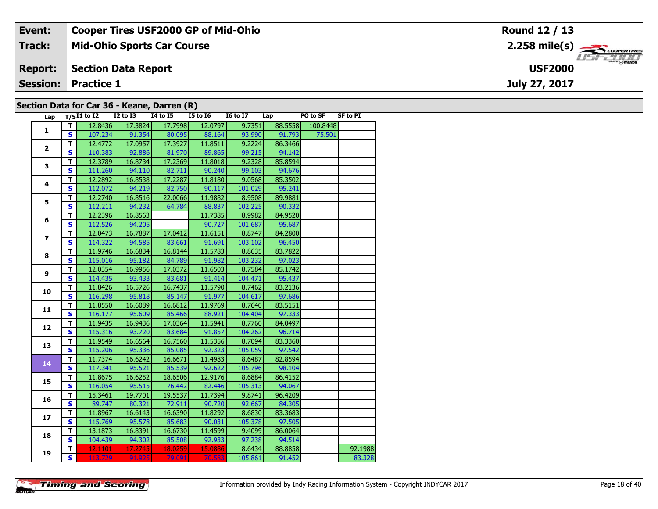| Event:                                      | <b>Cooper Tires USF2000 GP of Mid-Ohio</b> | <b>Round 12 / 13</b>                                    |  |  |  |  |  |  |  |  |  |
|---------------------------------------------|--------------------------------------------|---------------------------------------------------------|--|--|--|--|--|--|--|--|--|
| Track:                                      | <b>Mid-Ohio Sports Car Course</b>          | $2.258$ mile(s) $\overbrace{\hspace{2cm}}$ coorer TIRES |  |  |  |  |  |  |  |  |  |
| <b>Report:</b>                              | Section Data Report                        | <b>LISF 2000</b><br><b>USF2000</b>                      |  |  |  |  |  |  |  |  |  |
|                                             | <b>Session: Practice 1</b>                 | July 27, 2017                                           |  |  |  |  |  |  |  |  |  |
| Section Data for Car 36 - Keane, Darren (R) |                                            |                                                         |  |  |  |  |  |  |  |  |  |

## **Section Data for Car 36 - Keane, Darren (R)**

| Lap                      | $T/SI1$ to I2 I2 to I3 I4 to I5 I5 to I6 |         |         |         |         | <b>I6 to I7</b> | Lap     | PO to SF | <b>SF to PI</b> |
|--------------------------|------------------------------------------|---------|---------|---------|---------|-----------------|---------|----------|-----------------|
| 1                        | т                                        | 12.8436 | 17.3824 | 17.7998 | 12.0797 | 9.7351          | 88.5558 | 100.8448 |                 |
|                          | $\mathbf{s}$                             | 107.234 | 91.354  | 80.095  | 88.164  | 93.990          | 91.793  | 75.501   |                 |
| $\overline{2}$           | T                                        | 12.4772 | 17.0957 | 17.3927 | 11.8511 | 9.2224          | 86.3466 |          |                 |
|                          | $\mathbf{s}$                             | 110.383 | 92.886  | 81.970  | 89.865  | 99.215          | 94.142  |          |                 |
| 3                        | T                                        | 12.3789 | 16.8734 | 17.2369 | 11.8018 | 9.2328          | 85.8594 |          |                 |
|                          | $\mathbf{s}$                             | 111.260 | 94.110  | 82.711  | 90.240  | 99.103          | 94.676  |          |                 |
| 4                        | T                                        | 12.2892 | 16.8538 | 17.2287 | 11.8180 | 9.0568          | 85.3502 |          |                 |
|                          | $\mathbf{s}$                             | 112.072 | 94.219  | 82.750  | 90.117  | 101.029         | 95.241  |          |                 |
| 5                        | T                                        | 12.2740 | 16.8516 | 22.0066 | 11.9882 | 8.9508          | 89.9881 |          |                 |
|                          | $\mathbf{s}$                             | 112.211 | 94.232  | 64.784  | 88.837  | 102.225         | 90.332  |          |                 |
|                          | T                                        | 12.2396 | 16.8563 |         | 11.7385 | 8.9982          | 84.9520 |          |                 |
| 6                        | $\mathbf s$                              | 112.526 | 94.205  |         | 90.727  | 101.687         | 95.687  |          |                 |
| $\overline{\phantom{a}}$ | T                                        | 12.0473 | 16.7887 | 17.0412 | 11.6151 | 8.8747          | 84.2800 |          |                 |
|                          | $\mathbf{s}$                             | 114.322 | 94.585  | 83.661  | 91.691  | 103.102         | 96.450  |          |                 |
| 8                        | T                                        | 11.9746 | 16.6834 | 16.8144 | 11.5783 | 8.8635          | 83.7822 |          |                 |
|                          | $\mathbf{s}$                             | 115.016 | 95.182  | 84.789  | 91.982  | 103.232         | 97.023  |          |                 |
|                          | T                                        | 12.0354 | 16.9956 | 17.0372 | 11.6503 | 8.7584          | 85.1742 |          |                 |
| 9                        | $\mathbf{s}$                             | 114.435 | 93.433  | 83.681  | 91.414  | 104.471         | 95.437  |          |                 |
| 10                       | T                                        | 11.8426 | 16.5726 | 16.7437 | 11.5790 | 8.7462          | 83.2136 |          |                 |
|                          | $\mathbf{s}$                             | 116.298 | 95.818  | 85.147  | 91.977  | 104.617         | 97.686  |          |                 |
| 11                       | T.                                       | 11.8550 | 16.6089 | 16.6812 | 11.9769 | 8.7640          | 83.5151 |          |                 |
|                          | S                                        | 116.177 | 95.609  | 85.466  | 88.921  | 104.404         | 97.333  |          |                 |
| 12                       | T                                        | 11.9435 | 16.9436 | 17.0364 | 11.5941 | 8.7760          | 84.0497 |          |                 |
|                          | $\mathbf{s}$                             | 115.316 | 93.720  | 83.684  | 91.857  | 104.262         | 96.714  |          |                 |
| 13                       | T                                        | 11.9549 | 16.6564 | 16.7560 | 11.5356 | 8.7094          | 83.3360 |          |                 |
|                          | $\mathbf{s}$                             | 115.206 | 95.336  | 85.085  | 92.323  | 105.059         | 97.542  |          |                 |
| 14                       | T                                        | 11.7374 | 16.6242 | 16.6671 | 11.4983 | 8.6487          | 82.8594 |          |                 |
|                          | $\mathbf{s}$                             | 117.341 | 95.521  | 85.539  | 92.622  | 105.796         | 98.104  |          |                 |
| 15                       | T                                        | 11.8675 | 16.6252 | 18.6506 | 12.9176 | 8.6884          | 86.4152 |          |                 |
|                          | $\mathbf{s}$                             | 116.054 | 95.515  | 76.442  | 82.446  | 105.313         | 94.067  |          |                 |
| 16                       | T                                        | 15.3461 | 19.7701 | 19.5537 | 11.7394 | 9.8741          | 96.4209 |          |                 |
|                          | $\mathbf{s}$                             | 89.747  | 80.321  | 72.911  | 90.720  | 92.667          | 84.305  |          |                 |
| 17                       | T                                        | 11.8967 | 16.6143 | 16.6390 | 11.8292 | 8.6830          | 83.3683 |          |                 |
|                          | $\mathbf s$                              | 115.769 | 95.578  | 85.683  | 90.031  | 105.378         | 97.505  |          |                 |
| 18                       | T                                        | 13.1873 | 16.8391 | 16.6730 | 11.4599 | 9.4099          | 86.0064 |          |                 |
|                          | $\mathbf{s}$                             | 104.439 | 94.302  | 85.508  | 92.933  | 97.238          | 94.514  |          |                 |
|                          | т                                        | 12.1101 | 17.2745 | 18.0259 | 15.0886 | 8.6434          | 88.8858 |          | 92.1988         |
| 19                       | S                                        | 113.729 | 91.925  | 79.091  | 70.583  | 105.861         | 91.452  |          | 83.328          |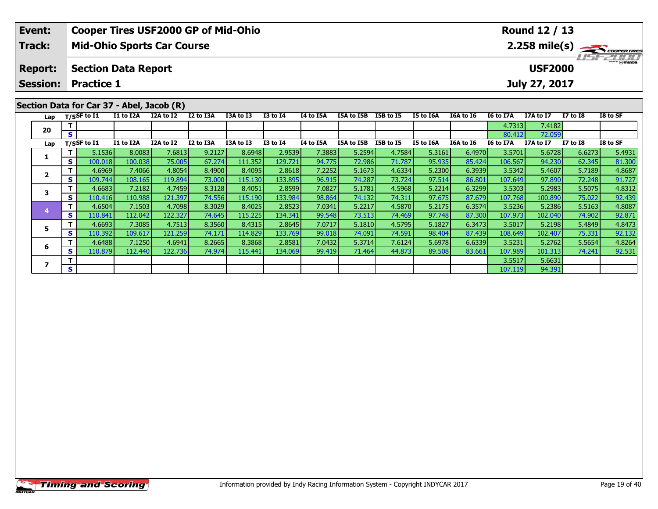| Event:         | <b>Cooper Tires USF2000 GP of Mid-Ohio</b> | Round 12 / 13                                 |
|----------------|--------------------------------------------|-----------------------------------------------|
| Track:         | <b>Mid-Ohio Sports Car Course</b>          | $2.258$ mile(s) $\frac{1}{2.258}$ coorer Time |
| <b>Report:</b> | Section Data Report                        | <i><b>LISF 2000</b></i><br><b>USF2000</b>     |
|                | Session: Practice 1                        | July 27, 2017                                 |
|                |                                            |                                               |
|                | Section Data for Car 37 - Abel, Jacob (R)  |                                               |

| Lap |    | $T/S$ SF to $I1$ | <b>I1 to I2A</b> | I2A to I2 | I2 to I3A | I3A to I3 | <b>I3 to I4</b> | <b>I4 to I5A</b> | I5A to I5B | <b>I5B to I5</b> | I5 to I6A | I6A to I6 | <b>I6 to I7A</b> | I7A to I7 | <b>I7 to I8</b> | I8 to SF |
|-----|----|------------------|------------------|-----------|-----------|-----------|-----------------|------------------|------------|------------------|-----------|-----------|------------------|-----------|-----------------|----------|
| 20  |    |                  |                  |           |           |           |                 |                  |            |                  |           |           | 4.7313           | 7.4182    |                 |          |
|     | S. |                  |                  |           |           |           |                 |                  |            |                  |           |           | 80.412           | 72.059    |                 |          |
| Lap |    | $T/S$ SF to I1   | I1 to I2A        | I2A to I2 | I2 to I3A | I3A to I3 | <b>I3 to I4</b> | I4 to I5A        | I5A to I5B | I5B to I5        | I5 to I6A | I6A to I6 | I6 to I7A        | I7A to I7 | $I7$ to $I8$    | I8 to SF |
|     |    | 5.1536           | 8.0083           | 7.6813    | 9.2127    | 8.6948    | 2.9539          | 7.3883           | 5.2594     | 4.7584           | 5.3161    | 6.4970    | 3.5701           | 5.6728    | 6.6273          | 5.4931   |
|     | S. | 100.018          | 100.038          | 75.005    | 67.274    | 111.352   | 129.721         | 94.775           | 72.986     | 71.787           | 95.935    | 85.424    | 106.567          | 94.230    | 62.345          | 81.300   |
|     |    | 4.6969           | 7.4066           | 4.8054    | 8.4900    | 8.4095    | 2.8618          | 7.2252           | 5.1673     | 4.6334           | 5.2300    | 6.3939    | 3.5342           | 5.4607    | 5.7189          | 4.8687   |
|     | S  | 109.744          | 108.165          | 119.894   | 73.000    | 115.130   | 133.895         | 96.915           | 74.287     | 73.724           | 97.514    | 86.801    | 107.649          | 97.890    | 72.248          | 91.727   |
|     |    | 4.6683           | 7.2182           | 4.7459    | 8.3128    | 8.4051    | 2.8599          | 7.0827           | 5.1781     | 4.5968           | 5.2214    | 6.3299    | 3.5303           | 5.2983    | 5.5075          | 4.8312   |
|     | S. | 110.416          | 110.988          | 121.397   | 74.556    | 115.190   | 133.984         | 98.864           | 74.132     | 74.311           | 97.675    | 87.679    | 107.768          | 100.890   | 75.022          | 92.439   |
|     |    | 4.6504           | 7.1503           | 4.7098    | 8.3029    | 8.4025    | 2.8523          | 7.0341           | 5.2217     | 4.5870           | 5.2175    | 6.3574    | 3.5236           | 5.2386    | 5.5163          | 4.8087   |
|     | S. | 110.841          | 112.042          | 122.327   | 74.645    | 115.225   | 134.341         | 99.548           | 73.513     | 74.469           | 97.748    | 87.300    | 107.973          | 102.040   | 74.902          | 92.871   |
|     |    | 4.6693           | 7.3085           | 4.7513    | 8.3560    | 8.4315    | 2.8645          | 7.0717           | 5.1810     | 4.5795           | 5.1827    | 6.3473    | 3.5017           | 5.2198    | 5.4849          | 4.8473   |
|     | S. | 110.392          | 109.617          | 121.259   | 74.171    | 114.829   | 133.769         | 99.018           | 74.091     | 74.591           | 98.404    | 87.439    | 108.649          | 102.407   | 75.331          | 92.132   |
| 6   |    | 4.6488           | 7.1250           | 4.6941    | 8.2665    | 8.3868    | 2.8581          | 7.0432           | 5.3714     | 7.6124           | 5.6978    | 6.6339    | 3.5231           | 5.2762    | 5.5654          | 4.8264   |
|     | S. | 110.879          | 112.440          | 122.736   | 74.974    | 115.441   | 134.069         | 99.419           | 71.464     | 44.873           | 89.508    | 83.661    | 107.989          | 101.313   | 74.241          | 92.531   |
|     |    |                  |                  |           |           |           |                 |                  |            |                  |           |           | 3.5517           | 5.6631    |                 |          |
|     | S. |                  |                  |           |           |           |                 |                  |            |                  |           |           | 107.119          | 94.391    |                 |          |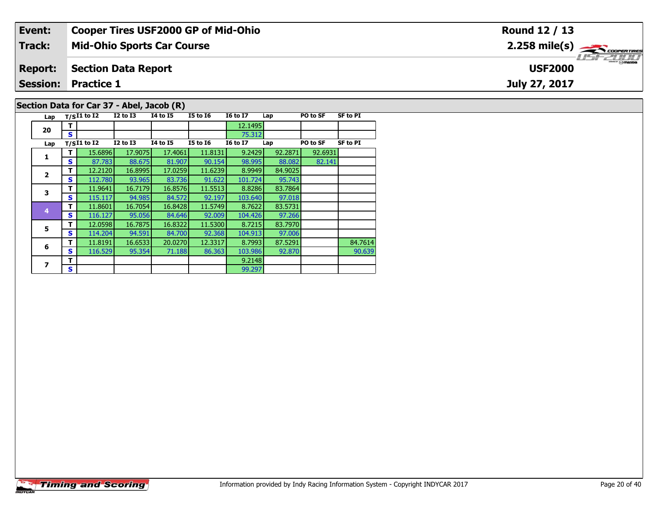#### **Event: Cooper Tires USF2000 GP of Mid-Ohio Round 12 / 13**2.258 mile(s) **2.258 miles Mid-Ohio Sports Car Course Track:** USFZULU **Section Data Report Report: USF2000July 27, 2017 Session: Practice 1 Section Data for Car 37 - Abel, Jacob (R)**

| Lap                     |   | $T/SI1$ to I2 | <b>I2 to I3</b> | 14 to 15        | <b>I5 to 16</b> | <b>16 to 17</b> | Lap     | PO to SF | <b>SF to PI</b> |
|-------------------------|---|---------------|-----------------|-----------------|-----------------|-----------------|---------|----------|-----------------|
| 20                      | т |               |                 |                 |                 | 12.1495         |         |          |                 |
|                         | S |               |                 |                 |                 | 75.312          |         |          |                 |
| Lap                     |   | $T/SI1$ to I2 | <b>I2 to I3</b> | <b>14 to 15</b> | <b>I5 to 16</b> | <b>16 to 17</b> | Lap     | PO to SF | <b>SF to PI</b> |
| 1                       | т | 15.6896       | 17.9075         | 17.4061         | 11.8131         | 9.2429          | 92.2871 | 92.6931  |                 |
|                         | s | 87.783        | 88.675          | 81.907          | 90.154          | 98.995          | 88.082  | 82.141   |                 |
| $\overline{2}$          | т | 12.2120       | 16.8995         | 17.0259         | 11.6239         | 8.9949          | 84.9025 |          |                 |
|                         | S | 112.780       | 93.965          | 83.736          | 91.622          | 101.724         | 95.743  |          |                 |
| 3                       | т | 11.9641       | 16.7179         | 16.8576         | 11.5513         | 8.8286          | 83.7864 |          |                 |
|                         | S | 115.117       | 94.985          | 84.572          | 92.197          | 103.640         | 97.018  |          |                 |
| $\overline{\mathbf{4}}$ | т | 11.8601       | 16.7054         | 16.8428         | 11.5749         | 8.7622          | 83.5731 |          |                 |
|                         | S | 116.127       | 95.056          | 84.646          | 92.009          | 104.426         | 97.266  |          |                 |
| 5                       | т | 12.0598       | 16.7875         | 16.8322         | 11.5300         | 8.7215          | 83.7970 |          |                 |
|                         | S | 114.204       | 94.591          | 84.700          | 92.368          | 104.913         | 97.006  |          |                 |
| 6                       | т | 11.8191       | 16.6533         | 20.0270         | 12.3317         | 8.7993          | 87.5291 |          | 84.7614         |
|                         | S | 116.529       | 95.354          | 71.188          | 86.363          | 103.986         | 92,870  |          | 90.639          |
| 7                       | т |               |                 |                 |                 | 9.2148          |         |          |                 |
|                         | S |               |                 |                 |                 | 99.297          |         |          |                 |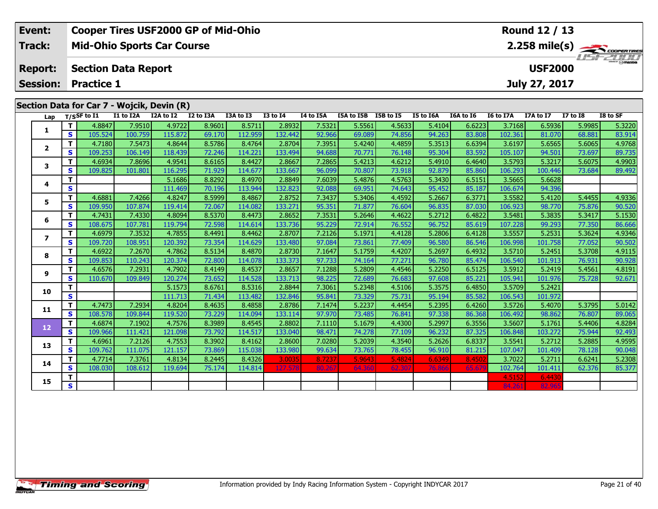| Event:         | <b>Cooper Tires USF2000 GP of Mid-Ohio</b> | Round 12 / 13                             |
|----------------|--------------------------------------------|-------------------------------------------|
| Track:         | <b>Mid-Ohio Sports Car Course</b>          |                                           |
| <b>Report:</b> | Section Data Report                        | <i><b>LISF 2000</b></i><br><b>USF2000</b> |
|                | <b>Session: Practice 1</b>                 | July 27, 2017                             |
|                |                                            |                                           |
|                | Section Data for Car 7 - Wojcik, Devin (R) |                                           |

| Lap          |              | T/SSF to I1       | I1 to I2A         | I2A to I2         | I2 to I3A        | I3A to I3         | <b>I3 to I4</b>   | I4 to I5A        | I5A to I5B I5B to I5 |                  | I5 to I6A        | I6A to I6        | I6 to I7A         | I7A to I7        | <b>I7 to I8</b>  | I8 to SF         |
|--------------|--------------|-------------------|-------------------|-------------------|------------------|-------------------|-------------------|------------------|----------------------|------------------|------------------|------------------|-------------------|------------------|------------------|------------------|
|              | $\mathbf{T}$ | 4.8847            | 7.9510            | 4.9722            | 8.9601           | 8.5711            | 2.8932            | 7.5321           | 5.5561               | 4.5633           | 5.4104           | 6.6223           | 3.7168            | 6.5936           | 5.9985           | 5.3220           |
| 1            | S.           | 105.524           | 100.759           | 115.872           | 69.170           | 112.959           | 132.442           | 92.966           | 69.089               | 74.856           | 94.263           | 83.808           | 102.361           | 81.070           | 68.881           | 83.914           |
| 2            | T.           | 4.7180            | 7.5473            | 4.8644            | 8.5786           | 8.4764            | 2.8704            | 7.3951           | 5.4240               | 4.4859           | 5.3513           | 6.6394           | 3.6197            | 5.6565           | 5.6065           | 4.9768           |
|              | S.           | 109.253           | 106.149           | 118.439           | 72.246           | 114.221           | 133.494           | 94.688           | 70.771               | 76.148           | 95.304           | 83.592           | 105.107           | 94.501           | 73.697           | 89.735           |
| 3            | T.           | 4.6934            | 7.8696            | 4.9541            | 8.6165           | 8.4427            | 2.8667            | 7.2865           | 5.4213               | 4.6212           | 5.4910           | 6.4640           | 3.5793            | 5.3217           | 5.6075           | 4.9903           |
|              | S            | 109.825           | 101.801           | 116.295           | 71.929           | 114.677           | 133.667           | 96.099           | 70.807               | 73.918           | 92.879           | 85.860           | 106.293           | 100.446          | 73.684           | 89.492           |
| 4            | T.           |                   |                   | 5.1686            | 8.8292           | 8.4970            | 2.8849            | 7.6039           | 5.4876               | 4.5763           | 5.3430           | 6.5151           | 3.5665            | 5.6628           |                  |                  |
|              | S            |                   |                   | 111.469           | 70.196           | 113.944           | 132.823           | 92.088           | 69.951               | 74.643           | 95.452           | 85.187           | 106.674           | 94.396           |                  |                  |
| 5            | T.           | 4.6881            | 7.4266            | 4.8247            | 8.5999           | 8.4867            | 2.8752            | 7.3437           | 5.3406               | 4.4592           | 5.2667           | 6.3771           | 3.5582            | 5.4120           | 5.4455           | 4.9336           |
|              | S.           | 109.950           | 107.874           | 119.414           | 72.067           | 114.082           | 133.271           | 95.351           | 71.877               | 76.604           | 96.835           | 87.030           | 106.923           | 98.770           | 75.876           | 90.520           |
| 6            | T.           | 4.7431            | 7.4330            | 4.8094            | 8.5370           | 8.4473            | 2.8652            | 7.3531           | 5.2646               | 4.4622           | 5.2712           | 6.4822           | 3.5481            | 5.3835           | 5.3417           | 5.1530           |
|              | S            | 108.675           | 107.781           | 119.794           | 72.598           | 114.614           | 133.736           | 95.229           | 72.914               | 76.552           | 96.752           | 85.619           | 107.228           | 99.293           | 77.350           | 86.666           |
| $\mathbf{z}$ | T.           | 4.6979            | 7.3532            | 4.7855            | 8.4491           | 8.4462            | 2.8707            | 7.2126           | 5.1971               | 4.4128           | 5.2806           | 6.4128           | 3.5557            | 5.2531           | 5.3624           | 4.9346           |
|              | S            | 109.720           | 108.951           | 120.392           | 73.354           | 114.629           | 133.480           | 97.084           | 73.861               | 77.409           | 96.580           | 86.546           | 106.998           | 101.758          | 77.052           | 90.502           |
| 8            | T.           | 4.6922            | 7.2670            | 4.7862            | 8.5134           | 8.4870            | 2.8730            | 7.1647           | 5.1759               | 4.4207           | 5.2697           | 6.4932           | 3.5710            | 5.2451           | 5.3708           | 4.9115           |
|              | S            | 109.853           | 110.243           | 120.374           | 72.800           | 114.078           | 133.373           | 97.733           | 74.164               | 77.271           | 96.780           | 85.474           | 106.540           | 101.913          | 76.931           | 90.928           |
| 9            | T.           | 4.6576            | 7.2931            | 4.7902            | 8.4149           | 8.4537            | 2.8657            | 7.1288           | 5.2809               | 4.4546           | 5.2250           | 6.5125           | 3.5912            | 5.2419           | 5.4561           | 4.8191           |
|              | S.           | 110.670           | 109.849           | 120.274           | 73.652           | 114.528           | 133.713           | 98.225           | 72.689               | 76.683           | 97.608           | 85.221           | 105.941           | 101.976          | 75.728           | 92.671           |
| 10           | Τ.           |                   |                   | 5.1573            | 8.6761           | 8.5316            | 2.8844            | 7.3061           | 5.2348               | 4.5106           | 5.3575           | 6.4850           | 3.5709            | 5.2421           |                  |                  |
|              | S            |                   |                   | 111.713           | 71.434           | 113.482           | 132.846           | 95.841           | 73.329               | 75.731           | 95.194           | 85.582           | 106.543           | 101.972          |                  |                  |
| 11           | T.<br>S      | 4.7473            | 7.2934            | 4.8204            | 8.4635           | 8.4858            | 2.8786            | 7.1474           | 5.2237<br>73.485     | 4.4454           | 5.2395           | 6.4260           | 3.5726<br>106.492 | 5.4070           | 5.3795           | 5.0142<br>89.065 |
|              | T.           | 108.578<br>4.6874 | 109.844           | 119.520<br>4.7576 | 73.229<br>8.3989 | 114.094           | 133.114<br>2.8802 | 97.970<br>7.1110 | 5.1679               | 76.841<br>4.4300 | 97.338<br>5.2997 | 86.368<br>6.3556 | 3.5607            | 98.862<br>5.1761 | 76.807           | 4.8284           |
| 12           | $\mathbf{s}$ | 109.966           | 7.1902<br>111.421 | 121.098           | 73.792           | 8.4545<br>114.517 | 133.040           | 98.471           | 74.278               | 77.109           | 96.232           | 87.325           | 106.848           | 103.272          | 5.4406<br>75.944 | 92.493           |
|              | T.           | 4.6961            | 7.2126            | 4.7553            | 8.3902           | 8.4162            | 2.8600            | 7.0280           | 5.2039               | 4.3540           | 5.2626           | 6.8337           | 3.5541            | 5.2712           | 5.2885           | 4.9595           |
| 13           | S.           | 109.762           | 111.075           | 121.157           | 73.869           | 115.038           | 133.980           | 99.634           | 73.765               | 78.455           | 96.910           | 81.215           | 107.047           | 101.409          | 78.128           | 90.048           |
|              | Τ.           | 4.7714            | 7.3761            | 4.8134            | 8.2445           | 8.4326            | 3.0035            | 8.7237           | 5.9643               | 5.4824           | 6.6349           | 8.4502           | 3.7022            | 5.2711           | 6.6241           | 5.2308           |
| 14           | S            | 108.030           | 108.612           | 119.694           | 75.174           | 114.814           | 127.578           | 80.267           | 64.360               | 62.307           | 76.866           | 65.67            | 102.764           | 101.411          | 62.376           | 85.377           |
|              | T.           |                   |                   |                   |                  |                   |                   |                  |                      |                  |                  |                  | 4.5152            | 6.4430           |                  |                  |
| 15           | S.           |                   |                   |                   |                  |                   |                   |                  |                      |                  |                  |                  | 84.261            | 82.965           |                  |                  |
|              |              |                   |                   |                   |                  |                   |                   |                  |                      |                  |                  |                  |                   |                  |                  |                  |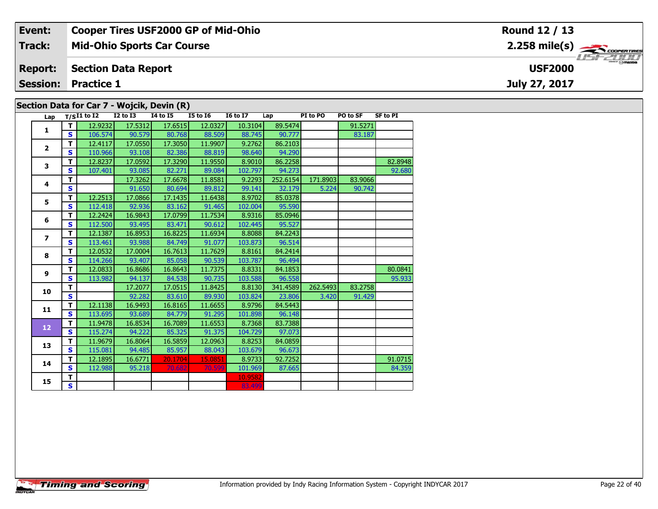#### Event: **Cooper Tires USF2000 GP of Mid-Ohio** Round 12 / 13  $2.258 \text{ mile(s)}$ **Track: Mid-Ohio Sports Car Course** USF 2000 **Section Data Report Report: USF2000 Session: Practice 1** July 27, 2017 Section Data for Car 7 - Wojcik, Devin (R)

| Lap                     |    | $T/SI1$ to I2 | $I2$ to $I3$ | <b>I4 to I5</b> | <b>I5 to 16</b> | <b>16 to 17</b> | Lap      | PI to PO | PO to SF | <b>SF to PI</b> |
|-------------------------|----|---------------|--------------|-----------------|-----------------|-----------------|----------|----------|----------|-----------------|
| $\mathbf{1}$            | т  | 12.9232       | 17.5312      | 17.6515         | 12.0327         | 10.3104         | 89.5474  |          | 91.5271  |                 |
|                         | S. | 106.574       | 90.579       | 80.768          | 88.509          | 88.745          | 90.777   |          | 83.187   |                 |
| $\overline{\mathbf{2}}$ | т  | 12.4117       | 17.0550      | 17.3050         | 11.9907         | 9.2762          | 86.2103  |          |          |                 |
|                         | S  | 110.966       | 93.108       | 82.386          | 88.819          | 98.640          | 94.290   |          |          |                 |
| 3                       | T  | 12.8237       | 17.0592      | 17.3290         | 11.9550         | 8.9010          | 86.2258  |          |          | 82.8948         |
|                         | S  | 107.401       | 93.085       | 82.271          | 89.084          | 102.797         | 94.273   |          |          | 92.680          |
| 4                       | T. |               | 17.3262      | 17.6678         | 11.8581         | 9.2293          | 252.6154 | 171.8903 | 83.9066  |                 |
|                         | S. |               | 91.650       | 80.694          | 89.812          | 99.141          | 32.179   | 5.224    | 90.742   |                 |
| 5                       | т  | 12.2513       | 17.0866      | 17.1435         | 11.6438         | 8.9702          | 85.0378  |          |          |                 |
|                         | S  | 112.418       | 92.936       | 83.162          | 91.465          | 102.004         | 95.590   |          |          |                 |
| 6                       | T  | 12.2424       | 16.9843      | 17.0799         | 11.7534         | 8.9316          | 85.0946  |          |          |                 |
|                         | S  | 112.500       | 93.495       | 83.471          | 90.612          | 102.445         | 95.527   |          |          |                 |
| $\overline{ }$          | T. | 12.1387       | 16.8953      | 16.8225         | 11.6934         | 8.8088          | 84.2243  |          |          |                 |
|                         | S  | 113.461       | 93.988       | 84.749          | 91.077          | 103.873         | 96.514   |          |          |                 |
| 8                       | T. | 12.0532       | 17.0004      | 16.7613         | 11.7629         | 8.8161          | 84.2414  |          |          |                 |
|                         | S  | 114.266       | 93.407       | 85.058          | 90.539          | 103.787         | 96.494   |          |          |                 |
| 9                       | T. | 12.0833       | 16.8686      | 16.8643         | 11.7375         | 8.8331          | 84.1853  |          |          | 80.0841         |
|                         | S. | 113.982       | 94.137       | 84.538          | 90.735          | 103.588         | 96.558   |          |          | 95.933          |
| 10                      | T. |               | 17.2077      | 17.0515         | 11.8425         | 8.8130          | 341.4589 | 262.5493 | 83.2758  |                 |
|                         | S  |               | 92.282       | 83.610          | 89.930          | 103.824         | 23.806   | 3.420    | 91.429   |                 |
| 11                      | T. | 12.1138       | 16.9493      | 16.8165         | 11.6655         | 8.9796          | 84.5443  |          |          |                 |
|                         | S. | 113.695       | 93.689       | 84.779          | 91.295          | 101.898         | 96.148   |          |          |                 |
| 12                      | T. | 11.9478       | 16.8534      | 16.7089         | 11.6553         | 8.7368          | 83.7388  |          |          |                 |
|                         | S. | 115.274       | 94.222       | 85.325          | 91.375          | 104.729         | 97.073   |          |          |                 |
| 13                      | T. | 11.9679       | 16.8064      | 16.5859         | 12.0963         | 8.8253          | 84.0859  |          |          |                 |
|                         | S  | 115.081       | 94.485       | 85.957          | 88.043          | 103.679         | 96.673   |          |          |                 |
| 14                      | т  | 12.1895       | 16.6771      | 20.1704         | 15.0851         | 8.9733          | 92.7252  |          |          | 91.0715         |
|                         | S  | 112.988       | 95.218       | 70.682          | 70.599          | 101.969         | 87.665   |          |          | 84.359          |
| 15                      | T. |               |              |                 |                 | 10.9582         |          |          |          |                 |
|                         | S. |               |              |                 |                 | 83.499          |          |          |          |                 |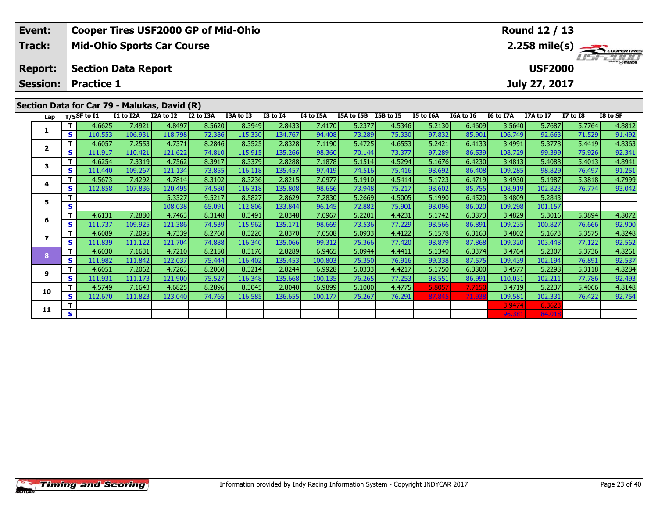| Event:                                       |                                              | <b>Cooper Tires USF2000 GP of Mid-Ohio</b> |           | Round 12 / 13 |           |                 |           |            |           |                  |                  |                  |               |                         |          |
|----------------------------------------------|----------------------------------------------|--------------------------------------------|-----------|---------------|-----------|-----------------|-----------|------------|-----------|------------------|------------------|------------------|---------------|-------------------------|----------|
| Track:                                       | <b>Mid-Ohio Sports Car Course</b>            |                                            |           |               |           |                 |           |            |           |                  |                  |                  |               | <b>LISTED TO BRANCH</b> |          |
| <b>Report:</b>                               | <b>Section Data Report</b><br><b>USF2000</b> |                                            |           |               |           |                 |           |            |           |                  |                  |                  |               |                         |          |
| <b>Session:</b>                              | <b>Practice 1</b>                            |                                            |           |               |           |                 |           |            |           |                  |                  |                  | July 27, 2017 |                         |          |
|                                              |                                              |                                            |           |               |           |                 |           |            |           |                  |                  |                  |               |                         |          |
| Section Data for Car 79 - Malukas, David (R) |                                              |                                            |           |               |           |                 |           |            |           |                  |                  |                  |               |                         |          |
| Lap                                          | T/SSF to I1                                  | I1 to I2A                                  | I2A to I2 | I2 to I3A     | I3A to I3 | <b>I3 to I4</b> | I4 to I5A | I5A to I5B | I5B to I5 | <b>I5 to I6A</b> | <b>I6A to I6</b> | <b>I6 to I7A</b> | I7A to I7     | I7 to I8                | I8 to SF |

| 4.6625<br>7.4921<br>4.8497<br>8.5620<br>8.3949<br>2.8433<br>5.2377<br>4.5346<br>5.2130<br>3.5640<br>5.7687<br>7.4170<br>6.4609<br>5.7764<br>85.901<br>71.529<br>s<br>110.553<br>106.931<br>72.386<br>115.330<br>94.408<br>73.289<br>75.330<br>97.832<br>106.749<br>92.663<br>118.798<br>134.767<br>8.2846<br>Ŧ<br>4.6057<br>7.2553<br>4.7371<br>8.3525<br>2.8328<br>5.4725<br>4.6553<br>6.4133<br>5.3778<br>7.1190<br>5.2421<br>3.4991<br>5.4419<br>115.915<br>98.360<br>70.144<br>97.289<br>86.539<br>99.399<br>75.926<br>S<br>111.917<br>110.421<br>121.622<br>74.810<br>135.266<br>73.377<br>108.729<br>4.6254<br>8.3917<br>8.3379<br>5.1514<br>4.5294<br>6.4230<br>7.3319<br>4.7562<br>2.8288<br>7.1878<br>5.1676<br>3.4813<br>5.4088<br>5.4013<br>3<br>S<br>73.855<br>86.408<br>109.285<br>98.829<br>109.267<br>116.118<br>135.457<br>74.516<br>75.416<br>98.692<br>76.497<br>111.440<br>121.134<br>97.419<br>4.5673<br>8.3102<br>8.3236<br>2.8215<br>7.0977<br>5.1910<br>4.5414<br>5.1723<br>6.4719<br>5.1987<br>5.3818<br>7.4292<br>4.7814<br>3.4930<br>4<br>112.858<br>107.836<br>74.580<br>73.948<br>85.755<br>108.919<br>S<br>120.495<br>116.318<br>135.808<br>98.656<br>75.217<br>98.602<br>102.823<br>76.774<br>9.5217<br>5.3327<br>8.5827<br>2.8629<br>7.2830<br>5.2669<br>6.4520<br>3.4809<br>5.2843<br>4.5005<br>5.1990<br>5<br>72.882<br>86.020<br>s<br>108.038<br>65.091<br>112.806<br>133.844<br>96.145<br>75.901<br>98.096<br>109.298<br>101.157<br>6.3873<br>4.6131<br>7.2880<br>8.3148<br>8.3491<br>2.8348<br>5.2201<br>4.4231<br>3.4829<br>5.3016<br>4.7463<br>7.0967<br>5.1742<br>5.3894<br>6<br>s<br>111.737<br>109.925<br>121.386<br>74.539<br>115.962<br>135.171<br>98.669<br>73.536<br>77.229<br>86.891<br>109.235<br>100.827<br>98.566<br>76.666<br>8.2760<br>2.8370<br>4.6089<br>4.7339<br>5.0933<br>6.3163<br>7.2095<br>8.3220<br>7.0508<br>4.4122<br>5.1578<br>3.4802<br>5.1673<br>5.3575<br>111.839<br>74.888<br>116.340<br>99.312<br>75.366<br>87.868<br>s<br>111.122<br>121.704<br>135.066<br>77.420<br>98.879<br>109.320<br>103.448<br>77.122<br>4.6030<br>8.2150<br>6.3374<br>5.3736<br>т<br>7.1631<br>4.7210<br>8.3176<br>2.8289<br>6.9465<br>5.0944<br>5.1340<br>3.4764<br>5.2307<br>4.4411<br>8<br>S<br>87.575<br>111.982<br>111.842<br>122.037<br>75.444<br>116.402<br>135.453<br>100.803<br>75.350<br>99.338<br>109.439<br>102.194<br>76.891<br>76.916<br>4.6051<br>8.2060<br>6.9928<br>5.0333<br>6.3800<br>5.2298<br>7.2062<br>4.7263<br>8.3214<br>2.8244<br>4.4217<br>5.1750<br>3.4577<br>5.3118<br>9<br>75.527<br>s<br>111.931<br>111.173<br>116.348<br>76.265<br>77.253<br>98.551<br>86.991<br>110.031<br>77.786<br>121.900<br>135.668<br>100.135<br>102.211<br>4.5749<br>4.6825<br>8.2896<br>8.3045<br>5.2237<br>7.1643<br>2.8040<br>6.9899<br>5.1000<br>4.4775<br>5.8057<br>7.7150<br>3.4719<br>5.4066<br>10<br>112.670<br>75.267<br>S<br>111.823<br>123.040<br>74.765<br>116.585<br>136.655<br>100.177<br>76.291<br>87.845<br>71.938<br>109.581<br>102.331<br>76.422<br>3.9474<br>6.362<br>11<br>S<br>96.381<br>84.01 |  |  |  |  |  |  |  |  |        |
|-----------------------------------------------------------------------------------------------------------------------------------------------------------------------------------------------------------------------------------------------------------------------------------------------------------------------------------------------------------------------------------------------------------------------------------------------------------------------------------------------------------------------------------------------------------------------------------------------------------------------------------------------------------------------------------------------------------------------------------------------------------------------------------------------------------------------------------------------------------------------------------------------------------------------------------------------------------------------------------------------------------------------------------------------------------------------------------------------------------------------------------------------------------------------------------------------------------------------------------------------------------------------------------------------------------------------------------------------------------------------------------------------------------------------------------------------------------------------------------------------------------------------------------------------------------------------------------------------------------------------------------------------------------------------------------------------------------------------------------------------------------------------------------------------------------------------------------------------------------------------------------------------------------------------------------------------------------------------------------------------------------------------------------------------------------------------------------------------------------------------------------------------------------------------------------------------------------------------------------------------------------------------------------------------------------------------------------------------------------------------------------------------------------------------------------------------------------------------------------------------------------------------------------------------------------------------------------------------------------------------------------------------------------------------------------------------------------------------------------------------------------------------------------------------------------------------------------------------------------------------------------------------------------------------------------------------------------------------------------------------------------------------------------------------------------------------|--|--|--|--|--|--|--|--|--------|
|                                                                                                                                                                                                                                                                                                                                                                                                                                                                                                                                                                                                                                                                                                                                                                                                                                                                                                                                                                                                                                                                                                                                                                                                                                                                                                                                                                                                                                                                                                                                                                                                                                                                                                                                                                                                                                                                                                                                                                                                                                                                                                                                                                                                                                                                                                                                                                                                                                                                                                                                                                                                                                                                                                                                                                                                                                                                                                                                                                                                                                                                       |  |  |  |  |  |  |  |  | 4.8812 |
|                                                                                                                                                                                                                                                                                                                                                                                                                                                                                                                                                                                                                                                                                                                                                                                                                                                                                                                                                                                                                                                                                                                                                                                                                                                                                                                                                                                                                                                                                                                                                                                                                                                                                                                                                                                                                                                                                                                                                                                                                                                                                                                                                                                                                                                                                                                                                                                                                                                                                                                                                                                                                                                                                                                                                                                                                                                                                                                                                                                                                                                                       |  |  |  |  |  |  |  |  | 91.492 |
|                                                                                                                                                                                                                                                                                                                                                                                                                                                                                                                                                                                                                                                                                                                                                                                                                                                                                                                                                                                                                                                                                                                                                                                                                                                                                                                                                                                                                                                                                                                                                                                                                                                                                                                                                                                                                                                                                                                                                                                                                                                                                                                                                                                                                                                                                                                                                                                                                                                                                                                                                                                                                                                                                                                                                                                                                                                                                                                                                                                                                                                                       |  |  |  |  |  |  |  |  | 4.8363 |
|                                                                                                                                                                                                                                                                                                                                                                                                                                                                                                                                                                                                                                                                                                                                                                                                                                                                                                                                                                                                                                                                                                                                                                                                                                                                                                                                                                                                                                                                                                                                                                                                                                                                                                                                                                                                                                                                                                                                                                                                                                                                                                                                                                                                                                                                                                                                                                                                                                                                                                                                                                                                                                                                                                                                                                                                                                                                                                                                                                                                                                                                       |  |  |  |  |  |  |  |  | 92.341 |
|                                                                                                                                                                                                                                                                                                                                                                                                                                                                                                                                                                                                                                                                                                                                                                                                                                                                                                                                                                                                                                                                                                                                                                                                                                                                                                                                                                                                                                                                                                                                                                                                                                                                                                                                                                                                                                                                                                                                                                                                                                                                                                                                                                                                                                                                                                                                                                                                                                                                                                                                                                                                                                                                                                                                                                                                                                                                                                                                                                                                                                                                       |  |  |  |  |  |  |  |  | 4.8941 |
|                                                                                                                                                                                                                                                                                                                                                                                                                                                                                                                                                                                                                                                                                                                                                                                                                                                                                                                                                                                                                                                                                                                                                                                                                                                                                                                                                                                                                                                                                                                                                                                                                                                                                                                                                                                                                                                                                                                                                                                                                                                                                                                                                                                                                                                                                                                                                                                                                                                                                                                                                                                                                                                                                                                                                                                                                                                                                                                                                                                                                                                                       |  |  |  |  |  |  |  |  | 91.251 |
|                                                                                                                                                                                                                                                                                                                                                                                                                                                                                                                                                                                                                                                                                                                                                                                                                                                                                                                                                                                                                                                                                                                                                                                                                                                                                                                                                                                                                                                                                                                                                                                                                                                                                                                                                                                                                                                                                                                                                                                                                                                                                                                                                                                                                                                                                                                                                                                                                                                                                                                                                                                                                                                                                                                                                                                                                                                                                                                                                                                                                                                                       |  |  |  |  |  |  |  |  | 4.7999 |
|                                                                                                                                                                                                                                                                                                                                                                                                                                                                                                                                                                                                                                                                                                                                                                                                                                                                                                                                                                                                                                                                                                                                                                                                                                                                                                                                                                                                                                                                                                                                                                                                                                                                                                                                                                                                                                                                                                                                                                                                                                                                                                                                                                                                                                                                                                                                                                                                                                                                                                                                                                                                                                                                                                                                                                                                                                                                                                                                                                                                                                                                       |  |  |  |  |  |  |  |  | 93.042 |
|                                                                                                                                                                                                                                                                                                                                                                                                                                                                                                                                                                                                                                                                                                                                                                                                                                                                                                                                                                                                                                                                                                                                                                                                                                                                                                                                                                                                                                                                                                                                                                                                                                                                                                                                                                                                                                                                                                                                                                                                                                                                                                                                                                                                                                                                                                                                                                                                                                                                                                                                                                                                                                                                                                                                                                                                                                                                                                                                                                                                                                                                       |  |  |  |  |  |  |  |  |        |
|                                                                                                                                                                                                                                                                                                                                                                                                                                                                                                                                                                                                                                                                                                                                                                                                                                                                                                                                                                                                                                                                                                                                                                                                                                                                                                                                                                                                                                                                                                                                                                                                                                                                                                                                                                                                                                                                                                                                                                                                                                                                                                                                                                                                                                                                                                                                                                                                                                                                                                                                                                                                                                                                                                                                                                                                                                                                                                                                                                                                                                                                       |  |  |  |  |  |  |  |  |        |
|                                                                                                                                                                                                                                                                                                                                                                                                                                                                                                                                                                                                                                                                                                                                                                                                                                                                                                                                                                                                                                                                                                                                                                                                                                                                                                                                                                                                                                                                                                                                                                                                                                                                                                                                                                                                                                                                                                                                                                                                                                                                                                                                                                                                                                                                                                                                                                                                                                                                                                                                                                                                                                                                                                                                                                                                                                                                                                                                                                                                                                                                       |  |  |  |  |  |  |  |  | 4.8072 |
|                                                                                                                                                                                                                                                                                                                                                                                                                                                                                                                                                                                                                                                                                                                                                                                                                                                                                                                                                                                                                                                                                                                                                                                                                                                                                                                                                                                                                                                                                                                                                                                                                                                                                                                                                                                                                                                                                                                                                                                                                                                                                                                                                                                                                                                                                                                                                                                                                                                                                                                                                                                                                                                                                                                                                                                                                                                                                                                                                                                                                                                                       |  |  |  |  |  |  |  |  | 92.900 |
|                                                                                                                                                                                                                                                                                                                                                                                                                                                                                                                                                                                                                                                                                                                                                                                                                                                                                                                                                                                                                                                                                                                                                                                                                                                                                                                                                                                                                                                                                                                                                                                                                                                                                                                                                                                                                                                                                                                                                                                                                                                                                                                                                                                                                                                                                                                                                                                                                                                                                                                                                                                                                                                                                                                                                                                                                                                                                                                                                                                                                                                                       |  |  |  |  |  |  |  |  | 4.8248 |
|                                                                                                                                                                                                                                                                                                                                                                                                                                                                                                                                                                                                                                                                                                                                                                                                                                                                                                                                                                                                                                                                                                                                                                                                                                                                                                                                                                                                                                                                                                                                                                                                                                                                                                                                                                                                                                                                                                                                                                                                                                                                                                                                                                                                                                                                                                                                                                                                                                                                                                                                                                                                                                                                                                                                                                                                                                                                                                                                                                                                                                                                       |  |  |  |  |  |  |  |  | 92.562 |
|                                                                                                                                                                                                                                                                                                                                                                                                                                                                                                                                                                                                                                                                                                                                                                                                                                                                                                                                                                                                                                                                                                                                                                                                                                                                                                                                                                                                                                                                                                                                                                                                                                                                                                                                                                                                                                                                                                                                                                                                                                                                                                                                                                                                                                                                                                                                                                                                                                                                                                                                                                                                                                                                                                                                                                                                                                                                                                                                                                                                                                                                       |  |  |  |  |  |  |  |  | 4.8261 |
|                                                                                                                                                                                                                                                                                                                                                                                                                                                                                                                                                                                                                                                                                                                                                                                                                                                                                                                                                                                                                                                                                                                                                                                                                                                                                                                                                                                                                                                                                                                                                                                                                                                                                                                                                                                                                                                                                                                                                                                                                                                                                                                                                                                                                                                                                                                                                                                                                                                                                                                                                                                                                                                                                                                                                                                                                                                                                                                                                                                                                                                                       |  |  |  |  |  |  |  |  | 92.537 |
|                                                                                                                                                                                                                                                                                                                                                                                                                                                                                                                                                                                                                                                                                                                                                                                                                                                                                                                                                                                                                                                                                                                                                                                                                                                                                                                                                                                                                                                                                                                                                                                                                                                                                                                                                                                                                                                                                                                                                                                                                                                                                                                                                                                                                                                                                                                                                                                                                                                                                                                                                                                                                                                                                                                                                                                                                                                                                                                                                                                                                                                                       |  |  |  |  |  |  |  |  | 4.8284 |
|                                                                                                                                                                                                                                                                                                                                                                                                                                                                                                                                                                                                                                                                                                                                                                                                                                                                                                                                                                                                                                                                                                                                                                                                                                                                                                                                                                                                                                                                                                                                                                                                                                                                                                                                                                                                                                                                                                                                                                                                                                                                                                                                                                                                                                                                                                                                                                                                                                                                                                                                                                                                                                                                                                                                                                                                                                                                                                                                                                                                                                                                       |  |  |  |  |  |  |  |  | 92.493 |
|                                                                                                                                                                                                                                                                                                                                                                                                                                                                                                                                                                                                                                                                                                                                                                                                                                                                                                                                                                                                                                                                                                                                                                                                                                                                                                                                                                                                                                                                                                                                                                                                                                                                                                                                                                                                                                                                                                                                                                                                                                                                                                                                                                                                                                                                                                                                                                                                                                                                                                                                                                                                                                                                                                                                                                                                                                                                                                                                                                                                                                                                       |  |  |  |  |  |  |  |  | 4.8148 |
|                                                                                                                                                                                                                                                                                                                                                                                                                                                                                                                                                                                                                                                                                                                                                                                                                                                                                                                                                                                                                                                                                                                                                                                                                                                                                                                                                                                                                                                                                                                                                                                                                                                                                                                                                                                                                                                                                                                                                                                                                                                                                                                                                                                                                                                                                                                                                                                                                                                                                                                                                                                                                                                                                                                                                                                                                                                                                                                                                                                                                                                                       |  |  |  |  |  |  |  |  | 92.754 |
|                                                                                                                                                                                                                                                                                                                                                                                                                                                                                                                                                                                                                                                                                                                                                                                                                                                                                                                                                                                                                                                                                                                                                                                                                                                                                                                                                                                                                                                                                                                                                                                                                                                                                                                                                                                                                                                                                                                                                                                                                                                                                                                                                                                                                                                                                                                                                                                                                                                                                                                                                                                                                                                                                                                                                                                                                                                                                                                                                                                                                                                                       |  |  |  |  |  |  |  |  |        |
|                                                                                                                                                                                                                                                                                                                                                                                                                                                                                                                                                                                                                                                                                                                                                                                                                                                                                                                                                                                                                                                                                                                                                                                                                                                                                                                                                                                                                                                                                                                                                                                                                                                                                                                                                                                                                                                                                                                                                                                                                                                                                                                                                                                                                                                                                                                                                                                                                                                                                                                                                                                                                                                                                                                                                                                                                                                                                                                                                                                                                                                                       |  |  |  |  |  |  |  |  |        |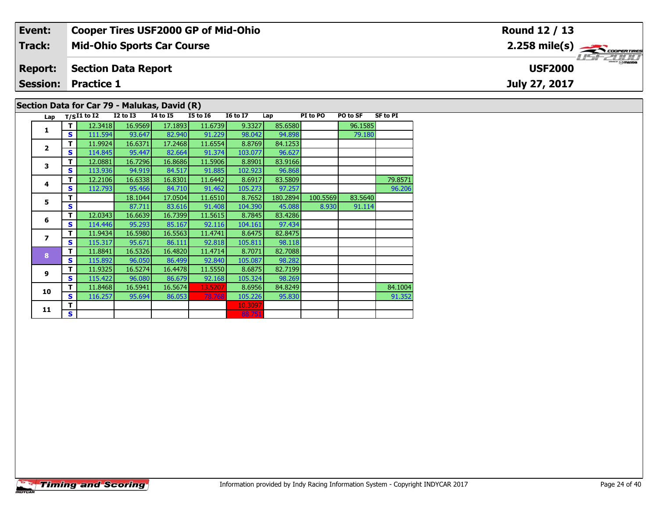| Event:         | <b>Cooper Tires USF2000 GP of Mid-Ohio</b>   | Round 12 / 13                                           |  |  |  |  |  |  |  |  |  |
|----------------|----------------------------------------------|---------------------------------------------------------|--|--|--|--|--|--|--|--|--|
| Track:         | <b>Mid-Ohio Sports Car Course</b>            | $2.258$ mile(s) $\overbrace{\hspace{2cm}}$ cooper Times |  |  |  |  |  |  |  |  |  |
| <b>Report:</b> | Section Data Report                          | <b>USF2000</b>                                          |  |  |  |  |  |  |  |  |  |
|                | <b>Session: Practice 1</b>                   | July 27, 2017                                           |  |  |  |  |  |  |  |  |  |
|                | Section Data for Car 79 - Malukas, David (R) |                                                         |  |  |  |  |  |  |  |  |  |

| Lap            |    | $T/SI1$ to $\overline{I2}$ | <b>I2 to I3</b> | <b>I4 to I5</b> | <b>I5 to 16</b> | <b>16 to 17</b> | Lap      | PI to PO | PO to SF | <b>SF to PI</b> |
|----------------|----|----------------------------|-----------------|-----------------|-----------------|-----------------|----------|----------|----------|-----------------|
| 1              | т  | 12.3418                    | 16.9569         | 17.1893         | 11.6739         | 9.3327          | 85.6580  |          | 96.1585  |                 |
|                | S  | 111.594                    | 93.647          | 82.940          | 91.229          | 98.042          | 94.898   |          | 79.180   |                 |
| $\overline{2}$ | т  | 11.9924                    | 16.6371         | 17.2468         | 11.6554         | 8.8769          | 84.1253  |          |          |                 |
|                | S  | 114.845                    | 95.447          | 82.664          | 91.374          | 103.077         | 96.627   |          |          |                 |
| 3              | т  | 12.0881                    | 16.7296         | 16.8686         | 11.5906         | 8.8901          | 83.9166  |          |          |                 |
|                | S  | 113.936                    | 94.919          | 84.517          | 91.885          | 102.923         | 96.868   |          |          |                 |
| 4              | т  | 12.2106                    | 16.6338         | 16.8301         | 11.6442         | 8.6917          | 83.5809  |          |          | 79.8571         |
|                | S  | 112.793                    | 95.466          | 84.710          | 91.462          | 105.273         | 97.257   |          |          | 96.206          |
| 5              | т  |                            | 18.1044         | 17.0504         | 11.6510         | 8.7652          | 180.2894 | 100.5569 | 83.5640  |                 |
|                | S  |                            | 87.711          | 83.616          | 91.408          | 104.390         | 45.088   | 8.930    | 91.114   |                 |
| 6              | т  | 12.0343                    | 16.6639         | 16.7399         | 11.5615         | 8.7845          | 83.4286  |          |          |                 |
|                | S  | 114.446                    | 95.293          | 85.167          | 92.116          | 104.161         | 97.434   |          |          |                 |
| 7              | т  | 11.9434                    | 16.5980         | 16.5563         | 11.4741         | 8.6475          | 82.8475  |          |          |                 |
|                | S  | 115.317                    | 95.671          | 86.111          | 92.818          | 105.811         | 98.118   |          |          |                 |
| 8              | т  | 11.8841                    | 16.5326         | 16.4820         | 11.4714         | 8.7071          | 82.7088  |          |          |                 |
|                | S  | 115.892                    | 96.050          | 86.499          | 92.840          | 105.087         | 98.282   |          |          |                 |
| 9              | т  | 11.9325                    | 16.5274         | 16.4478         | 11.5550         | 8.6875          | 82.7199  |          |          |                 |
|                | S  | 115.422                    | 96.080          | 86.679          | 92.168          | 105.324         | 98.269   |          |          |                 |
| 10             | т  | 11.8468                    | 16.5941         | 16.5674         | 13.5207         | 8.6956          | 84.8249  |          |          | 84.1004         |
|                | S  | 116.257                    | 95.694          | 86.053          | 78.768          | 105.226         | 95.830   |          |          | 91.352          |
| 11             | т  |                            |                 |                 |                 | 10.3097         |          |          |          |                 |
|                | S. |                            |                 |                 |                 | 88.751          |          |          |          |                 |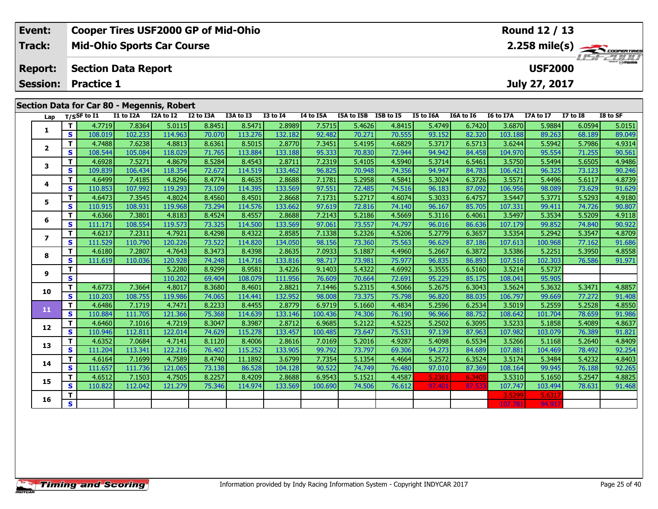| Event:         | <b>Cooper Tires USF2000 GP of Mid-Ohio</b> | Round 12 / 13                     |
|----------------|--------------------------------------------|-----------------------------------|
| Track:         | <b>Mid-Ohio Sports Car Course</b>          |                                   |
| <b>Report:</b> | Section Data Report                        | <b>USF 2000</b><br><b>USF2000</b> |
|                | <b>Session: Practice 1</b>                 | July 27, 2017                     |
|                | Section Data for Car 80 - Megennis, Robert |                                   |

| Lap                     |                         | T/SSF to I1 | I1 to I2A | Securi Data ibi car oo Thegermis, Kobert<br>I2A to I2 | I2 to I3A | I3A to I3 | <b>I3 to 14</b> | I4 to I5A | I5A to I5B I5B to I5 |        | I5 to I6A | I6A to I6 | I6 to I7A | I7A to I7 | <b>I7 to I8</b> | I8 to SF |
|-------------------------|-------------------------|-------------|-----------|-------------------------------------------------------|-----------|-----------|-----------------|-----------|----------------------|--------|-----------|-----------|-----------|-----------|-----------------|----------|
|                         | T.                      | 4.7719      | 7.8364    | 5.0115                                                | 8.8451    | 8.5471    | 2.8989          | 7.5715    | 5.4626               | 4.8415 | 5.4749    | 6.7420    | 3.6870    | 5.9884    | 6.0594          | 5.0151   |
| 1                       | S                       | 108.019     | 102.233   | 114.963                                               | 70.070    | 113.276   | 132.182         | 92.482    | 70.271               | 70.555 | 93.152    | 82.320    | 103.188   | 89.263    | 68.189          | 89.049   |
|                         | T.                      | 4.7488      | 7.6238    | 4.8813                                                | 8.6361    | 8.5015    | 2.8770          | 7.3451    | 5.4195               | 4.6829 | 5.3717    | 6.5713    | 3.6244    | 5.5942    | 5.7986          | 4.9314   |
| $\overline{2}$          | S                       | 108.544     | 105.084   | 118.029                                               | 71.765    | 113.884   | 133.188         | 95.333    | 70.830               | 72.944 | 94.942    | 84.458    | 104.970   | 95.554    | 71.255          | 90.561   |
|                         | T.                      | 4.6928      | 7.5271    | 4.8679                                                | 8.5284    | 8.4543    | 2.8711          | 7.2319    | 5.4105               | 4.5940 | 5.3714    | 6.5461    | 3.5750    | 5.5494    | 5.6505          | 4.9486   |
| 3                       | S.                      | 109.839     | 106.434   | 118.354                                               | 72.672    | 114.519   | 133.462         | 96.825    | 70.948               | 74.356 | 94.947    | 84.783    | 106.421   | 96.325    | 73.123          | 90.246   |
| 4                       | T.                      | 4.6499      | 7.4185    | 4.8296                                                | 8.4774    | 8.4635    | 2.8688          | 7.1781    | 5.2958               | 4.5841 | 5.3024    | 6.3726    | 3.5571    | 5.4496    | 5.6117          | 4.8739   |
|                         | S                       | 110.853     | 107.992   | 119.293                                               | 73.109    | 114.395   | 133.569         | 97.551    | 72.485               | 74.516 | 96.183    | 87.092    | 106.956   | 98.089    | 73.629          | 91.629   |
| 5                       | T.                      | 4.6473      | 7.3545    | 4.8024                                                | 8.4560    | 8.4501    | 2.8668          | 7.1731    | 5.2717               | 4.6074 | 5.3033    | 6.4757    | 3.5447    | 5.3771    | 5.5293          | 4.9180   |
|                         | S                       | 110.915     | 108.931   | 119.968                                               | 73.294    | 114.576   | 133.662         | 97.619    | 72.816               | 74.140 | 96.167    | 85.705    | 107.331   | 99.411    | 74.726          | 90.807   |
| 6                       | T.                      | 4.6366      | 7.3801    | 4.8183                                                | 8.4524    | 8.4557    | 2.8688          | 7.2143    | 5.2186               | 4.5669 | 5.3116    | 6.4061    | 3.5497    | 5.3534    | 5.5209          | 4.9118   |
|                         | S                       | 111.171     | 108.554   | 119.573                                               | 73.325    | 114.500   | 133.569         | 97.061    | 73.557               | 74.797 | 96.016    | 86.636    | 107.179   | 99.852    | 74.840          | 90.922   |
| $\overline{\mathbf{z}}$ | T.                      | 4.6217      | 7.2311    | 4.7921                                                | 8.4298    | 8.4322    | 2.8585          | 7.1338    | 5.2326               | 4.5206 | 5.2779    | 6.3657    | 3.5354    | 5.2942    | 5.3547          | 4.8709   |
|                         | S.                      | 111.529     | 110.790   | 120.226                                               | 73.522    | 114.820   | 134.050         | 98.156    | 73.360               | 75.563 | 96.629    | 87.186    | 107.613   | 100.968   | 77.162          | 91.686   |
| 8                       | T.                      | 4.6180      | 7.2807    | 4.7643                                                | 8.3473    | 8.4398    | 2.8635          | 7.0933    | 5.1887               | 4.4960 | 5.2667    | 6.3872    | 3.5386    | 5.2251    | 5.3950          | 4.8558   |
|                         | S                       | 111.619     | 110.036   | 120.928                                               | 74.248    | 114.716   | 133.816         | 98.717    | 73.981               | 75.977 | 96.835    | 86.893    | 107.516   | 102.303   | 76.586          | 91.971   |
| 9                       | T.                      |             |           | 5.2280                                                | 8.9299    | 8.9581    | 3.4226          | 9.1403    | 5.4322               | 4.6992 | 5.3555    | 6.5160    | 3.5214    | 5.5737    |                 |          |
|                         | $\mathbf s$             |             |           | 110.202                                               | 69.404    | 108.079   | 111.956         | 76.609    | 70.664               | 72.691 | 95.229    | 85.175    | 108.041   | 95.905    |                 |          |
| 10                      | T.                      | 4.6773      | 7.3664    | 4.8017                                                | 8.3680    | 8.4601    | 2.8821          | 7.1446    | 5.2315               | 4.5066 | 5.2675    | 6.3043    | 3.5624    | 5.3632    | 5.3471          | 4.8857   |
|                         | S.                      | 110.203     | 108.755   | 119.986                                               | 74.065    | 114.441   | 132.952         | 98.008    | 73.375               | 75.798 | 96.820    | 88.035    | 106.797   | 99.669    | 77.272          | 91.408   |
| 11                      | T.                      | 4.6486      | 7.1719    | 4.7471                                                | 8.2233    | 8.4455    | 2.8779          | 6.9719    | 5.1660               | 4.4834 | 5.2596    | 6.2534    | 3.5019    | 5.2559    | 5.2528          | 4.8550   |
|                         | S                       | 110.884     | 111.705   | 121.366                                               | 75.368    | 114.639   | 133.146         | 100.436   | 74.306               | 76.190 | 96.966    | 88.752    | 108.642   | 101.704   | 78.659          | 91.986   |
| 12                      | T.                      | 4.6460      | 7.1016    | 4.7219                                                | 8.3047    | 8.3987    | 2.8712          | 6.9685    | 5.2122               | 4.5225 | 5.2502    | 6.3095    | 3.5233    | 5.1858    | 5.4089          | 4.8637   |
|                         | S.                      | 110.946     | 112.811   | 122.014                                               | 74.629    | 115.278   | 133.457         | 100.485   | 73.647               | 75.531 | 97.139    | 87.963    | 107.982   | 103.079   | 76.389          | 91.821   |
| 13                      | T.                      | 4.6352      | 7.0684    | 4.7141                                                | 8.1120    | 8.4006    | 2.8616          | 7.0169    | 5.2016               | 4.9287 | 5.4098    | 6.5534    | 3.5266    | 5.1168    | 5.2640          | 4.8409   |
|                         | S.                      | 111.204     | 113.341   | 122.216                                               | 76.402    | 115.252   | 133.905         | 99.792    | 73.797               | 69.306 | 94.273    | 84.689    | 107.881   | 104.469   | 78.492          | 92.254   |
| 14                      | T.                      | 4.6164      | 7.1699    | 4.7589                                                | 8.4740    | 11.1892   | 3.6799          | 7.7354    | 5.1354               | 4.4664 | 5.2572    | 6.3524    | 3.5174    | 5.3484    | 5.4232          | 4.8403   |
|                         | S.                      | 111.657     | 111.736   | 121.065                                               | 73.138    | 86.528    | 104.128         | 90.522    | 74.749               | 76.480 | 97.010    | 87.369    | 108.164   | 99.945    | 76.188          | 92.265   |
| 15                      | T.                      | 4.6512      | 7.1503    | 4.7505                                                | 8.2257    | 8.4209    | 2.8688          | 6.9543    | 5.1521               | 4.4587 | 5.2361    | 6.3405    | 3.5310    | 5.1650    | 5.2547          | 4.8825   |
|                         | S                       | 110.822     | 112.042   | 121.279                                               | 75.346    | 114.974   | 133.569         | 100.690   | 74.506               | 76.612 | 97.401    | 87.53     | 107.747   | 103.494   | 78.631          | 91.468   |
| 16                      | T.                      |             |           |                                                       |           |           |                 |           |                      |        |           |           | 3.5299    | 5.631     |                 |          |
|                         | $\overline{\mathbf{s}}$ |             |           |                                                       |           |           |                 |           |                      |        |           |           | 107.78    | 94.91     |                 |          |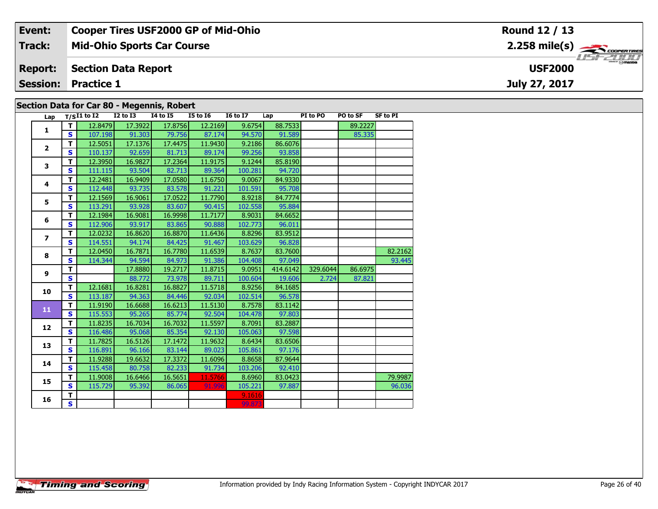| Event:                                     | <b>Cooper Tires USF2000 GP of Mid-Ohio</b> | Round 12 / 13                                           |  |  |  |  |  |  |  |  |
|--------------------------------------------|--------------------------------------------|---------------------------------------------------------|--|--|--|--|--|--|--|--|
| Track:                                     | <b>Mid-Ohio Sports Car Course</b>          | $2.258$ mile(s) $\overbrace{\hspace{2cm}}$ coorer TIRES |  |  |  |  |  |  |  |  |
| <b>Report:</b>                             | Section Data Report                        | <b>USF2000</b>                                          |  |  |  |  |  |  |  |  |
|                                            | <b>Session: Practice 1</b>                 | July 27, 2017                                           |  |  |  |  |  |  |  |  |
| Section Data for Car 80 - Megennis, Robert |                                            |                                                         |  |  |  |  |  |  |  |  |

| Lap                           |                         | $T/SI1$ to I2 | $I2$ to $I3$ | <b>I4 to I5</b> | <b>I5 to 16</b> | <b>16 to 17</b> | Lap      | PI to PO | PO to SF | <b>SF to PI</b> |
|-------------------------------|-------------------------|---------------|--------------|-----------------|-----------------|-----------------|----------|----------|----------|-----------------|
| $\mathbf{1}$                  | T.                      | 12.8479       | 17.3922      | 17.8756         | 12.2169         | 9.6754          | 88.7533  |          | 89.2227  |                 |
|                               | S                       | 107.198       | 91.303       | 79.756          | 87.174          | 94.570          | 91.589   |          | 85.335   |                 |
|                               | T                       | 12.5051       | 17.1376      | 17.4475         | 11.9430         | 9.2186          | 86.6076  |          |          |                 |
| $\overline{2}$<br>3<br>4<br>5 | $\mathbf{s}$            | 110.137       | 92.659       | 81.713          | 89.174          | 99.256          | 93.858   |          |          |                 |
|                               | T                       | 12.3950       | 16.9827      | 17.2364         | 11.9175         | 9.1244          | 85.8190  |          |          |                 |
|                               | $\mathbf{s}$            | 111.115       | 93.504       | 82.713          | 89.364          | 100.281         | 94.720   |          |          |                 |
|                               | T                       | 12.2481       | 16.9409      | 17.0580         | 11.6750         | 9.0067          | 84.9330  |          |          |                 |
|                               | $\mathbf{s}$            | 112.448       | 93.735       | 83.578          | 91.221          | 101.591         | 95.708   |          |          |                 |
|                               | T                       | 12.1569       | 16.9061      | 17.0522         | 11.7790         | 8.9218          | 84.7774  |          |          |                 |
|                               | S                       | 113.291       | 93.928       | 83.607          | 90.415          | 102.558         | 95.884   |          |          |                 |
| 6                             | т                       | 12.1984       | 16.9081      | 16.9998         | 11.7177         | 8.9031          | 84.6652  |          |          |                 |
|                               | $\mathbf{s}$            | 112.906       | 93.917       | 83.865          | 90.888          | 102.773         | 96.011   |          |          |                 |
| $\overline{ }$                | T                       | 12.0232       | 16.8620      | 16.8870         | 11.6436         | 8.8296          | 83.9512  |          |          |                 |
|                               | $\mathbf{s}$            | 114.551       | 94.174       | 84.425          | 91.467          | 103.629         | 96.828   |          |          |                 |
| 8                             | T                       | 12.0450       | 16.7871      | 16.7780         | 11.6539         | 8.7637          | 83.7600  |          |          | 82.2162         |
|                               | $\mathbf{s}$            | 114.344       | 94.594       | 84.973          | 91.386          | 104.408         | 97.049   |          |          | 93.445          |
| 9                             | T                       |               | 17.8880      | 19.2717         | 11.8715         | 9.0951          | 414.6142 | 329.6044 | 86.6975  |                 |
|                               | $\mathbf{s}$            |               | 88.772       | 73.978          | 89.711          | 100.604         | 19.606   | 2.724    | 87.821   |                 |
| 10                            | T                       | 12.1681       | 16.8281      | 16.8827         | 11.5718         | 8.9256          | 84.1685  |          |          |                 |
|                               | $\mathbf{s}$            | 113.187       | 94.363       | 84.446          | 92.034          | 102.514         | 96.578   |          |          |                 |
| 11                            | T                       | 11.9190       | 16.6688      | 16.6213         | 11.5130         | 8.7578          | 83.1142  |          |          |                 |
|                               | $\mathbf{s}$            | 115.553       | 95.265       | 85.774          | 92.504          | 104.478         | 97.803   |          |          |                 |
| 12                            | T                       | 11.8235       | 16.7034      | 16.7032         | 11.5597         | 8.7091          | 83.2887  |          |          |                 |
|                               | $\mathbf{s}$            | 116.486       | 95.068       | 85.354          | 92.130          | 105.063         | 97.598   |          |          |                 |
| 13                            | T                       | 11.7825       | 16.5126      | 17.1472         | 11.9632         | 8.6434          | 83.6506  |          |          |                 |
|                               | $\mathbf{s}$            | 116.891       | 96.166       | 83.144          | 89.023          | 105.861         | 97.176   |          |          |                 |
| 14                            | $\overline{\mathsf{r}}$ | 11.9288       | 19.6632      | 17.3372         | 11.6096         | 8.8658          | 87.9644  |          |          |                 |
|                               | $\mathbf{s}$            | 115.458       | 80.758       | 82.233          | 91.734          | 103.206         | 92.410   |          |          |                 |
| 15                            | T                       | 11.9008       | 16.6466      | 16.5651         | 11.5766         | 8.6960          | 83.0423  |          |          | 79.9987         |
|                               | $\mathbf{s}$            | 115.729       | 95.392       | 86.065          | 91.996          | 105.221         | 97.887   |          |          | 96.036          |
| 16                            | $\overline{\mathsf{r}}$ |               |              |                 |                 | 9.1616          |          |          |          |                 |
|                               | S.                      |               |              |                 |                 | 99.873          |          |          |          |                 |
|                               |                         |               |              |                 |                 |                 |          |          |          |                 |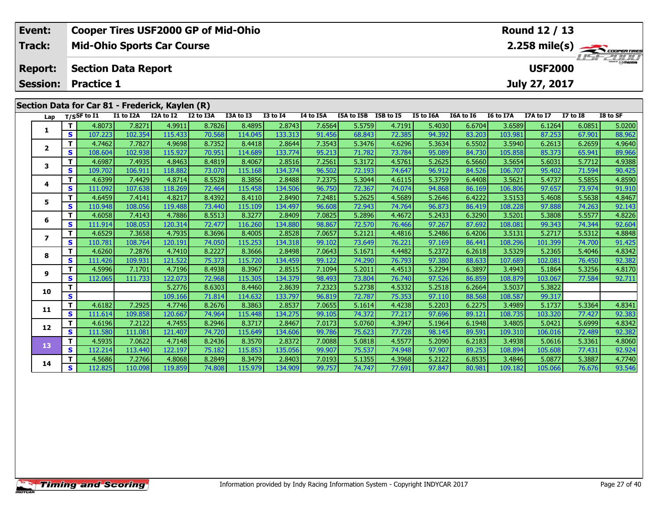| Event:                                          | <b>Cooper Tires USF2000 GP of Mid-Ohio</b>   |  |                     |  |           | Round 12 / 13 |           |                      |  |           |           |                  |                         |          |          |
|-------------------------------------------------|----------------------------------------------|--|---------------------|--|-----------|---------------|-----------|----------------------|--|-----------|-----------|------------------|-------------------------|----------|----------|
| Track:                                          | <b>Mid-Ohio Sports Car Course</b>            |  |                     |  |           |               |           |                      |  |           |           |                  |                         |          |          |
| <b>Report:</b>                                  | <b>USF2000</b><br><b>Section Data Report</b> |  |                     |  |           |               |           |                      |  |           |           |                  | <i><b>LISF 2000</b></i> |          |          |
|                                                 | <b>Session: Practice 1</b>                   |  |                     |  |           |               |           |                      |  |           |           |                  | July 27, 2017           |          |          |
|                                                 |                                              |  |                     |  |           |               |           |                      |  |           |           |                  |                         |          |          |
| Section Data for Car 81 - Frederick, Kaylen (R) |                                              |  |                     |  |           |               |           |                      |  |           |           |                  |                         |          |          |
|                                                 | Lap $T/S$ SF to I1 I1 to I2A                 |  | I2A to I2 I2 to I3A |  | I3A to I3 | I3 to I4      | I4 to I5A | I5A to I5B I5B to I5 |  | I5 to I6A | I6A to I6 | <b>I6 to I7A</b> | I7A to I7               | I7 to I8 | I8 to SF |

| Lap                     |              | 1/5 <sup>5</sup> wii | <b>11 W IZA</b> | 14A W 14 | 12 W 13M | נו שאכו | $1301 +$ | 14 W 198 | ייני מי אכו | נו טו טכו | 13 LU 10M | TOW TO TO | 10 10 17 M | 17A W 17 | 17010  | וכ ש טו |
|-------------------------|--------------|----------------------|-----------------|----------|----------|---------|----------|----------|-------------|-----------|-----------|-----------|------------|----------|--------|---------|
|                         |              | 4.8073               | 7.827           | 4.9911   | 8.7826   | 8.4895  | 2.8743   | 7.6564   | 5.5759      | 4.7191    | 5.4030    | 6.6704    | 3.6589     | 6.1264   | 6.0851 | 5.0200  |
|                         | S            | 107.223              | 102.354         | 115.433  | 70.568   | 114.045 | 133.313  | 91.456   | 68.843      | 72.385    | 94.392    | 83.203    | 103.981    | 87.253   | 67.901 | 88.962  |
| $\overline{\mathbf{2}}$ | т            | 4.7462               | 7.7827          | 4.9698   | 8.7352   | 8.4418  | 2.8644   | 7.3543   | 5.3476      | 4.6296    | 5.3634    | 6.5502    | 3.5940     | 6.2613   | 6.2659 | 4.9640  |
|                         | S            | 108.604              | 102.938         | 115.927  | 70.951   | 114.689 | 133.774  | 95.213   | 71.782      | 73.784    | 95.089    | 84.730    | 105.858    | 85.373   | 65.941 | 89.966  |
| 3                       | т            | 4.6987               | 7.4935          | 4.8463   | 8.4819   | 8.4067  | 2.8516   | 7.2561   | 5.3172      | 4.5761    | 5.2625    | 6.5660    | 3.5654     | 5.6031   | 5.7712 | 4.9388  |
|                         | $\mathbf{s}$ | 109.702              | 106.911         | 118.882  | 73,070   | 115.168 | 134.374  | 96.502   | 72.193      | 74.647    | 96.912    | 84.526    | 106.707    | 95.402   | 71.594 | 90.425  |
| 4                       |              | 4.6399               | 7.4429          | 4.8714   | 8.5528   | 8.3856  | 2.8488   | 7.2375   | 5.3044      | 4.6115    | 5.3759    | 6.4408    | 3.5621     | 5.4737   | 5.5855 | 4.8590  |
|                         | s            | 111.092              | 107.638         | 118.269  | 72.464   | 115.458 | 134.506  | 96.750   | 72.367      | 74.074    | 94.868    | 86.169    | 106.806    | 97.657   | 73.974 | 91.910  |
| 5                       |              | 4.6459               | 7.4141          | 4.8217   | 8.4392   | 8.4110  | 2.8490   | 7.2481   | 5.2625      | 4.5689    | 5.2646    | 6.4222    | 3.5153     | 5.4608   | 5.5638 | 4.8467  |
|                         | S            | 110.948              | 108.056         | 119.488  | 73.440   | 115.109 | 134.497  | 96.608   | 72.943      | 74.764    | 96.873    | 86.419    | 108.228    | 97.888   | 74.263 | 92.143  |
| 6                       |              | 4.6058               | 7.4143          | 4.7886   | 8.5513   | 8.3277  | 2.8409   | 7.0825   | 5.2896      | 4.4672    | 5.2433    | 6.3290    | 3.5201     | 5.3808   | 5.5577 | 4.8226  |
|                         | S            | 111.914              | 108.053         | 120.314  | 72.477   | 116.260 | 134.880  | 98.867   | 72.570      | 76.466    | 97.267    | 87.692    | 108.081    | 99.343   | 74.344 | 92.604  |
| 7                       |              | 4.6529               | 7.3658          | 4.7935   | 8.3696   | 8.4005  | 2.8528   | 7.0657   | 5.2121      | 4.4816    | 5.2486    | 6.4206    | 3.5131     | 5.2717   | 5.5312 | 4.8848  |
|                         | s            | 110.781              | 108.764         | 120.191  | 74.050   | 115.253 | 134.318  | 99.102   | 73.649      | 76.221    | 97.169    | 86.441    | 108.296    | 101.399  | 74.700 | 91.425  |
| 8                       | т            | 4.6260               | 7.2876          | 4.7410   | 8.2227   | 8.3666  | 2.8498   | 7.0643   | 5.1671      | 4.4482    | 5.2372    | 6.2618    | 3.5329     | 5.2365   | 5.4046 | 4.8342  |
|                         | S            | 111.426              | 109.931         | 121.522  | 75.373   | 115.720 | 134.459  | 99.122   | 74.290      | 76.793    | 97.380    | 88.633    | 107.689    | 102.081  | 76.450 | 92.382  |
| 9                       |              | 4.5996               | 7.1701          | 4.7196   | 8.4938   | 8.3967  | 2.8515   | 7.1094   | 5.2011      | 4.4513    | 5.2294    | 6.3897    | 3.4943     | 5.1864   | 5.3256 | 4.8170  |
|                         | s            | 112.065              | 111.733         | 122.073  | 72.968   | 115.305 | 134.379  | 98.493   | 73.804      | 76.740    | 97.526    | 86.859    | 108.879    | 103.067  | 77.584 | 92.711  |
| 10                      |              |                      |                 | 5.2776   | 8.6303   | 8.4460  | 2.8639   | 7.2323   | 5.2738      | 4.5332    | 5.2518    | 6.2664    | 3.5037     | 5.3822   |        |         |
|                         | S            |                      |                 | 109.166  | 71.814   | 114.632 | 133.797  | 96.819   | 72.787      | 75.353    | 97.110    | 88.568    | 108.587    | 99.317   |        |         |
| 11                      |              | 4.6182               | 7.2925          | 4.7746   | 8.2676   | 8.3863  | 2.8537   | 7.0655   | 5.1614      | 4.4238    | 5.2203    | 6.2275    | 3.4989     | 5.1737   | 5.3364 | 4.8341  |
|                         | S            | 111.614              | 109.858         | 120.667  | 74.964   | 115.448 | 134.275  | 99.105   | 74.372      | 77.217    | 97.696    | 89.121    | 108.735    | 103.320  | 77.427 | 92.383  |
| 12                      |              | 4.6196               | 7.2122          | 4.7455   | 8.2946   | 8.3717  | 2.8467   | 7.0173   | 5.0760      | 4.3947    | 5.1964    | 6.1948    | 3.4805     | 5.0421   | 5.6999 | 4.8342  |
|                         | s            | 111.580              | 111.081         | 121.407  | 74.720   | 115.649 | 134.606  | 99.786   | 75.623      | 77.728    | 98.145    | 89.591    | 109.310    | 106.016  | 72.489 | 92.382  |
| 13                      | т            | 4.5935               | 7.0622          | 4.7148   | 8.2436   | 8.3570  | 2.8372   | 7.0088   | 5.0818      | 4.5577    | 5.2090    | 6.2183    | 3.4938     | 5.0616   | 5.3361 | 4.8060  |
|                         | S            | 112.214              | 113.440         | 122.197  | 75.182   | 115.853 | 135.056  | 99.907   | 75.537      | 74.948    | 97.907    | 89.253    | 108.894    | 105.608  | 77.431 | 92.924  |
| 14                      |              | 4.5686               | 7.2766          | 4.8068   | 8.2849   | 8.3479  | 2.8403   | 7.0193   | 5.1355      | 4.3968    | 5.2122    | 6.8535    | 3.4846     | 5.0877   | 5.3887 | 4.7740  |
|                         | S            | 112.825              | 110.098         | 119.859  | 74.808   | 115.979 | 134.909  | 99.757   | 74.747      | 77.691    | 97.847    | 80.981    | 109.182    | 105.066  | 76.676 | 93.546  |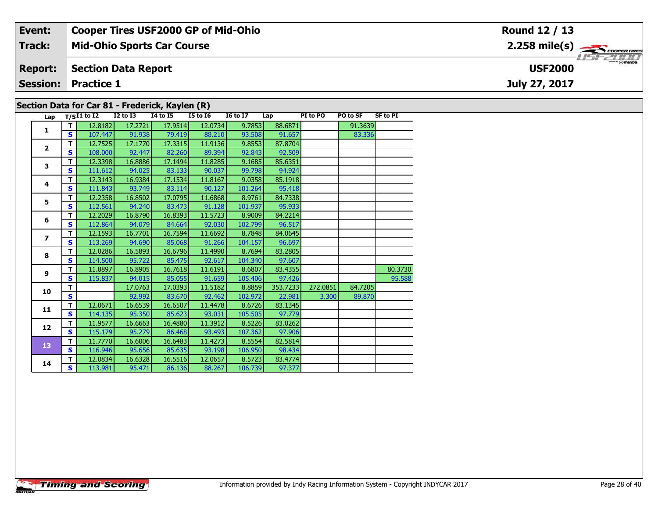| Event:          | <b>Cooper Tires USF2000 GP of Mid-Ohio</b>      | Round 12 / 13                      |
|-----------------|-------------------------------------------------|------------------------------------|
| <b>Track:</b>   | <b>Mid-Ohio Sports Car Course</b>               |                                    |
| <b>Report:</b>  | <b>Section Data Report</b>                      | <b>LISF 2000</b><br><b>USF2000</b> |
| <b>Session:</b> | <b>Practice 1</b>                               | July 27, 2017                      |
|                 |                                                 |                                    |
|                 | Section Data for Car 81 - Frederick, Kaylen (R) |                                    |

| Lap                      |    | $T/SI1$ to $\overline{I2}$ | <b>I2 to I3</b> | <b>14 to 15</b> | <b>I5 to 16</b> | <b>16 to 17</b> | Lap      | PI to PO | PO to SF | <b>SF to PI</b> |
|--------------------------|----|----------------------------|-----------------|-----------------|-----------------|-----------------|----------|----------|----------|-----------------|
|                          | T  | 12.8182                    | 17.2721         | 17.9514         | 12.0734         | 9.7853          | 88.6871  |          | 91.3639  |                 |
| $\mathbf{1}$             | S. | 107.447                    | 91.938          | 79.419          | 88.210          | 93.508          | 91.657   |          | 83.336   |                 |
|                          | т  | 12.7525                    | 17.1770         | 17.3315         | 11.9136         | 9.8553          | 87.8704  |          |          |                 |
| $\overline{\mathbf{2}}$  | S. | 108.000                    | 92.447          | 82.260          | 89.394          | 92.843          | 92.509   |          |          |                 |
| 3                        | т  | 12.3398                    | 16.8886         | 17.1494         | 11.8285         | 9.1685          | 85.6351  |          |          |                 |
|                          | S  | 111.612                    | 94.025          | 83.133          | 90.037          | 99.798          | 94.924   |          |          |                 |
| 4                        | T  | 12.3143                    | 16.9384         | 17.1534         | 11.8167         | 9.0358          | 85.1918  |          |          |                 |
|                          | S  | 111.843                    | 93.749          | 83.114          | 90.127          | 101.264         | 95.418   |          |          |                 |
| 5                        | T  | 12.2358                    | 16.8502         | 17.0795         | 11.6868         | 8.9761          | 84.7338  |          |          |                 |
|                          | S  | 112.561                    | 94.240          | 83.473          | 91.128          | 101.937         | 95.933   |          |          |                 |
| 6                        | T  | 12.2029                    | 16.8790         | 16.8393         | 11.5723         | 8.9009          | 84.2214  |          |          |                 |
|                          | S  | 112.864                    | 94.079          | 84.664          | 92.030          | 102.799         | 96.517   |          |          |                 |
| $\overline{\phantom{a}}$ | T  | 12.1593                    | 16.7701         | 16.7594         | 11.6692         | 8.7848          | 84.0645  |          |          |                 |
|                          | S  | 113.269                    | 94.690          | 85.068          | 91.266          | 104.157         | 96.697   |          |          |                 |
| 8                        | т  | 12.0286                    | 16.5893         | 16.6796         | 11.4990         | 8.7694          | 83.2805  |          |          |                 |
|                          | S  | 114.500                    | 95.722          | 85.475          | 92.617          | 104.340         | 97.607   |          |          |                 |
| 9                        | т  | 11.8897                    | 16.8905         | 16.7618         | 11.6191         | 8.6807          | 83.4355  |          |          | 80.3730         |
|                          | S  | 115.837                    | 94.015          | 85.055          | 91.659          | 105.406         | 97.426   |          |          | 95.588          |
| 10                       | т  |                            | 17.0763         | 17.0393         | 11.5182         | 8.8859          | 353.7233 | 272.0851 | 84.7205  |                 |
|                          | S. |                            | 92.992          | 83.670          | 92.462          | 102.972         | 22.981   | 3.300    | 89.870   |                 |
| 11                       | т  | 12.0671                    | 16.6539         | 16.6507         | 11.4478         | 8.6726          | 83.1345  |          |          |                 |
|                          | S. | 114.135                    | 95.350          | 85.623          | 93.031          | 105.505         | 97.779   |          |          |                 |
| 12                       | т  | 11.9577                    | 16.6663         | 16.4880         | 11.3912         | 8.5226          | 83.0262  |          |          |                 |
|                          | S. | 115.179                    | 95.279          | 86.468          | 93.493          | 107.362         | 97.906   |          |          |                 |
| 13                       | т  | 11.7770                    | 16.6006         | 16.6483         | 11.4273         | 8.5554          | 82.5814  |          |          |                 |
|                          | S  | 116.946                    | 95.656          | 85.635          | 93.198          | 106.950         | 98.434   |          |          |                 |
| 14                       | т  | 12.0834                    | 16.6328         | 16.5516         | 12.0657         | 8.5723          | 83.4774  |          |          |                 |
|                          | S. | 113.981                    | 95.471          | 86.136          | 88.267          | 106.739         | 97.377   |          |          |                 |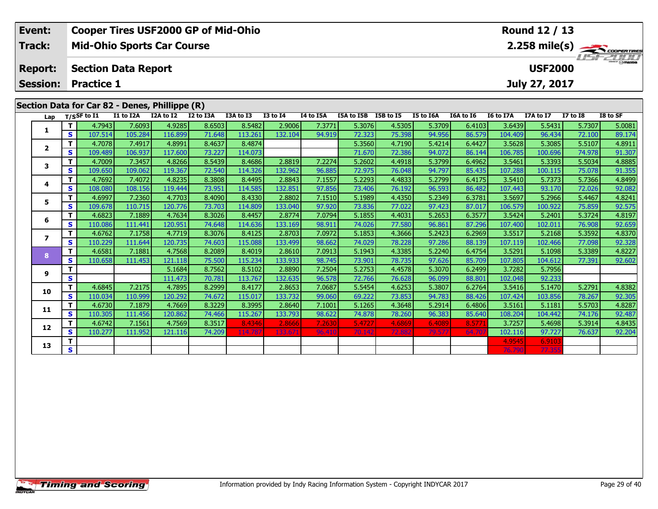| Event:         | <b>Cooper Tires USF2000 GP of Mid-Ohio</b>     | Round 12 / 13  |                 |  |  |  |  |  |  |  |
|----------------|------------------------------------------------|----------------|-----------------|--|--|--|--|--|--|--|
| Track:         | <b>Mid-Ohio Sports Car Course</b>              |                |                 |  |  |  |  |  |  |  |
| <b>Report:</b> | <b>Section Data Report</b>                     | <b>USF2000</b> | <b>USF 2000</b> |  |  |  |  |  |  |  |
|                | <b>Session: Practice 1</b>                     | July 27, 2017  |                 |  |  |  |  |  |  |  |
|                |                                                |                |                 |  |  |  |  |  |  |  |
|                | Section Data for Car 82 - Denes, Phillippe (R) |                |                 |  |  |  |  |  |  |  |
|                |                                                |                |                 |  |  |  |  |  |  |  |

| Lap          |              | $T/S$ SF to $\overline{11}$ | I1 to I2A | I2A to I2 | I2 to I3A | I3A to I3 | <b>I3 to I4</b> | I4 to I5A | I5A to I5B | I5B to I5 | I5 to I6A | I6A to I6 | I6 to I7A | I7A to I7 | <b>I7 to I8</b> | I8 to SF |
|--------------|--------------|-----------------------------|-----------|-----------|-----------|-----------|-----------------|-----------|------------|-----------|-----------|-----------|-----------|-----------|-----------------|----------|
|              | T.           | 4.7943                      | 7.6093    | 4.9285    | 8.6503    | 8.5482    | 2.9006          | 7.3771    | 5.3076     | 4.5305    | 5.3709    | 6.4103    | 3.6439    | 5.5431    | 5.7307          | 5.0081   |
| 1            | S            | 107.514                     | 105.284   | 116.899   | 71.648    | 113.261   | 132.104         | 94.919    | 72.323     | 75.398    | 94.956    | 86.579    | 104.409   | 96.434    | 72.100          | 89.174   |
| $\mathbf{2}$ | T.           | 4.7078                      | 7.4917    | 4.8991    | 8.4637    | 8.4874    |                 |           | 5.3560     | 4.7190    | 5.4214    | 6.4427    | 3.5628    | 5.3085    | 5.5107          | 4.8911   |
|              | S.           | 109.489                     | 106.937   | 117.600   | 73.227    | 114.073   |                 |           | 71.670     | 72.386    | 94.072    | 86.144    | 106.785   | 100.696   | 74.978          | 91.307   |
| 3            | T.           | 4.7009                      | 7.3457    | 4.8266    | 8.5439    | 8.4686    | 2.8819          | 7.2274    | 5.2602     | 4.4918    | 5.3799    | 6.4962    | 3.5461    | 5.3393    | 5.5034          | 4.8885   |
|              | S            | 109.650                     | 109.062   | 119.367   | 72.540    | 114.326   | 132.962         | 96.885    | 72.975     | 76.048    | 94.797    | 85.435    | 107.288   | 100.115   | 75.078          | 91.355   |
| 4            | T.           | 4.7692                      | 7.4072    | 4.8235    | 8.3808    | 8.4495    | 2.8843          | 7.1557    | 5.2293     | 4.4833    | 5.2799    | 6.4175    | 3.5410    | 5.7373    | 5.7366          | 4.8499   |
|              | S.           | 108.080                     | 108.156   | 119.444   | 73.951    | 114.585   | 132.851         | 97.856    | 73.406     | 76.192    | 96.593    | 86.482    | 107.443   | 93.170    | 72.026          | 92.082   |
| 5            | т            | 4.6997                      | 7.2360    | 4.7703    | 8.4090    | 8.4330    | 2.8802          | 7.1510    | 5.1989     | 4.4350    | 5.2349    | 6.3781    | 3.5697    | 5.2966    | 5.4467          | 4.8241   |
|              | S            | 109.678                     | 110.715   | 120.776   | 73.703    | 114.809   | 133.040         | 97.920    | 73.836     | 77.022    | 97.423    | 87.017    | 106.579   | 100.922   | 75.859          | 92.575   |
| 6            | T.           | 4.6823                      | 7.1889    | 4.7634    | 8.3026    | 8.4457    | 2.8774          | 7.0794    | 5.1855     | 4.4031    | 5.2653    | 6.3577    | 3.5424    | 5.2401    | 5.3724          | 4.8197   |
|              | S.           | 110.086                     | 111.441   | 120.951   | 74.648    | 114.636   | 133.169         | 98.911    | 74.026     | 77.580    | 96.861    | 87.296    | 107.400   | 102.011   | 76.908          | 92.659   |
|              | T.           | 4.6762                      | 7.1758    | 4.7719    | 8.3076    | 8.4125    | 2.8703          | 7.0972    | 5.1853     | 4.3666    | 5.2423    | 6.2969    | 3.5517    | 5.2168    | 5.3592          | 4.8370   |
|              | S.           | 110.229                     | 111.644   | 120.735   | 74.603    | 115.088   | 133.499         | 98.662    | 74.029     | 78.228    | 97.286    | 88.139    | 107.119   | 102.466   | 77.098          | 92.328   |
| 8            | $\mathbf{T}$ | 4.6581                      | 7.1881    | 4.7568    | 8.2089    | 8.4019    | 2.8610          | 7.0913    | 5.1943     | 4.3385    | 5.2240    | 6.4754    | 3.5291    | 5.1098    | 5.3389          | 4.8227   |
|              | S            | 110.658                     | 111.453   | 121.118   | 75.500    | 115.234   | 133.933         | 98.745    | 73.901     | 78.735    | 97.626    | 85.709    | 107.805   | 104.612   | 77.391          | 92.602   |
| 9            | т            |                             |           | 5.1684    | 8.7562    | 8.5102    | 2.8890          | 7.2504    | 5.2753     | 4.4578    | 5.3070    | 6.2499    | 3.7282    | 5.7956    |                 |          |
|              | S            |                             |           | 111.473   | 70.781    | 113.767   | 132.635         | 96.578    | 72.766     | 76.628    | 96.099    | 88.801    | 102.048   | 92.233    |                 |          |
| 10           | T.           | 4.6845                      | 7.2175    | 4.7895    | 8.2999    | 8.4177    | 2.8653          | 7.0687    | 5.5454     | 4.6253    | 5.3807    | 6.2764    | 3.5416    | 5.1470    | 5.2791          | 4.8382   |
|              | S.           | 110.034                     | 110.999   | 120.292   | 74.672    | 115.017   | 133.732         | 99.060    | 69.222     | 73.853    | 94.783    | 88.426    | 107.424   | 103.856   | 78.267          | 92.305   |
| 11           | T.           | 4.6730                      | 7.1879    | 4.7669    | 8.3229    | 8.3995    | 2.8640          | 7.1001    | 5.1265     | 4.3648    | 5.2914    | 6.4806    | 3.5161    | 5.1181    | 5.5703          | 4.8287   |
|              | <b>S</b>     | 110.305                     | 111.456   | 120.862   | 74.466    | 115.267   | 133.793         | 98.622    | 74.878     | 78.260    | 96.383    | 85.640    | 108.204   | 104.442   | 74.176          | 92.487   |
| 12           | Τ.           | 4.6742                      | 7.1561    | 4.7569    | 8.3517    | 8.4346    | 2.8666          | 7.2630    | 5.4727     | 4.6869    | 6.4089    | 8.577     | 3.7257    | 5.4698    | 5.3914          | 4.8435   |
|              | S            | 110.277                     | 111.952   | 121.116   | 74.209    | 114.787   | 133.671         | 96.410    | 70.142     | 72.882    | 79.577    | 64.70     | 102.116   | 97.727    | 76.637          | 92.204   |
| 13           | т            |                             |           |           |           |           |                 |           |            |           |           |           | 4.9545    | 6.9103    |                 |          |
|              | S            |                             |           |           |           |           |                 |           |            |           |           |           | 76.790    | 77.35     |                 |          |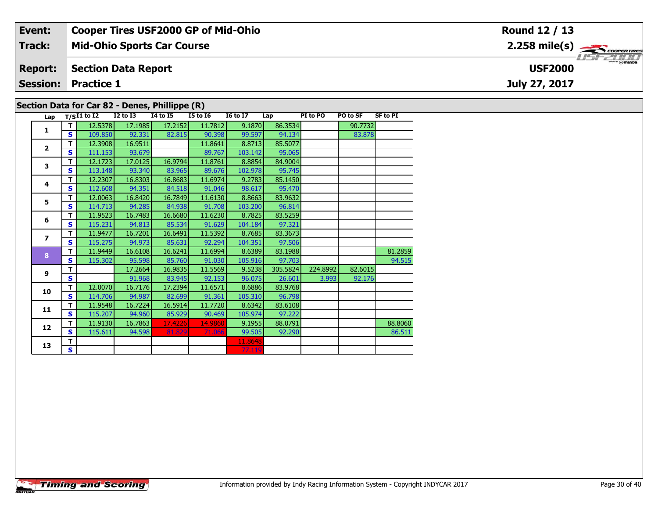| Event:                                         | <b>Cooper Tires USF2000 GP of Mid-Ohio</b> | Round 12 / 13  |  |  |  |  |  |  |
|------------------------------------------------|--------------------------------------------|----------------|--|--|--|--|--|--|
| <b>Track:</b>                                  | <b>Mid-Ohio Sports Car Course</b>          |                |  |  |  |  |  |  |
| <b>Report:</b>                                 | <b>Section Data Report</b>                 | <b>USF2000</b> |  |  |  |  |  |  |
| <b>Session:</b>                                | <b>Practice 1</b>                          | July 27, 2017  |  |  |  |  |  |  |
| Section Data for Car 82 - Denes, Phillippe (R) |                                            |                |  |  |  |  |  |  |

| Lap             |              | $T/SI1$ to I2 I2 to I3 |         | <b>I4 to I5</b> | <b>I5 to 16</b> | <b>16 to 17</b> | Lap      | PI to PO | PO to SF | <b>SF to PI</b> |
|-----------------|--------------|------------------------|---------|-----------------|-----------------|-----------------|----------|----------|----------|-----------------|
|                 | T.           | 12.5378                | 17.1985 | 17.2152         | 11.7812         | 9.1870          | 86.3534  |          | 90.7732  |                 |
| 1               | $\mathbf{s}$ | 109.850                | 92.331  | 82.815          | 90.398          | 99.597          | 94.134   |          | 83.878   |                 |
|                 | т            | 12.3908                | 16.9511 |                 | 11.8641         | 8.8713          | 85.5077  |          |          |                 |
| $\overline{2}$  | S            | 111.153                | 93.679  |                 | 89.767          | 103.142         | 95.065   |          |          |                 |
| 3               | T            | 12.1723                | 17.0125 | 16.9794         | 11.8761         | 8.8854          | 84.9004  |          |          |                 |
|                 | S            | 113.148                | 93.340  | 83.965          | 89.676          | 102.978         | 95.745   |          |          |                 |
| 4               | T            | 12.2307                | 16.8303 | 16.8683         | 11.6974         | 9.2783          | 85.1450  |          |          |                 |
|                 | S            | 112.608                | 94.351  | 84.518          | 91.046          | 98.617          | 95.470   |          |          |                 |
| 5               | т            | 12.0063                | 16.8420 | 16.7849         | 11.6130         | 8.8663          | 83.9632  |          |          |                 |
|                 | S            | 114.713                | 94.285  | 84.938          | 91.708          | 103.200         | 96.814   |          |          |                 |
| 6               | т            | 11.9523                | 16.7483 | 16.6680         | 11.6230         | 8.7825          | 83.5259  |          |          |                 |
|                 | S            | 115.231                | 94.813  | 85.534          | 91.629          | 104.184         | 97.321   |          |          |                 |
| $\overline{ }$  | т            | 11.9477                | 16.7201 | 16.6491         | 11.5392         | 8.7685          | 83.3673  |          |          |                 |
|                 | S            | 115.275                | 94.973  | 85.631          | 92.294          | 104.351         | 97.506   |          |          |                 |
| 8               | T            | 11.9449                | 16.6108 | 16.6241         | 11.6994         | 8.6389          | 83.1988  |          |          | 81.2859         |
|                 | S            | 115.302                | 95.598  | 85.760          | 91.030          | 105.916         | 97.703   |          |          | 94.515          |
| 9               | T            |                        | 17.2664 | 16.9835         | 11.5569         | 9.5238          | 305.5824 | 224.8992 | 82.6015  |                 |
|                 | $\mathbf{s}$ |                        | 91.968  | 83.945          | 92.153          | 96.075          | 26.601   | 3.993    | 92.176   |                 |
| 10              | T            | 12.0070                | 16.7176 | 17.2394         | 11.6571         | 8.6886          | 83.9768  |          |          |                 |
|                 | S            | 114.706                | 94.987  | 82.699          | 91.361          | 105.310         | 96.798   |          |          |                 |
| 11              | т            | 11.9548                | 16.7224 | 16.5914         | 11.7720         | 8.6342          | 83.6108  |          |          |                 |
|                 | S            | 115.207                | 94.960  | 85.929          | 90.469          | 105.974         | 97.222   |          |          |                 |
| 12 <sub>2</sub> | т            | 11.9130                | 16.7863 | 17.4226         | 14.9860         | 9.1955          | 88.0791  |          |          | 88.8060         |
|                 | S            | 115.611                | 94.598  | 81.829          | 71.066          | 99.505          | 92.290   |          |          | 86.511          |
| 13              | T            |                        |         |                 |                 | 11.8648         |          |          |          |                 |
|                 | S            |                        |         |                 |                 | 77.119          |          |          |          |                 |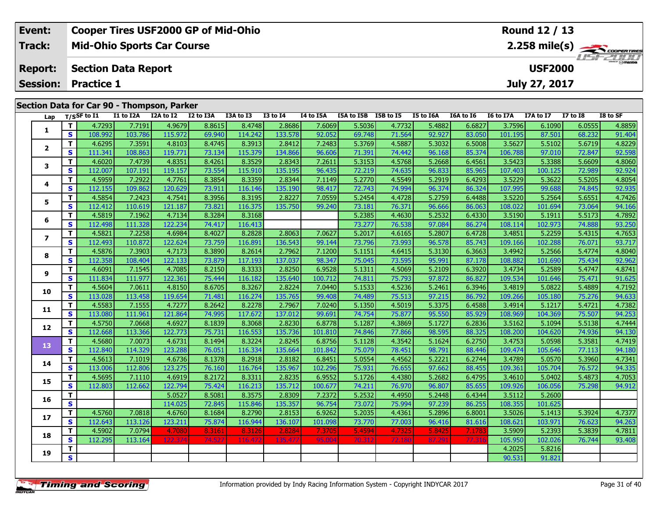| Event:         | <b>Cooper Tires USF2000 GP of Mid-Ohio</b> | Round 12 / 13                       |
|----------------|--------------------------------------------|-------------------------------------|
| <b>Track:</b>  | <b>Mid-Ohio Sports Car Course</b>          |                                     |
| <b>Report:</b> | <b>Section Data Report</b>                 | <b>LIST CLIPP</b><br><b>USF2000</b> |
|                | <b>Session: Practice 1</b>                 | July 27, 2017                       |
|                | Section Data for Car 90 - Thompson, Parker |                                     |

| Lap                      |                         | T/SSF to I1 | I1 to I2A | I2A to I2 | I2 to I3A | I3A to I3 | <b>I3 to I4</b> | <b>I4 to I5A</b> | I5A to I5B I5B to I5 |        | I5 to I6A | I6A to I6 | I6 to I7A | I7A to I7 | $\overline{17}$ to $\overline{18}$ | I8 to SF |
|--------------------------|-------------------------|-------------|-----------|-----------|-----------|-----------|-----------------|------------------|----------------------|--------|-----------|-----------|-----------|-----------|------------------------------------|----------|
| 1                        | T                       | 4.7293      | 7.7191    | 4.9679    | 8.8615    | 8.4748    | 2.8686          | 7.6069           | 5.5036               | 4.7732 | 5.4882    | 6.6827    | 3.7596    | 6.1090    | 6.0555                             | 4.8859   |
|                          | S                       | 108.992     | 103.786   | 115.972   | 69.940    | 114.242   | 133.578         | 92.052           | 69.748               | 71.564 | 92.927    | 83.050    | 101.195   | 87.501    | 68.232                             | 91.404   |
|                          | T                       | 4.6295      | 7.3591    | 4.8103    | 8.4745    | 8.3913    | 2.8412          | 7.2483           | 5.3769               | 4.5887 | 5.3032    | 6.5008    | 3.5627    | 5.5102    | 5.6719                             | 4.8229   |
| $\mathbf{2}$             | $\mathbf{s}$            | 111.341     | 108.863   | 119.771   | 73.134    | 115.379   | 134.866         | 96.606           | 71.391               | 74.442 | 96.168    | 85.374    | 106.788   | 97.010    | 72.847                             | 92.598   |
| з                        | T                       | 4.6020      | 7.4739    | 4.8351    | 8.4261    | 8.3529    | 2.8343          | 7.2611           | 5.3153               | 4.5768 | 5.2668    | 6.4561    | 3.5423    | 5.3388    | 5.6609                             | 4.8060   |
|                          | <b>S</b>                | 112.007     | 107.191   | 119.157   | 73.554    | 115.910   | 135.195         | 96.435           | 72.219               | 74.635 | 96.833    | 85.965    | 107.403   | 100.125   | 72.989                             | 92.924   |
| 4                        | T                       | 4.5959      | 7.2922    | 4.7761    | 8.3854    | 8.3359    | 2.8344          | 7.1149           | 5.2770               | 4.5549 | 5.2919    | 6.4293    | 3.5229    | 5.3622    | 5.5205                             | 4.8054   |
|                          | $\mathbf{s}$            | 112.155     | 109.862   | 120.629   | 73.911    | 116.146   | 135.190         | 98.417           | 72.743               | 74.994 | 96.374    | 86.324    | 107.995   | 99.688    | 74.845                             | 92.935   |
| 5                        | T                       | 4.5854      | 7.2423    | 4.7541    | 8.3956    | 8.3195    | 2.8227          | 7.0559           | 5.2454               | 4.4728 | 5.2759    | 6.4488    | 3.5220    | 5.2564    | 5.6551                             | 4.7426   |
|                          | $\mathbf{s}$            | 112.412     | 110.619   | 121.187   | 73.821    | 116.375   | 135.750         | 99.240           | 73.181               | 76.371 | 96.666    | 86.063    | 108.022   | 101.694   | 73.064                             | 94.166   |
| 6                        | T.                      | 4.5819      | 7.1962    | 4.7134    | 8.3284    | 8.3168    |                 |                  | 5.2385               | 4.4630 | 5.2532    | 6.4330    | 3.5190    | 5.1911    | 5.5173                             | 4.7892   |
|                          | $\mathbf{s}$            | 112.498     | 111.328   | 122.234   | 74.417    | 116.413   |                 |                  | 73.277               | 76.538 | 97.084    | 86.274    | 108.114   | 102.973   | 74.888                             | 93.250   |
| $\overline{\phantom{a}}$ | T.                      | 4.5821      | 7.2258    | 4.6984    | 8.4027    | 8.2828    | 2.8063          | 7.0627           | 5.2017               | 4.6165 | 5.2807    | 6.4728    | 3.4851    | 5.2259    | 5.4315                             | 4.7653   |
|                          | $\mathbf{s}$            | 112.493     | 110.872   | 122.624   | 73.759    | 116.891   | 136.543         | 99.144           | 73.796               | 73.993 | 96.578    | 85.743    | 109.166   | 102.288   | 76.071                             | 93.717   |
| 8                        | T                       | 4.5876      | 7.3903    | 4.7173    | 8.3890    | 8.2614    | 2.7962          | 7.1200           | 5.1151               | 4.6415 | 5.3130    | 6.3663    | 3.4942    | 5.2566    | 5.4774                             | 4.8040   |
|                          | $\mathbf{s}$            | 112.358     | 108.404   | 122.133   | 73.879    | 117.193   | 137.037         | 98.347           | 75.045               | 73.595 | 95.991    | 87.178    | 108.882   | 101.690   | 75.434                             | 92.962   |
| 9                        | T                       | 4.6091      | 7.1545    | 4.7085    | 8.2150    | 8.3333    | 2.8250          | 6.9528           | 5.1311               | 4.5069 | 5.2109    | 6.3920    | 3.4734    | 5.2589    | 5.4747                             | 4.8741   |
|                          | $\mathbf{s}$            | 111.834     | 111.977   | 122.361   | 75.444    | 116.182   | 135.640         | 100.712          | 74.811               | 75.793 | 97.872    | 86.827    | 109.534   | 101.646   | 75.471                             | 91.625   |
| 10                       | T                       | 4.5604      | 7.0611    | 4.8150    | 8.6705    | 8.3267    | 2.8224          | 7.0440           | 5.1533               | 4.5236 | 5.2461    | 6.3946    | 3.4819    | 5.0822    | 5.4889                             | 4.7192   |
|                          | $\mathbf{s}$            | 113.028     | 113.458   | 119.654   | 71.481    | 116.274   | 135.765         | 99.408           | 74.489               | 75.513 | 97.215    | 86.792    | 109.266   | 105.180   | 75.276                             | 94.633   |
| 11                       | T                       | 4.5583      | 7.1555    | 4.7277    | 8.2642    | 8.2278    | 2.7967          | 7.0240           | 5.1350               | 4.5019 | 5.3375    | 6.4588    | 3.4914    | 5.1217    | 5.4721                             | 4.7382   |
|                          | $\mathbf{s}$            | 113.080     | 111.961   | 121.864   | 74.995    | 117.672   | 137.012         | 99.691           | 74.754               | 75.877 | 95.550    | 85.929    | 108.969   | 104.369   | 75.507                             | 94.253   |
| 12                       | T                       | 4.5750      | 7.0668    | 4.6927    | 8.1839    | 8.3068    | 2.8230          | 6.8778           | 5.1287               | 4.3869 | 5.1727    | 6.2836    | 3.5162    | 5.1094    | 5.5138                             | 4.7444   |
|                          | $\mathbf{s}$            | 112.668     | 113.366   | 122.773   | 75.731    | 116.553   | 135.736         | 101.810          | 74.846               | 77.866 | 98.595    | 88.325    | 108.200   | 104.620   | 74.936                             | 94.130   |
| 13                       | T                       | 4.5680      | 7.0073    | 4.6731    | 8.1494    | 8.3224    | 2.8245          | 6.8756           | 5.1128               | 4.3542 | 5.1624    | 6.2750    | 3.4753    | 5.0598    | 5.3581                             | 4.7419   |
|                          | $\mathbf{s}$            | 112.840     | 114.329   | 123.288   | 76.051    | 116.334   | 135.664         | 101.842          | 75.079               | 78.451 | 98.791    | 88.446    | 109.474   | 105.646   | 77.113                             | 94.180   |
| 14                       | T                       | 4.5613      | 7.1019    | 4.6736    | 8.1378    | 8.2918    | 2.8182          | 6.8451           | 5.0554               | 4.4562 | 5.2221    | 6.2744    | 3.4789    | 5.0570    | 5.3960                             | 4.7341   |
|                          | $\mathbf{s}$            | 113.006     | 112.806   | 123.275   | 76.160    | 116.764   | 135.967         | 102.296          | 75.931               | 76.655 | 97.662    | 88.455    | 109.361   | 105.704   | 76.572                             | 94.335   |
| 15                       | T                       | 4.5695      | 7.1110    | 4.6919    | 8.2172    | 8.3311    | 2.8235          | 6.9552           | 5.1726               | 4.4380 | 5.2682    | 6.4795    | 3.4610    | 5.0402    | 5.4873                             | 4.7053   |
|                          | $\mathbf{s}$            | 112.803     | 112.662   | 122.794   | 75.424    | 116.213   | 135.712         | 100.677          | 74.211               | 76.970 | 96.807    | 85.655    | 109.926   | 106.056   | 75.298                             | 94.912   |
| 16                       | T                       |             |           | 5.0527    | 8.5081    | 8.3575    | 2.8309          | 7.2372           | 5.2532               | 4.4950 | 5.2448    | 6.4344    | 3.5112    | 5.2600    |                                    |          |
|                          | $\overline{\mathbf{s}}$ |             |           | 114.025   | 72.845    | 115.846   | 135.357         | 96.754           | 73.072               | 75.994 | 97.239    | 86.255    | 108.355   | 101.625   |                                    |          |
| 17                       | T                       | 4.5760      | 7.0818    | 4.6760    | 8.1684    | 8.2790    | 2.8153          | 6.9262           | 5.2035               | 4.4361 | 5.2896    | 6.8001    | 3.5026    | 5.1413    | 5.3924                             | 4.7377   |
|                          | $\mathbf{s}$            | 112.643     | 113.126   | 123.211   | 75.874    | 116.944   | 136.107         | 101.098          | 73.770               | 77.003 | 96.416    | 81.616    | 108.621   | 103.971   | 76.623                             | 94.263   |
| 18                       | $\mathbf{T}$            | 4.5902      | 7.0794    | 4.7080    | 8.3161    | 8.3126    | 2.8284          | 7.3705           | 5.4594               | 4.7325 | 5.8425    | 7.178     | 3.5909    | 5.2393    | 5.3839                             | 4.7811   |
|                          | $\mathbf{s}$            | 112.295     | 113.164   | 122.37    | 74.52     | 116.47    | 135.477         | 95.00            | 70.312               | 72.18  | 87.291    | 77.31     | 105.950   | 102.026   | 76.744                             | 93.408   |
| 19                       | T                       |             |           |           |           |           |                 |                  |                      |        |           |           | 4.2025    | 5.8216    |                                    |          |
|                          | $\overline{\mathbf{s}}$ |             |           |           |           |           |                 |                  |                      |        |           |           | 90.531    | 91.821    |                                    |          |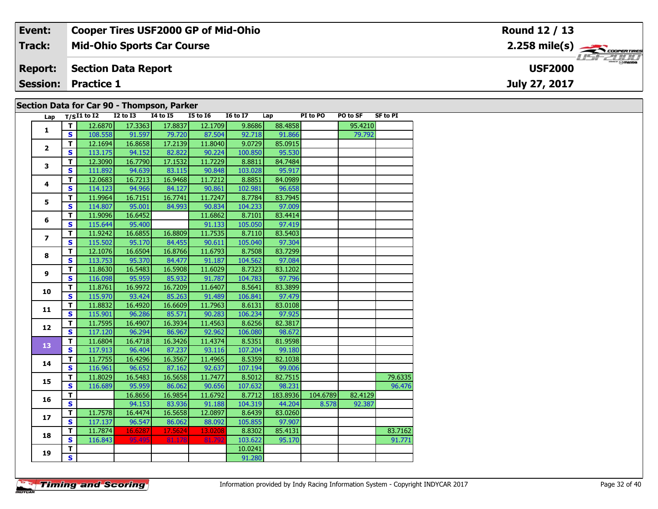| Event:         | <b>Cooper Tires USF2000 GP of Mid-Ohio</b> | Round 12 / 13                                  |
|----------------|--------------------------------------------|------------------------------------------------|
| Track:         | <b>Mid-Ohio Sports Car Course</b>          | $2.258$ mile(s) $\frac{1}{2.258}$ coorer Tires |
| <b>Report:</b> | <b>Section Data Report</b>                 | <b>USF2000</b>                                 |
|                | <b>Session: Practice 1</b>                 | July 27, 2017                                  |
|                | Continue Data for Car 00. Themsean Darless |                                                |

|  | Section Data for Car 90 - Thompson, Parker |  |
|--|--------------------------------------------|--|
|--|--------------------------------------------|--|

| Lap            |                         | $T/SI1$ to $I2$ | <b>I2 to I3</b> | <b>14 to 15</b> | <b>I5 to 16</b> | <b>16 to 17</b> | Lap      | PI to PO | PO to SF | <b>SF to PI</b> |
|----------------|-------------------------|-----------------|-----------------|-----------------|-----------------|-----------------|----------|----------|----------|-----------------|
| $\mathbf{1}$   | T.                      | 12.6870         | 17.3363         | 17.8837         | 12.1709         | 9.8686          | 88.4858  |          | 95.4210  |                 |
|                | $\mathbf{s}$            | 108.558         | 91.597          | 79.720          | 87.504          | 92.718          | 91.866   |          | 79.792   |                 |
|                | T                       | 12.1694         | 16.8658         | 17.2139         | 11.8040         | 9.0729          | 85.0915  |          |          |                 |
| $\overline{2}$ | $\mathbf{s}$            | 113.175         | 94.152          | 82.822          | 90.224          | 100.850         | 95.530   |          |          |                 |
| 3              | т                       | 12.3090         | 16.7790         | 17.1532         | 11.7229         | 8.8811          | 84.7484  |          |          |                 |
|                | $\mathbf{s}$            | 111.892         | 94.639          | 83.115          | 90.848          | 103.028         | 95.917   |          |          |                 |
| 4              | T                       | 12.0683         | 16.7213         | 16.9468         | 11.7212         | 8.8851          | 84.0989  |          |          |                 |
|                | $\mathbf{s}$            | 114.123         | 94.966          | 84.127          | 90.861          | 102.981         | 96.658   |          |          |                 |
| 5              | T                       | 11.9964         | 16.7151         | 16.7741         | 11.7247         | 8.7784          | 83.7945  |          |          |                 |
|                | $\mathbf{s}$            | 114.807         | 95.001          | 84.993          | 90.834          | 104.233         | 97.009   |          |          |                 |
| 6              | T                       | 11.9096         | 16.6452         |                 | 11.6862         | 8.7101          | 83.4414  |          |          |                 |
|                | $\mathbf{s}$            | 115.644         | 95.400          |                 | 91.133          | 105.050         | 97.419   |          |          |                 |
| $\overline{ }$ | T.                      | 11.9242         | 16.6855         | 16.8809         | 11.7535         | 8.7110          | 83.5403  |          |          |                 |
|                | $\mathbf{s}$            | 115.502         | 95.170          | 84.455          | 90.611          | 105.040         | 97.304   |          |          |                 |
| 8              | T                       | 12.1076         | 16.6504         | 16.8766         | 11.6793         | 8.7508          | 83.7299  |          |          |                 |
|                | $\mathbf{s}$            | 113.753         | 95.370          | 84.477          | 91.187          | 104.562         | 97.084   |          |          |                 |
| 9              | T                       | 11.8630         | 16.5483         | 16.5908         | 11.6029         | 8.7323          | 83.1202  |          |          |                 |
|                | $\mathbf{s}$            | 116.098         | 95.959          | 85.932          | 91.787          | 104.783         | 97.796   |          |          |                 |
| 10             | T.                      | 11.8761         | 16.9972         | 16.7209         | 11.6407         | 8.5641          | 83.3899  |          |          |                 |
|                | $\mathbf{s}$            | 115.970         | 93.424          | 85.263          | 91.489          | 106.841         | 97.479   |          |          |                 |
| 11             | T                       | 11.8832         | 16.4920         | 16.6609         | 11.7963         | 8.6131          | 83.0108  |          |          |                 |
|                | $\mathbf{s}$            | 115.901         | 96.286          | 85.571          | 90.283          | 106.234         | 97.925   |          |          |                 |
| 12             | T                       | 11.7595         | 16.4907         | 16.3934         | 11.4563         | 8.6256          | 82.3817  |          |          |                 |
|                | $\overline{\mathbf{s}}$ | 117.120         | 96.294          | 86.967          | 92.962          | 106.080         | 98.672   |          |          |                 |
| 13             | T                       | 11.6804         | 16.4718         | 16.3426         | 11.4374         | 8.5351          | 81.9598  |          |          |                 |
|                | $\mathbf{s}$            | 117.913         | 96.404          | 87.237          | 93.116          | 107.204         | 99.180   |          |          |                 |
| 14             | $\mathbf T$             | 11.7755         | 16.4296         | 16.3567         | 11.4965         | 8.5359          | 82.1038  |          |          |                 |
|                | $\mathbf{s}$            | 116.961         | 96.652          | 87.162          | 92.637          | 107.194         | 99.006   |          |          |                 |
| 15             | т                       | 11.8029         | 16.5483         | 16.5658         | 11.7477         | 8.5012          | 82.7515  |          |          | 79.6335         |
|                | $\mathbf{s}$            | 116.689         | 95.959          | 86.062          | 90.656          | 107.632         | 98.231   |          |          | 96.476          |
| 16             | T.                      |                 | 16.8656         | 16.9854         | 11.6792         | 8.7712          | 183.8936 | 104.6789 | 82.4129  |                 |
|                | $\mathbf{s}$            |                 | 94.153          | 83.936          | 91.188          | 104.319         | 44.204   | 8.578    | 92.387   |                 |
| 17             | T                       | 11.7578         | 16.4474         | 16.5658         | 12.0897         | 8.6439          | 83.0260  |          |          |                 |
|                | $\mathbf{s}$            | 117.137         | 96.547          | 86.062          | 88.092          | 105.855         | 97.907   |          |          |                 |
| 18             | T                       | 11.7874         | 16.6287         | 17.5624         | 13.0208         | 8.8302          | 85.4131  |          |          | 83.7162         |
|                | S                       | 116.843         | 95.495          | 81.178          | 81.792          | 103.622         | 95.170   |          |          | 91.771          |
| 19             | T.                      |                 |                 |                 |                 | 10.0241         |          |          |          |                 |
|                | $\overline{\mathbf{s}}$ |                 |                 |                 |                 | 91.280          |          |          |          |                 |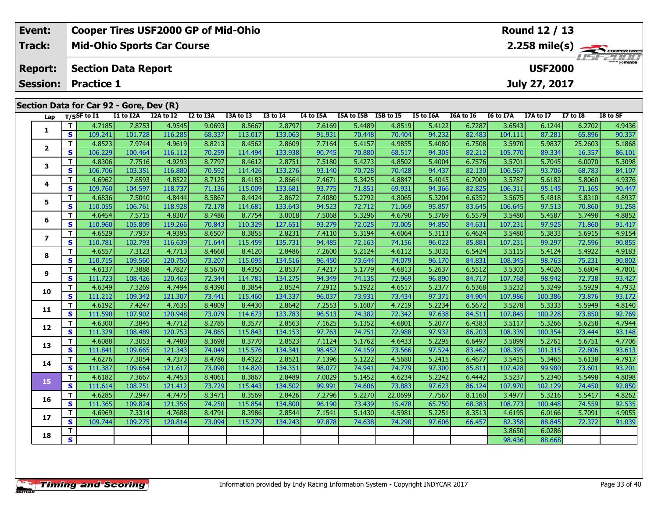| Event:          |                                         | <b>Cooper Tires USF2000 GP of Mid-Ohio</b> |           |           |           |                 |           |                      |        |           |           |                  | Round 12 / 13  |                 |                      |
|-----------------|-----------------------------------------|--------------------------------------------|-----------|-----------|-----------|-----------------|-----------|----------------------|--------|-----------|-----------|------------------|----------------|-----------------|----------------------|
| <b>Track:</b>   |                                         | <b>Mid-Ohio Sports Car Course</b>          |           |           |           |                 |           |                      |        |           |           |                  |                |                 |                      |
| <b>Report:</b>  |                                         | <b>Section Data Report</b>                 |           |           |           |                 |           |                      |        |           |           |                  | <b>USF2000</b> |                 | $m = \bigcirc$ mazna |
| <b>Session:</b> | <b>Practice 1</b>                       |                                            |           |           |           |                 |           |                      |        |           |           |                  | July 27, 2017  |                 |                      |
|                 |                                         |                                            |           |           |           |                 |           |                      |        |           |           |                  |                |                 |                      |
|                 | Section Data for Car 92 - Gore, Dev (R) |                                            |           |           |           |                 |           |                      |        |           |           |                  |                |                 |                      |
|                 | Lap $T/S$ SF to I1                      | I1 to I2A                                  | I2A to I2 | I2 to I3A | I3A to I3 | <b>I3 to I4</b> | I4 to I5A | I5A to I5B I5B to I5 |        | I5 to I6A | I6A to I6 | <b>I6 to I7A</b> | I7A to I7      | <b>I7 to I8</b> | I8 to SF             |
|                 | 4.7185                                  | 7.8753                                     | 4.9545    | 9.0693    | 8.5667    | 2.8797          | 7.6169    | 5.4489               | 4.8519 | 5.4122    | 6.72871   | 3.6543           | 6.1244         | 6.2702          | 4.9436               |

| Lap                      |                         | T/S>r to 11 | <b>IT TO TYV</b> | LZA TO LZ | <b>IZ TO ISA</b> | 1.3A TO 1.3 | 13 TO 14 | 14 TO 15A | 15A TO 15B | 12R 10 12 | <b>15 TO TPA</b> | <b>TOA TO TO</b> | TO TO TAV | 17A TO 17 | <b>17 10 18</b> | 18 TO SF |
|--------------------------|-------------------------|-------------|------------------|-----------|------------------|-------------|----------|-----------|------------|-----------|------------------|------------------|-----------|-----------|-----------------|----------|
| 1                        | т                       | 4.7185      | 7.8753           | 4.9545    | 9.0693           | 8.5667      | 2.8797   | 7.6169    | 5.4489     | 4.8519    | 5.4122           | 6.7287           | 3.6543    | 6.1244    | 6.2702          | 4.9436   |
|                          | S                       | 109.241     | 101.728          | 116.285   | 68.337           | 113.017     | 133.063  | 91.931    | 70.448     | 70.404    | 94.232           | 82.483           | 104.111   | 87.281    | 65.896          | 90.337   |
| $\overline{\mathbf{2}}$  | т                       | 4.8523      | 7.9744           | 4.9619    | 8.8213           | 8.4562      | 2.8609   | 7.7164    | 5.4157     | 4.9855    | 5.4080           | 6.7508           | 3.5970    | 5.9837    | 25.2603         | 5.1868   |
|                          | S                       | 106.229     | 100.464          | 116.112   | 70.259           | 114.494     | 133.938  | 90.745    | 70.880     | 68.517    | 94.305           | 82.212           | 105.770   | 89.334    | 16.357          | 86.101   |
| 3                        | т                       | 4.8306      | 7.7516           | 4.9293    | 8.7797           | 8.4612      | 2.8751   | 7.5180    | 5.4273     | 4.8502    | 5.4004           | 6.7576           | 3.5701    | 5.7045    | 6.0070          | 5.3098   |
|                          | $\mathbf{s}$            | 106.706     | 103.351          | 116.880   | 70.592           | 114.426     | 133.276  | 93.140    | 70.728     | 70.428    | 94.437           | 82.130           | 106.567   | 93.706    | 68.783          | 84.107   |
| 4                        | т                       | 4.6962      | 7.6593           | 4.8522    | 8.7125           | 8.4183      | 2.8664   | 7.4671    | 5.3425     | 4.8847    | 5.4045           | 6.7009           | 3.5787    | 5.6182    | 5.8060          | 4.9376   |
|                          | S                       | 109.760     | 104.597          | 118.737   | 71.136           | 115.009     | 133.681  | 93.775    | 71.851     | 69.931    | 94.366           | 82.825           | 106.311   | 95.145    | 71.165          | 90.447   |
| 5                        | т                       | 4.6836      | 7.5040           | 4.8444    | 8.5867           | 8.4424      | 2.8672   | 7.4080    | 5.2792     | 4.8065    | 5.3204           | 6.6352           | 3.5675    | 5.4818    | 5.8310          | 4.8937   |
|                          | S                       | 110.055     | 106.761          | 118.928   | 72.178           | 114.681     | 133.643  | 94.523    | 72.712     | 71.069    | 95.857           | 83.645           | 106.645   | 97.513    | 70.860          | 91.258   |
| 6                        | т                       | 4.6454      | 7.5715           | 4.8307    | 8.7486           | 8.7754      | 3.0018   | 7.5068    | 5.3296     | 4.6790    | 5.3769           | 6.5579           | 3.5480    | 5.4587    | 5.7498          | 4.8852   |
|                          | S                       | 110.960     | 105.809          | 119.266   | 70.843           | 110.329     | 127.651  | 93.279    | 72.025     | 73.005    | 94.850           | 84.631           | 107.231   | 97.925    | 71.860          | 91.417   |
| $\overline{\phantom{a}}$ | т                       | 4.6529      | 7.7937           | 4.9395    | 8.6507           | 8.3855      | 2.8231   | 7.4110    | 5.3194     | 4.6064    | 5.3113           | 6.4624           | 3.5480    | 5.3833    | 5.6915          | 4.9154   |
|                          | S                       | 110.781     | 102.793          | 116.639   | 71.644           | 115.459     | 135.731  | 94.485    | 72.163     | 74.156    | 96.022           | 85.881           | 107.231   | 99.297    | 72.596          | 90.855   |
| 8                        | т                       | 4.6557      | 7.3123           | 4.7713    | 8.4660           | 8.4120      | 2.8486   | 7.2600    | 5.2124     | 4.6112    | 5.3031           | 6.5424           | 3.5115    | 5.4124    | 5.4922          | 4.9183   |
|                          | S                       | 110.715     | 109.560          | 120.750   | 73.207           | 115.095     | 134.516  | 96.450    | 73.644     | 74.079    | 96.170           | 84.831           | 108.345   | 98.763    | 75.231          | 90.802   |
| 9                        | т                       | 4.6137      | 7.3888           | 4.7827    | 8.5670           | 8.4350      | 2.8537   | 7.4217    | 5.1779     | 4.6813    | 5.2637           | 6.5512           | 3.5303    | 5.4026    | 5.6804          | 4.7801   |
|                          | S                       | 111.723     | 108.426          | 120.463   | 72.344           | 114.781     | 134.275  | 94.349    | 74.135     | 72.969    | 96.890           | 84.717           | 107.768   | 98.942    | 72.738          | 93.427   |
| 10                       | т                       | 4.6349      | 7.3269           | 4.7494    | 8.4390           | 8.3854      | 2.8524   | 7.2912    | 5.1922     | 4.6517    | 5.2377           | 6.5368           | 3.5232    | 5.3249    | 5.5929          | 4.7932   |
|                          | S                       | 111.212     | 109.342          | 121.307   | 73.441           | 115.460     | 134.337  | 96.037    | 73.931     | 73.434    | 97.371           | 84.904           | 107.986   | 100.386   | 73.876          | 93.172   |
| 11                       | т                       | 4.6192      | 7.4247           | 4.7635    | 8.4809           | 8.4430      | 2.8642   | 7.2553    | 5.1607     | 4.7219    | 5.2234           | 6.5672           | 3.5278    | 5.3333    | 5.5949          | 4.8140   |
|                          | S                       | 111.590     | 107.902          | 120.948   | 73.079           | 114.673     | 133.783  | 96.513    | 74.382     | 72.342    | 97.638           | 84.511           | 107.845   | 100.228   | 73.850          | 92.769   |
|                          | т                       | 4.6300      | 7.3845           | 4.7712    | 8.2785           | 8.3577      | 2.8563   | 7.1625    | 5.1352     | 4.6801    | 5.2077           | 6.4383           | 3.5117    | 5.3266    | 5.6258          | 4.7944   |
| 12                       | S                       | 111.329     | 108.489          | 120.753   | 74.865           | 115.843     | 134.153  | 97.763    | 74.751     | 72.988    | 97.932           | 86.203           | 108.339   | 100.354   | 73.444          | 93.148   |
| 13                       | т                       | 4.6088      | 7.3053           | 4.7480    | 8.3698           | 8.3770      | 2.8523   | 7.1124    | 5.1762     | 4.6433    | 5.2295           | 6.6497           | 3.5099    | 5.2761    | 5.6751          | 4.7706   |
|                          | S                       | 111.841     | 109.665          | 121.343   | 74.049           | 115.576     | 134.341  | 98.452    | 74.159     | 73.566    | 97.524           | 83.462           | 108.395   | 101.315   | 72.806          | 93.613   |
| 14                       | т                       | 4.6276      | 7.3054           | 4.7373    | 8.4786           | 8.4322      | 2.8521   | 7.1396    | 5.1222     | 4.5680    | 5.2415           | 6.4677           | 3.5415    | 5.3465    | 5.6138          | 4.7917   |
|                          | S                       | 111.387     | 109.664          | 121.617   | 73.098           | 114.820     | 134.351  | 98.077    | 74.941     | 74.779    | 97.300           | 85.811           | 107.428   | 99.980    | 73.601          | 93.201   |
| 15                       | т                       | 4.6182      | 7.3667           | 4.7453    | 8.4061           | 8.3867      | 2.8489   | 7.0029    | 5.1452     | 4.6234    | 5.2242           | 6.4442           | 3.5237    | 5.2340    | 5.5498          | 4.8098   |
|                          | S                       | 111.614     | 108.751          | 121.412   | 73.729           | 115.443     | 134.502  | 99.991    | 74.606     | 73.883    | 97.623           | 86.124           | 107.970   | 102.129   | 74.450          | 92.850   |
| 16                       | т                       | 4.6285      | 7.2947           | 4.7475    | 8.3471           | 8.3569      | 2.8426   | 7.2796    | 5.2270     | 22.0699   | 7.7567           | 8.1160           | 3.4977    | 5.3216    | 5.5417          | 4.8262   |
|                          | $\mathbf{s}$            | 111.365     | 109.824          | 121.356   | 74.250           | 115.854     | 134.800  | 96.190    | 73.439     | 15.478    | 65.750           | 68.383           | 108.773   | 100.448   | 74.559          | 92.535   |
|                          | т                       | 4.6969      | 7.3314           | 4.7688    | 8.4791           | 8.3986      | 2.8544   | 7.1541    | 5.1430     | 4.5981    | 5.2251           | 8.3513           | 4.6195    | 6.0166    | 5.7091          | 4.9055   |
| 17                       | S                       | 109.744     | 109.275          | 120.814   | 73.094           | 115.279     | 134.243  | 97.878    | 74.638     | 74.290    | 97.606           | 66.457           | 82.358    | 88.845    | 72.372          | 91.039   |
|                          | T.                      |             |                  |           |                  |             |          |           |            |           |                  |                  | 3.8650    | 6.0286    |                 |          |
| 18                       | $\overline{\mathbf{s}}$ |             |                  |           |                  |             |          |           |            |           |                  |                  | 98.436    | 88.668    |                 |          |
|                          |                         |             |                  |           |                  |             |          |           |            |           |                  |                  |           |           |                 |          |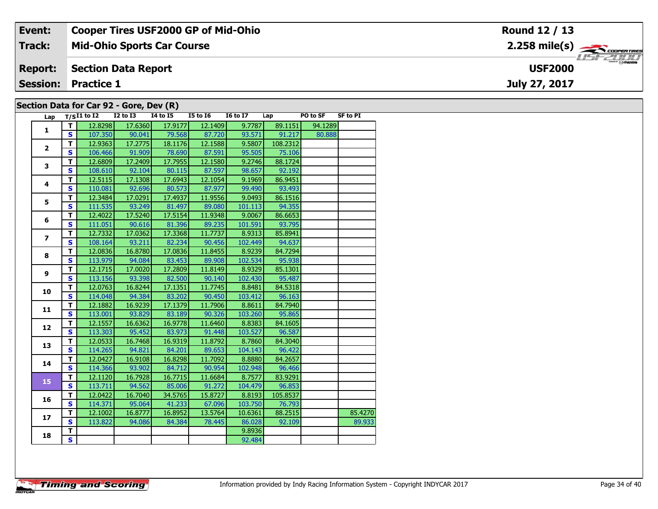| Event:                                  | <b>Cooper Tires USF2000 GP of Mid-Ohio</b> | Round 12 / 13  |  |  |  |  |  |  |  |  |
|-----------------------------------------|--------------------------------------------|----------------|--|--|--|--|--|--|--|--|
| Track:                                  | <b>Mid-Ohio Sports Car Course</b>          |                |  |  |  |  |  |  |  |  |
| <b>Report:</b>                          | <b>Section Data Report</b>                 | <b>USF2000</b> |  |  |  |  |  |  |  |  |
| <b>Session:</b>                         | <b>Practice 1</b>                          | July 27, 2017  |  |  |  |  |  |  |  |  |
| Section Data for Car 92 - Gore, Dev (R) |                                            |                |  |  |  |  |  |  |  |  |

| Lap                      |                         | $T/SI1$ to $I2$ | $I2$ to $I3$ | . <i>.</i><br>$\overline{14}$ to $\overline{15}$ | <b>I5 to 16</b> | <b>16 to 17</b> | Lap      | <b>PO to SF</b> | <b>SF to PI</b> |
|--------------------------|-------------------------|-----------------|--------------|--------------------------------------------------|-----------------|-----------------|----------|-----------------|-----------------|
|                          | T.                      | 12.8298         | 17.6360      | 17.9177                                          | 12.1409         | 9.7787          | 89.1151  | 94.1289         |                 |
| 1                        | S                       | 107.350         | 90.041       | 79.568                                           | 87.720          | 93.571          | 91.217   | 80.888          |                 |
|                          | T                       | 12.9363         | 17.2775      | 18.1176                                          | 12.1588         | 9.5807          | 108.2312 |                 |                 |
| $\mathbf{2}$             | $\mathbf{s}$            | 106.466         | 91.909       | 78.690                                           | 87.591          | 95.505          | 75.106   |                 |                 |
| $\overline{\mathbf{3}}$  | T                       | 12.6809         | 17.2409      | 17.7955                                          | 12.1580         | 9.2746          | 88.1724  |                 |                 |
|                          | $\overline{\mathbf{s}}$ | 108.610         | 92.104       | 80.115                                           | 87.597          | 98.657          | 92.192   |                 |                 |
| 4                        | T                       | 12.5115         | 17.1308      | 17.6943                                          | 12.1054         | 9.1969          | 86.9451  |                 |                 |
|                          | $\mathbf{s}$            | 110.081         | 92.696       | 80.573                                           | 87.977          | 99.490          | 93.493   |                 |                 |
| 5                        | T                       | 12.3484         | 17.0291      | 17.4937                                          | 11.9556         | 9.0493          | 86.1516  |                 |                 |
|                          | $\mathbf{s}$            | 111.535         | 93.249       | 81.497                                           | 89.080          | 101.113         | 94.355   |                 |                 |
| 6                        | T                       | 12.4022         | 17.5240      | 17.5154                                          | 11.9348         | 9.0067          | 86.6653  |                 |                 |
|                          | $\mathbf{s}$            | 111.051         | 90.616       | 81.396                                           | 89.235          | 101.591         | 93.795   |                 |                 |
| $\overline{ }$           | T                       | 12.7332         | 17.0362      | 17.3368                                          | 11.7737         | 8.9313          | 85.8941  |                 |                 |
|                          | $\mathbf s$             | 108.164         | 93.211       | 82.234                                           | 90.456          | 102.449         | 94.637   |                 |                 |
| 8                        | т                       | 12.0836         | 16.8780      | 17.0836                                          | 11.8455         | 8.9239          | 84.7294  |                 |                 |
|                          | S                       | 113.979         | 94.084       | 83.453                                           | 89.908          | 102.534         | 95.938   |                 |                 |
| 9                        | T                       | 12.1715         | 17.0020      | 17.2809                                          | 11.8149         | 8.9329          | 85.1301  |                 |                 |
|                          | S                       | 113.156         | 93.398       | 82.500                                           | 90.140          | 102.430         | 95.487   |                 |                 |
| 10                       | т                       | 12.0763         | 16.8244      | 17.1351                                          | 11.7745         | 8.8481          | 84.5318  |                 |                 |
|                          | $\mathbf s$             | 114.048         | 94.384       | 83.202                                           | 90.450          | 103.412         | 96.163   |                 |                 |
| 11                       | T                       | 12.1882         | 16.9239      | 17.1379                                          | 11.7906         | 8.8611          | 84.7940  |                 |                 |
|                          | S                       | 113.001         | 93.829       | 83.189                                           | 90.326          | 103.260         | 95.865   |                 |                 |
| 12                       | T                       | 12.1557         | 16.6362      | 16.9778                                          | 11.6460         | 8.8383          | 84.1605  |                 |                 |
|                          | S                       | 113.303         | 95.452       | 83.973                                           | 91.448          | 103.527         | 96.587   |                 |                 |
| 13                       | T                       | 12.0533         | 16.7468      | 16.9319                                          | 11.8792         | 8.7860          | 84.3040  |                 |                 |
|                          | S                       | 114.265         | 94.821       | 84.201                                           | 89.653          | 104.143         | 96.422   |                 |                 |
| 14                       | T                       | 12.0427         | 16.9108      | 16.8298                                          | 11.7092         | 8.8880          | 84.2657  |                 |                 |
|                          | S                       | 114.366         | 93.902       | 84.712                                           | 90.954          | 102.948         | 96.466   |                 |                 |
| $\overline{\mathbf{15}}$ | T                       | 12.1120         | 16.7928      | 16.7715                                          | 11.6684         | 8.7577          | 83.9291  |                 |                 |
|                          | S                       | 113.711         | 94.562       | 85.006                                           | 91.272          | 104.479         | 96.853   |                 |                 |
| 16                       | T                       | 12.0422         | 16.7040      | 34.5765                                          | 15.8727         | 8.8193          | 105.8537 |                 |                 |
|                          | S                       | 114.371         | 95.064       | 41.233                                           | 67.096          | 103.750         | 76.793   |                 |                 |
| 17                       | T                       | 12.1002         | 16.8777      | 16.8952                                          | 13.5764         | 10.6361         | 88.2515  |                 | 85.4270         |
|                          | S                       | 113.822         | 94.086       | 84.384                                           | 78.445          | 86.028          | 92.109   |                 | 89.933          |
| 18                       | т                       |                 |              |                                                  |                 | 9.8936          |          |                 |                 |
|                          | $\overline{\mathbf{s}}$ |                 |              |                                                  |                 | 92.484          |          |                 |                 |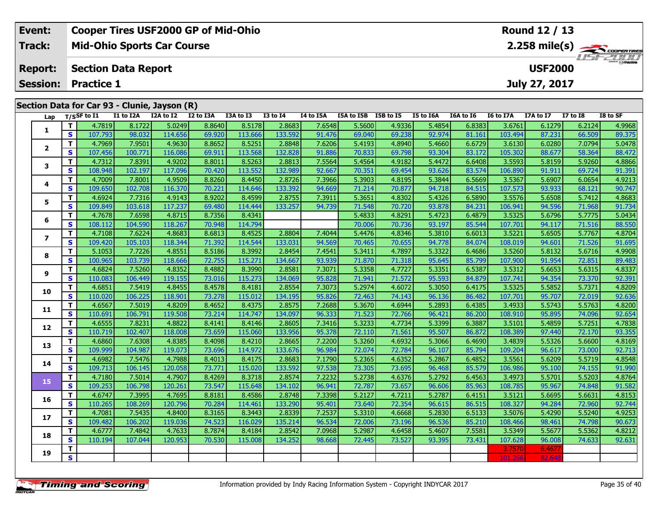| Event:         | <b>Cooper Tires USF2000 GP of Mid-Ohio</b>   | Round 12 / 13                                         |
|----------------|----------------------------------------------|-------------------------------------------------------|
| Track:         | <b>Mid-Ohio Sports Car Course</b>            | $2.258$ mile(s) $\overbrace{\hspace{2cm}}$ conventing |
| <b>Report:</b> | <b>Section Data Report</b>                   | $\frac{2H}{\odot}$ mazpa<br><b>USF2000</b>            |
|                | <b>Session: Practice 1</b>                   | July 27, 2017                                         |
|                | Section Data for Car 93 - Clunie, Jayson (R) |                                                       |
|                |                                              |                                                       |

| Lap            |                         | T/SSF to I1 | I1 to I2A | I2A to I2 | I2 to I3A | I3A to I3 | <b>I3 to I4</b> | <b>I4 to I5A</b> | I5A to I5B I5B to I5 |        | I5 to I6A | I6A to I6 | I6 to I7A | I7A to I7 | <b>I7 to 18</b> | I8 to SF |
|----------------|-------------------------|-------------|-----------|-----------|-----------|-----------|-----------------|------------------|----------------------|--------|-----------|-----------|-----------|-----------|-----------------|----------|
| 1              | T.                      | 4.7819      | 8.1722    | 5.0249    | 8.8640    | 8.5178    | 2.8683          | 7.6548           | 5.5600               | 4.9336 | 5.4854    | 6.8383    | 3.6761    | 6.1279    | 6.2124          | 4.9968   |
|                | $\mathbf{s}$            | 107.793     | 98.032    | 114.656   | 69.920    | 113.666   | 133.592         | 91.476           | 69.040               | 69.238 | 92.974    | 81.161    | 103.494   | 87.231    | 66.509          | 89.375   |
| $\overline{2}$ | T                       | 4.7969      | 7.9501    | 4.9630    | 8.8652    | 8.5251    | 2.8848          | 7.6206           | 5.4193               | 4.8940 | 5.4660    | 6.6729    | 3.6130    | 6.0280    | 7.0794          | 5.0478   |
|                | $\mathbf{s}$            | 107.456     | 100.771   | 116.086   | 69.911    | 113.568   | 132.828         | 91.886           | 70.833               | 69.798 | 93.304    | 83.172    | 105.302   | 88.677    | 58.364          | 88.472   |
|                | T.                      | 4.7312      | 7.8391    | 4.9202    | 8.8011    | 8.5263    | 2.8813          | 7.5564           | 5.4564               | 4.9182 | 5.4472    | 6.6408    | 3.5593    | 5.8159    | 5.9260          | 4.8866   |
| 3              | S                       | 108.948     | 102.197   | 117.096   | 70.420    | 113.552   | 132.989         | 92.667           | 70.351               | 69.454 | 93.626    | 83.574    | 106.890   | 91.911    | 69.724          | 91.391   |
|                | т                       | 4.7009      | 7.8001    | 4.9509    | 8.8260    | 8.4450    | 2.8726          | 7.3966           | 5.3903               | 4.8195 | 5.3844    | 6.5669    | 3.5367    | 5.6907    | 6.0654          | 4.9213   |
| 4              | $\mathbf{s}$            | 109.650     | 102.708   | 116.370   | 70.221    | 114.646   | 133.392         | 94.669           | 71.214               | 70.877 | 94.718    | 84.515    | 107.573   | 93.933    | 68.121          | 90.747   |
|                | T.                      | 4.6924      | 7.7316    | 4.9143    | 8.9202    | 8.4599    | 2.8755          | 7.3911           | 5.3651               | 4.8302 | 5.4326    | 6.5890    | 3.5576    | 5.6508    | 5.7412          | 4.8683   |
| 5              | $\mathbf{s}$            | 109.849     | 103.618   | 117.237   | 69.480    | 114.444   | 133.257         | 94.739           | 71.548               | 70.720 | 93.878    | 84.231    | 106.941   | 94.596    | 71.968          | 91.734   |
|                | T.                      | 4.7678      | 7.6598    | 4.8715    | 8.7356    | 8.4341    |                 |                  | 5.4833               | 4.8291 | 5.4723    | 6.4879    | 3.5325    | 5.6796    | 5.7775          | 5.0434   |
| 6              | $\mathbf s$             | 108.112     | 104.590   | 118.267   | 70.948    | 114.794   |                 |                  | 70.006               | 70.736 | 93.197    | 85.544    | 107.701   | 94.117    | 71.516          | 88.550   |
|                | T                       | 4.7108      | 7.6224    | 4.8683    | 8.6813    | 8.4525    | 2.8804          | 7.4044           | 5.4476               | 4.8346 | 5.3810    | 6.6013    | 3.5221    | 5.6505    | 5.7767          | 4.8704   |
| $\overline{ }$ | $\mathbf{s}$            | 109.420     | 105.103   | 118.344   | 71.392    | 114.544   | 133.031         | 94.569           | 70.465               | 70.655 | 94.778    | 84.074    | 108.019   | 94.601    | 71.526          | 91.695   |
|                | T                       | 5.1053      | 7.7226    | 4.8551    | 8.5186    | 8.3992    | 2.8454          | 7.4541           | 5.3411               | 4.7897 | 5.3322    | 6.4686    | 3.5260    | 5.8132    | 5.6716          | 4.9908   |
| 8              | S                       | 100.965     | 103.739   | 118.666   | 72.755    | 115.271   | 134.667         | 93.939           | 71.870               | 71.318 | 95.645    | 85.799    | 107.900   | 91.954    | 72.851          | 89.483   |
|                | T.                      | 4.6824      | 7.5260    | 4.8352    | 8.4882    | 8.3990    | 2.8581          | 7.3071           | 5.3358               | 4.7727 | 5.3351    | 6.5387    | 3.5312    | 5.6653    | 5.6315          | 4.8337   |
| 9              | S                       | 110.083     | 106.449   | 119.155   | 73.016    | 115.273   | 134.069         | 95.828           | 71.941               | 71.572 | 95.593    | 84.879    | 107.741   | 94.354    | 73.370          | 92.391   |
|                | T                       | 4.6851      | 7.5419    | 4.8455    | 8.4578    | 8.4181    | 2.8554          | 7.3073           | 5.2974               | 4.6072 | 5.3050    | 6.4175    | 3.5325    | 5.5852    | 5.7371          | 4.8209   |
| 10             | $\mathbf{s}$            | 110.020     | 106.225   | 118.901   | 73.278    | 115.012   | 134.195         | 95.826           | 72.463               | 74.143 | 96.136    | 86.482    | 107.701   | 95.707    | 72.019          | 92.636   |
|                | $\overline{\mathbf{T}}$ | 4.6567      | 7.5019    | 4.8209    | 8.4652    | 8.4375    | 2.8575          | 7.2688           | 5.3670               | 4.6944 | 5.2893    | 6.4385    | 3.4933    | 5.5743    | 5.5763          | 4.8200   |
| 11             | S                       | 110.691     | 106.791   | 119.508   | 73.214    | 114.747   | 134.097         | 96.333           | 71.523               | 72.766 | 96.421    | 86.200    | 108.910   | 95.895    | 74.096          | 92.654   |
|                | T.                      | 4.6555      | 7.8231    | 4.8822    | 8.4141    | 8.4146    | 2.8605          | 7.3416           | 5.3233               | 4.7734 | 5.3399    | 6.3887    | 3.5101    | 5.4859    | 5.7251          | 4.7838   |
| 12             | $\mathbf{s}$            | 110.719     | 102.407   | 118.008   | 73.659    | 115.060   | 133.956         | 95.378           | 72.110               | 71.561 | 95.507    | 86.872    | 108.389   | 97.440    | 72.170          | 93.355   |
|                | T.                      | 4.6860      | 7.6308    | 4.8385    | 8.4098    | 8.4210    | 2.8665          | 7.2200           | 5.3260               | 4.6932 | 5.3066    | 6.4690    | 3.4839    | 5.5326    | 5.6600          | 4.8169   |
| 13             | $\mathbf{s}$            | 109.999     | 104.987   | 119.073   | 73.696    | 114.972   | 133.676         | 96.984           | 72.074               | 72.784 | 96.107    | 85.794    | 109.204   | 96.617    | 73.000          | 92.713   |
|                | т                       | 4.6982      | 7.5476    | 4.7988    | 8.4013    | 8.4175    | 2.8683          | 7.1790           | 5.2365               | 4.6352 | 5.2867    | 6.4852    | 3.5561    | 5.6209    | 5.5719          | 4.8548   |
| 14             | <b>S</b>                | 109.713     | 106.145   | 120.058   | 73.771    | 115.020   | 133.592         | 97.538           | 73.305               | 73.695 | 96.468    | 85.579    | 106.986   | 95.100    | 74.155          | 91.990   |
| 15             | T.                      | 4.7180      | 7.5014    | 4.7907    | 8.4269    | 8.3718    | 2.8574          | 7.2232           | 5.2738               | 4.6376 | 5.2792    | 6.4563    | 3.4973    | 5.5701    | 5.5203          | 4.8764   |
|                | S                       | 109.253     | 106.798   | 120.261   | 73.547    | 115.648   | 134.102         | 96.941           | 72.787               | 73.657 | 96.606    | 85.963    | 108.785   | 95.967    | 74.848          | 91.582   |
|                | т                       | 4.6747      | 7.3995    | 4.7695    | 8.8181    | 8.4586    | 2.8748          | 7.3398           | 5.2127               | 4.7211 | 5.2787    | 6.4151    | 3.5121    | 5.6695    | 5.6631          | 4.8153   |
| 16             | $\mathbf{s}$            | 110.265     | 108.269   | 120.796   | 70.284    | 114.461   | 133.290         | 95.401           | 73.640               | 72.354 | 96.615    | 86.515    | 108.327   | 94.284    | 72.960          | 92.744   |
|                | т                       | 4.7081      | 7.5435    | 4.8400    | 8.3165    | 8.3443    | 2.8339          | 7.2537           | 5.3310               | 4.6668 | 5.2830    | 6.5133    | 3.5076    | 5.4290    | 5.5240          | 4.9253   |
| 17             | <b>S</b>                | 109.482     | 106.202   | 119.036   | 74.523    | 116.029   | 135.214         | 96.534           | 72.006               | 73.196 | 96.536    | 85.210    | 108.466   | 98.461    | 74.798          | 90.673   |
|                | T                       | 4.6777      | 7.4842    | 4.7633    | 8.7874    | 8.4184    | 2.8542          | 7.0968           | 5.2987               | 4.6458 | 5.4607    | 7.5581    | 3.5349    | 5.5677    | 5.5362          | 4.8212   |
| 18             | $\mathbf s$             | 110.194     | 107.044   | 120.953   | 70.530    | 115.008   | 134.252         | 98.668           | 72.445               | 73.527 | 93.395    | 73.431    | 107.628   | 96.008    | 74.633          | 92.631   |
|                | T.                      |             |           |           |           |           |                 |                  |                      |        |           |           | 3.7570    | 6.467     |                 |          |
| 19             | $\overline{\mathbf{s}}$ |             |           |           |           |           |                 |                  |                      |        |           |           | 101.266   | 82.64     |                 |          |

œ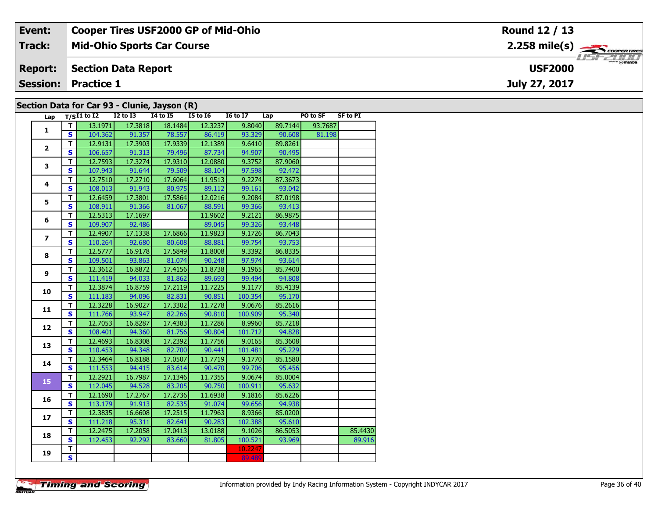| Event:         | <b>Cooper Tires USF2000 GP of Mid-Ohio</b>   | <b>Round 12 / 13</b> |
|----------------|----------------------------------------------|----------------------|
| Track:         | <b>Mid-Ohio Sports Car Course</b>            |                      |
| <b>Report:</b> | Section Data Report                          | <b>USF2000</b>       |
|                | <b>Session: Practice 1</b>                   | July 27, 2017        |
|                | Section Data for Car 93 - Clunie, Jayson (R) |                      |

### Cianic, Jayson (K)

| Lap            |                         | $T/SI1$ to $I2$ | <b>I2 to I3</b> | <b>I4 to I5</b> | <b>I5 to 16</b> | <b>I6 to I7</b> | Lap     | PO to SF | <b>SF to PI</b> |
|----------------|-------------------------|-----------------|-----------------|-----------------|-----------------|-----------------|---------|----------|-----------------|
| 1              | т                       | 13.1971         | 17.3818         | 18.1484         | 12.3237         | 9.8040          | 89.7144 | 93.7687  |                 |
|                | S                       | 104.362         | 91.357          | 78.557          | 86.419          | 93.329          | 90.608  | 81.198   |                 |
| $\overline{2}$ | т                       | 12.9131         | 17.3903         | 17.9339         | 12.1389         | 9.6410          | 89.8261 |          |                 |
|                | $\mathbf{s}$            | 106.657         | 91.313          | 79.496          | 87.734          | 94.907          | 90.495  |          |                 |
| 3              | T                       | 12.7593         | 17.3274         | 17.9310         | 12.0880         | 9.3752          | 87.9060 |          |                 |
|                | S                       | 107.943         | 91.644          | 79.509          | 88.104          | 97.598          | 92.472  |          |                 |
| 4              | т                       | 12.7510         | 17.2710         | 17.6064         | 11.9513         | 9.2274          | 87.3673 |          |                 |
|                | S                       | 108.013         | 91.943          | 80.975          | 89.112          | 99.161          | 93.042  |          |                 |
|                | T                       | 12.6459         | 17.3801         | 17.5864         | 12.0216         | 9.2084          | 87.0198 |          |                 |
| 5              | S                       | 108.911         | 91.366          | 81.067          | 88.591          | 99.366          | 93.413  |          |                 |
|                | т                       | 12.5313         | 17.1697         |                 | 11.9602         | 9.2121          | 86.9875 |          |                 |
| 6              | S                       | 109.907         | 92.486          |                 | 89.045          | 99.326          | 93.448  |          |                 |
|                | T                       | 12.4907         | 17.1338         | 17.6866         | 11.9823         | 9.1726          | 86.7043 |          |                 |
| $\overline{ }$ | S                       | 110.264         | 92.680          | 80.608          | 88.881          | 99.754          | 93.753  |          |                 |
|                | т                       | 12.5777         | 16.9178         | 17.5849         | 11.8008         | 9.3392          | 86.8335 |          |                 |
| 8              | S                       | 109.501         | 93.863          | 81.074          | 90.248          | 97.974          | 93.614  |          |                 |
|                | T                       | 12.3612         | 16.8872         | 17.4156         | 11.8738         | 9.1965          | 85.7400 |          |                 |
| 9              | S                       | 111.419         | 94.033          | 81.862          | 89.693          | 99.494          | 94.808  |          |                 |
|                | т                       | 12.3874         | 16.8759         | 17.2119         | 11.7225         | 9.1177          | 85.4139 |          |                 |
| 10             | S                       | 111.183         | 94.096          | 82.831          | 90.851          | 100.354         | 95.170  |          |                 |
| 11             | т                       | 12.3228         | 16.9027         | 17.3302         | 11.7278         | 9.0676          | 85.2616 |          |                 |
|                | $\overline{\mathbf{s}}$ | 111.766         | 93.947          | 82.266          | 90.810          | 100.909         | 95.340  |          |                 |
|                | т                       | 12.7053         | 16.8287         | 17.4383         | 11.7286         | 8.9960          | 85.7218 |          |                 |
| 12             | S                       | 108.401         | 94.360          | 81.756          | 90.804          | 101.712         | 94.828  |          |                 |
| 13             | T                       | 12.4693         | 16.8308         | 17.2392         | 11.7756         | 9.0165          | 85.3608 |          |                 |
|                | S                       | 110.453         | 94.348          | 82.700          | 90.441          | 101.481         | 95.229  |          |                 |
| 14             | T                       | 12.3464         | 16.8188         | 17.0507         | 11.7719         | 9.1770          | 85.1580 |          |                 |
|                | $\mathbf{s}$            | 111.553         | 94.415          | 83.614          | 90.470          | 99.706          | 95.456  |          |                 |
| 15             | T                       | 12.2921         | 16.7987         | 17.1346         | 11.7355         | 9.0674          | 85.0004 |          |                 |
|                | S                       | 112.045         | 94.528          | 83.205          | 90.750          | 100.911         | 95.632  |          |                 |
| 16             | T                       | 12.1690         | 17.2767         | 17.2736         | 11.6938         | 9.1816          | 85.6226 |          |                 |
|                | S                       | 113.179         | 91.913          | 82.535          | 91.074          | 99.656          | 94.938  |          |                 |
| 17             | T                       | 12.3835         | 16.6608         | 17.2515         | 11.7963         | 8.9366          | 85.0200 |          |                 |
|                | S                       | 111.218         | 95.311          | 82.641          | 90.283          | 102.388         | 95.610  |          |                 |
| 18             | T                       | 12.2475         | 17.2058         | 17.0413         | 13.0188         | 9.1026          | 86.5053 |          | 85.4430         |
|                | S                       | 112.453         | 92.292          | 83.660          | 81.805          | 100.521         | 93.969  |          | 89.916          |
|                | T.                      |                 |                 |                 |                 | 10.2247         |         |          |                 |
| 19             | $\overline{\mathbf{s}}$ |                 |                 |                 |                 | 89.489          |         |          |                 |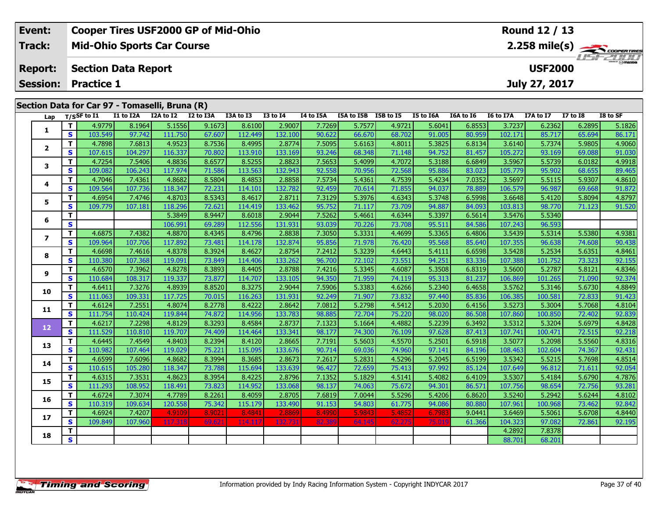| Event:        | Cooper Tires USF2000 GP of Mid-Ohio            | Round 12 / 13                              |
|---------------|------------------------------------------------|--------------------------------------------|
| <b>Track:</b> | <b>Mid-Ohio Sports Car Course</b>              | $2.258$ mile(s) $\rightarrow$ Coorer Times |
|               | <b>Report: Section Data Report</b>             | <b>USF2000</b>                             |
|               | <b>Session: Practice 1</b>                     | July 27, 2017                              |
|               |                                                |                                            |
|               | Section Data for Car 97 - Tomaselli, Bruna (R) |                                            |

| Lap                      | T/SSF to I1                  |         | I1 to I2A | I2A to I2 | $\mathbf{v}$<br>I2 to I3A | I3A to I3 | <b>I3 to I4</b> | I4 to I5A | I5A to I5B I5B to I5 |        | I5 to I6A | I6A to I6 | I6 to I7A | I7A to I7 | <b>I7 to I8</b> | I8 to SF |
|--------------------------|------------------------------|---------|-----------|-----------|---------------------------|-----------|-----------------|-----------|----------------------|--------|-----------|-----------|-----------|-----------|-----------------|----------|
|                          | T                            | 4.9779  | 8.1964    | 5.1556    | 9.1673                    | 8.6100    | 2.9007          | 7.7269    | 5.7577               | 4.972  | 5.6041    | 6.8553    | 3.7237    | 6.2362    | 6.2895          | 5.1826   |
| 1                        | <b>S</b>                     | 103.549 | 97.742    | 111.750   | 67.607                    | 112.449   | 132.100         | 90.622    | 66.670               | 68.702 | 91.005    | 80.959    | 102.171   | 85.717    | 65.694          | 86.171   |
|                          | $\mathbf{T}$                 | 4.7898  | 7.6813    | 4.9523    | 8.7536                    | 8.4995    | 2.8774          | 7.5095    | 5.6163               | 4.8011 | 5.3825    | 6.8134    | 3.6140    | 5.7374    | 5.9805          | 4.9060   |
| $\overline{2}$           | <b>S</b>                     | 107.615 | 104.297   | 116.337   | 70.802                    | 113.910   | 133.169         | 93.246    | 68.348               | 71.148 | 94.752    | 81.457    | 105.272   | 93.169    | 69.088          | 91.030   |
| 3                        | $\mathbf T$                  | 4.7254  | 7.5406    | 4.8836    | 8.6577                    | 8.5255    | 2.8823          | 7.5653    | 5.4099               | 4.7072 | 5.3188    | 6.6849    | 3.5967    | 5.5739    | 6.0182          | 4.9918   |
|                          | <b>S</b>                     | 109.082 | 106.243   | 117.974   | 71.586                    | 113.563   | 132.943         | 92.558    | 70.956               | 72.568 | 95.886    | 83.023    | 105.779   | 95.902    | 68.655          | 89.465   |
| 4                        | T                            | 4.7046  | 7.4361    | 4.8682    | 8.5804                    | 8.4853    | 2.8858          | 7.5734    | 5.4361               | 4.7539 | 5.4234    | 7.0352    | 3.5697    | 5.5115    | 5.9307          | 4.8610   |
|                          | <b>S</b>                     | 109.564 | 107.736   | 118.347   | 72.231                    | 114.101   | 132.782         | 92.459    | 70.614               | 71.855 | 94.037    | 78.889    | 106.579   | 96.987    | 69.668          | 91.872   |
| 5                        | $\mathbf{T}$                 | 4.6954  | 7.4746    | 4.8703    | 8.5343                    | 8.4617    | 2.8711          | 7.3129    | 5.3976               | 4.6343 | 5.3748    | 6.5998    | 3.6648    | 5.4120    | 5.8094          | 4.8797   |
|                          | <b>S</b>                     | 109.779 | 107.181   | 118.296   | 72.621                    | 114.419   | 133.462         | 95.752    | 71.117               | 73.709 | 94.887    | 84.093    | 103.813   | 98.770    | 71.123          | 91.520   |
| 6                        | T                            |         |           | 5.3849    | 8.9447                    | 8.6018    | 2.9044          | 7.5262    | 5.4661               | 4.6344 | 5.3397    | 6.5614    | 3.5476    | 5.5340    |                 |          |
|                          | $\mathbf{s}$                 |         |           | 106.991   | 69.289                    | 112.556   | 131.931         | 93.039    | 70.226               | 73.708 | 95.511    | 84.586    | 107.243   | 96.593    |                 |          |
| $\overline{\phantom{a}}$ | $\mathbf T$                  | 4.6875  | 7.4382    | 4.8870    | 8.4345                    | 8.4796    | 2.8838          | 7.3050    | 5.3331               | 4.4699 | 5.3365    | 6.4806    | 3.5439    | 5.5314    | 5.5380          | 4.9381   |
|                          | $\mathbf{s}$                 | 109.964 | 107.706   | 117.892   | 73.481                    | 114.178   | 132.874         | 95.856    | 71.978               | 76.420 | 95.568    | 85.640    | 107.355   | 96.638    | 74.608          | 90.438   |
| 8                        | $\mathbf T$                  | 4.6698  | 7.4616    | 4.8378    | 8.3924                    | 8.4627    | 2.8754          | 7.2412    | 5.3239               | 4.6443 | 5.4111    | 6.6598    | 3.5428    | 5.2534    | 5.6351          | 4.8461   |
|                          | $\mathbf{s}$                 | 110.380 | 107.368   | 119.091   | 73.849                    | 114.406   | 133.262         | 96.700    | 72.102               | 73.551 | 94.251    | 83.336    | 107.388   | 101.752   | 73.323          | 92.155   |
| 9                        | T                            | 4.6570  | 7.3962    | 4.8278    | 8.3893                    | 8.4405    | 2.8788          | 7.4216    | 5.3345               | 4.6087 | 5.3508    | 6.8319    | 3.5600    | 5.2787    | 5.8121          | 4.8346   |
|                          | $\mathbf{s}$                 | 110.684 | 108.317   | 119.337   | 73.877                    | 114.707   | 133.105         | 94.350    | 71.959               | 74.119 | 95.313    | 81.237    | 106.869   | 101.265   | 71.090          | 92.374   |
| 10                       | T                            | 4.6411  | 7.3276    | 4.8939    | 8.8520                    | 8.3275    | 2.9044          | 7.5906    | 5.3383               | 4.6266 | 5.2340    | 6.4658    | 3.5762    | 5.3146    | 5.6730          | 4.8849   |
|                          | <b>S</b>                     | 111.063 | 109.331   | 117.725   | 70.015                    | 116.263   | 131.931         | 92.249    | 71.907               | 73.832 | 97.440    | 85.836    | 106.385   | 100.581   | 72.833          | 91.423   |
| 11                       | $\mathbf{T}$                 | 4.6124  | 7.2551    | 4.8074    | 8.2778                    | 8.4222    | 2.8642          | 7.0812    | 5.2798               | 4.5412 | 5.2030    | 6.4156    | 3.5273    | 5.3004    | 5.7068          | 4.8104   |
|                          | $\mathbf{s}$                 | 111.754 | 110.424   | 119.844   | 74.872                    | 114.956   | 133.783         | 98.885    | 72.704               | 75.220 | 98.020    | 86.508    | 107.860   | 100.850   | 72.402          | 92.839   |
| 12                       | T                            | 4.6217  | 7.2298    | 4.8129    | 8.3293                    | 8.4584    | 2.8737          | 7.1323    | 5.1664               | 4.4882 | 5.2239    | 6.3492    | 3.5312    | 5.3204    | 5.6979          | 4.8428   |
|                          | <b>S</b>                     | 111.529 | 110.810   | 119.707   | 74.409                    | 114.464   | 133.341         | 98.177    | 74.300               | 76.109 | 97.628    | 87.413    | 107.741   | 100.471   | 72.515          | 92.218   |
| 13                       | $\mathbf{T}$                 | 4.6445  | 7.4549    | 4.8403    | 8.2394                    | 8.4120    | 2.8665          | 7.7191    | 5.5603               | 4.5570 | 5.2501    | 6.5918    | 3.5077    | 5.2098    | 5.5560          | 4.8316   |
|                          | <b>S</b>                     | 110.982 | 107.464   | 119.029   | 75.221                    | 115.095   | 133.676         | 90.714    | 69.036               | 74.960 | 97.141    | 84.196    | 108.463   | 102.604   | 74.367          | 92.431   |
| 14                       | $\mathbf{T}$                 | 4.6599  | 7.6096    | 4.8682    | 8.3994                    | 8.3685    | 2.8673          | 7.2617    | 5.2831               | 4.5296 | 5.2045    | 6.5199    | 3.5342    | 5.5215    | 5.7698          | 4.8514   |
|                          | $\mathbf{s}$                 | 110.615 | 105.280   | 118.347   | 73.788                    | 115.694   | 133.639         | 96.427    | 72.659               | 75.413 | 97.992    | 85.124    | 107.649   | 96.812    | 71.611          | 92.054   |
| 15                       | T                            | 4.6315  | 7.3531    | 4.8623    | 8.3954                    | 8.4225    | 2.8796          | 7.1352    | 5.1829               | 4.5141 | 5.4082    | 6.4109    | 3.5307    | 5.4184    | 5.6790          | 4.7876   |
|                          | <b>S</b>                     | 111.293 | 108.952   | 118.491   | 73.823                    | 114.952   | 133.068         | 98.137    | 74.063               | 75.672 | 94.301    | 86.571    | 107.756   | 98.654    | 72.756          | 93.281   |
| 16                       | $\mathbf{T}$                 | 4.6724  | 7.3074    | 4.7789    | 8.2261                    | 8.4059    | 2.8705          | 7.6819    | 7.0044               | 5.5296 | 5.4206    | 6.8620    | 3.5240    | 5.2942    | 5.6244          | 4.8102   |
|                          | $\mathbf{s}$                 | 110.319 | 109.634   | 120.558   | 75.342                    | 115.179   | 133.490         | 91.153    | 54.803               | 61.775 | 94.086    | 80.880    | 107.961   | 100.968   | 73.462          | 92.842   |
| 17                       | $\mathbf{T}$<br>$\mathbf{s}$ | 4.6924  | 7.4207    | 4.9109    | 8.9021                    | 8.4841    | 2.8869          | 8.4990    | 5.9843               | 5.4852 | 6.7983    | 9.0441    | 3.6469    | 5.5061    | 5.6708          | 4.8440   |
|                          |                              | 109.849 | 107.960   | 117.318   | 69.62                     | 114.117   | 132.731         | 82.38     | 64.145               | 62.27  | 75.01     | 61.366    | 104.323   | 97.082    | 72.861          | 92.195   |
| 18                       | T                            |         |           |           |                           |           |                 |           |                      |        |           |           | 4.2892    | 7.8378    |                 |          |
|                          | $\mathbf{s}$                 |         |           |           |                           |           |                 |           |                      |        |           |           | 88.701    | 68.201    |                 |          |

**Timing and Scoring**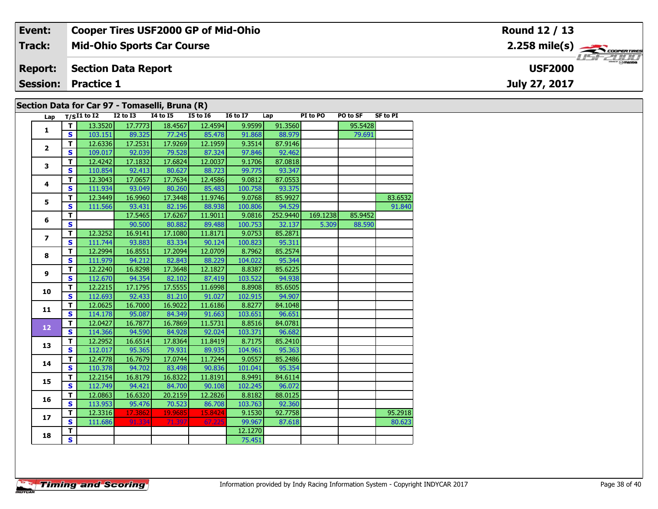| Event:          | <b>Cooper Tires USF2000 GP of Mid-Ohio</b>     | Round 12 / 13                             |
|-----------------|------------------------------------------------|-------------------------------------------|
| Track:          | <b>Mid-Ohio Sports Car Course</b>              | $2.258$ mile(s) $\rightarrow$ COOPERTINGS |
| <b>Report:</b>  | <b>Section Data Report</b>                     | <b>USF2000</b>                            |
| <b>Session:</b> | <b>Practice 1</b>                              | July 27, 2017                             |
|                 | Section Data for Car 97 - Tomaselli, Bruna (R) |                                           |

|  | Lap                     |                         | $T/SI1$ to $\overline{I2}$ | <b>I2 to I3</b> | <b>14 to 15</b> | $\sim$ $\sim$<br><b>I5 to 16</b> | <b>I6 to I7</b> | Lap      | PI to PO | PO to SF | <b>SF to PI</b> |
|--|-------------------------|-------------------------|----------------------------|-----------------|-----------------|----------------------------------|-----------------|----------|----------|----------|-----------------|
|  | 1                       | т                       | 13.3520                    | 17.7773         | 18.4567         | 12.4594                          | 9.9599          | 91.3560  |          | 95.5428  |                 |
|  |                         | $\mathbf{s}$            | 103.151                    | 89.325          | 77.245          | 85.478                           | 91.868          | 88.979   |          | 79.691   |                 |
|  | $\mathbf{2}$            | T                       | 12.6336                    | 17.2531         | 17.9269         | 12.1959                          | 9.3514          | 87.9146  |          |          |                 |
|  |                         | $\mathbf{s}$            | 109.017                    | 92.039          | 79.528          | 87.324                           | 97.846          | 92.462   |          |          |                 |
|  | 3                       | T                       | 12.4242                    | 17.1832         | 17.6824         | 12.0037                          | 9.1706          | 87.0818  |          |          |                 |
|  |                         | $\mathbf{s}$            | 110.854                    | 92.413          | 80.627          | 88.723                           | 99.775          | 93.347   |          |          |                 |
|  | 4                       | T                       | 12.3043                    | 17.0657         | 17.7634         | 12.4586                          | 9.0812          | 87.0553  |          |          |                 |
|  |                         | $\mathbf{s}$            | 111.934                    | 93.049          | 80.260          | 85.483                           | 100.758         | 93.375   |          |          |                 |
|  | 5                       | T                       | 12.3449                    | 16.9960         | 17.3448         | 11.9746                          | 9.0768          | 85.9927  |          |          | 83.6532         |
|  |                         | $\mathbf{s}$            | 111.566                    | 93.431          | 82.196          | 88.938                           | 100.806         | 94.529   |          |          | 91.840          |
|  | 6                       | $\overline{\mathsf{r}}$ |                            | 17.5465         | 17.6267         | 11.9011                          | 9.0816          | 252.9440 | 169.1238 | 85.9452  |                 |
|  |                         | $\mathbf{s}$            |                            | 90.500          | 80.882          | 89.488                           | 100.753         | 32.137   | 5.309    | 88.590   |                 |
|  | $\overline{\mathbf{z}}$ | $\mathbf T$             | 12.3252                    | 16.9141         | 17.1080         | 11.8171                          | 9.0753          | 85.2871  |          |          |                 |
|  |                         | $\mathbf{s}$            | 111.744                    | 93.883          | 83.334          | 90.124                           | 100.823         | 95.311   |          |          |                 |
|  | 8                       | $\overline{\mathsf{r}}$ | 12.2994                    | 16.8551         | 17.2094         | 12.0709                          | 8.7962          | 85.2574  |          |          |                 |
|  |                         | $\mathbf{s}$            | 111.979                    | 94.212          | 82.843          | 88.229                           | 104.022         | 95.344   |          |          |                 |
|  | 9                       | T                       | 12.2240                    | 16.8298         | 17.3648         | 12.1827                          | 8.8387          | 85.6225  |          |          |                 |
|  |                         | $\mathbf{s}$            | 112.670                    | 94.354          | 82.102          | 87.419                           | 103.522         | 94.938   |          |          |                 |
|  | 10                      | $\mathbf T$             | 12.2215                    | 17.1795         | 17.5555         | 11.6998                          | 8.8908          | 85.6505  |          |          |                 |
|  |                         | $\overline{\mathbf{s}}$ | 112.693                    | 92.433          | 81.210          | 91.027                           | 102.915         | 94.907   |          |          |                 |
|  | 11                      | T                       | 12.0625                    | 16.7000         | 16.9022         | 11.6186                          | 8.8277          | 84.1048  |          |          |                 |
|  |                         | $\mathbf{s}$            | 114.178                    | 95.087          | 84.349          | 91.663                           | 103.651         | 96.651   |          |          |                 |
|  | 12                      | T                       | 12.0427                    | 16.7877         | 16.7869         | 11.5731                          | 8.8516          | 84.0781  |          |          |                 |
|  |                         | $\mathbf{s}$            | 114.366                    | 94.590          | 84.928          | 92.024                           | 103.371         | 96.682   |          |          |                 |
|  | 13                      | T                       | 12.2952                    | 16.6514         | 17.8364         | 11.8419                          | 8.7175          | 85.2410  |          |          |                 |
|  |                         | $\mathbf{s}$            | 112.017                    | 95.365          | 79.931          | 89.935                           | 104.961         | 95.363   |          |          |                 |
|  | 14                      | T                       | 12.4778                    | 16.7679         | 17.0744         | 11.7244                          | 9.0557          | 85.2486  |          |          |                 |
|  |                         | $\mathbf{s}$            | 110.378                    | 94.702          | 83.498          | 90.836                           | 101.041         | 95.354   |          |          |                 |
|  | 15                      | T                       | 12.2154                    | 16.8179         | 16.8322         | 11.8191                          | 8.9491          | 84.6114  |          |          |                 |
|  |                         | $\mathbf{s}$            | 112.749                    | 94.421          | 84.700          | 90.108                           | 102.245         | 96.072   |          |          |                 |
|  | 16                      | T                       | 12.0863                    | 16.6320         | 20.2159         | 12.2826                          | 8.8182          | 88.0125  |          |          |                 |
|  |                         | $\mathbf{s}$            | 113.953                    | 95.476          | 70.523          | 86.708                           | 103.763         | 92.360   |          |          |                 |
|  | 17                      | T                       | 12.3316                    | 17.3862         | 19.9685         | 15.8424                          | 9.1530          | 92.7758  |          |          | 95.2918         |
|  |                         | $\mathbf{s}$            | 111.686                    | 91.334          | 71.397          | 67.225                           | 99.967          | 87.618   |          |          | 80.623          |
|  | 18                      | T.                      |                            |                 |                 |                                  | 12.1270         |          |          |          |                 |
|  |                         | $\overline{\mathbf{s}}$ |                            |                 |                 |                                  | 75.451          |          |          |          |                 |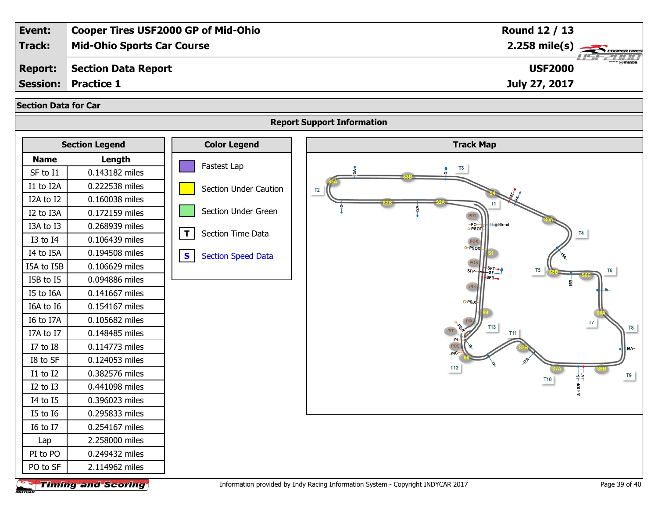